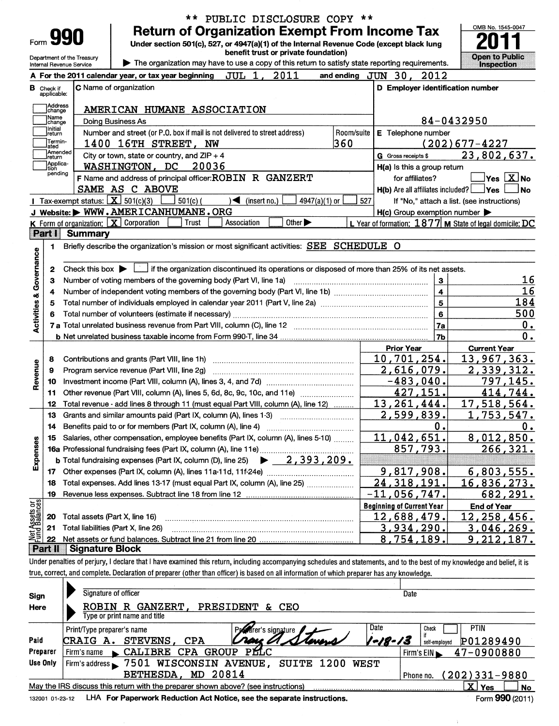|                                              |                                  |                                                        | ** PUBLIC DISCLOSURE COPY **                                                                                                                                               |            |                                                     |                                                         |
|----------------------------------------------|----------------------------------|--------------------------------------------------------|----------------------------------------------------------------------------------------------------------------------------------------------------------------------------|------------|-----------------------------------------------------|---------------------------------------------------------|
|                                              |                                  |                                                        | <b>Return of Organization Exempt From Income Tax</b>                                                                                                                       |            |                                                     | OMB No. 1545-0047                                       |
|                                              |                                  | Form 990                                               | Under section 501(c), 527, or 4947(a)(1) of the Internal Revenue Code (except black lung                                                                                   |            |                                                     |                                                         |
|                                              |                                  |                                                        | benefit trust or private foundation)                                                                                                                                       |            |                                                     |                                                         |
|                                              |                                  | Department of the Treasury<br>Internal Revenue Service | The organization may have to use a copy of this return to satisfy state reporting requirements.                                                                            |            |                                                     | <b>Open to Public</b><br><b>Inspection</b>              |
|                                              |                                  |                                                        | JUL 1,                                                                                                                                                                     |            |                                                     |                                                         |
|                                              |                                  |                                                        | 2011<br>A For the 2011 calendar year, or tax year beginning                                                                                                                | and ending | JUN 30,<br>2012                                     |                                                         |
|                                              | <b>B</b> Check if<br>applicable: |                                                        | C Name of organization                                                                                                                                                     |            | D Employer identification number                    |                                                         |
|                                              |                                  |                                                        |                                                                                                                                                                            |            |                                                     |                                                         |
|                                              | Address<br>change                |                                                        | AMERICAN HUMANE ASSOCIATION                                                                                                                                                |            |                                                     |                                                         |
|                                              | <b>Name</b><br>change            |                                                        | Doing Business As                                                                                                                                                          |            |                                                     | 84-0432950                                              |
|                                              | Ilnitial<br>return               |                                                        | Number and street (or P.O. box if mail is not delivered to street address)                                                                                                 | Room/suite | E Telephone number                                  |                                                         |
|                                              | Termin-                          |                                                        | 1400 16TH STREET, NW                                                                                                                                                       | 360        |                                                     | $(202)677 - 4227$                                       |
| lated<br>Amended                             |                                  |                                                        | City or town, state or country, and $ZIP + 4$                                                                                                                              |            | 23,802,637.                                         |                                                         |
|                                              | Ireturn<br>Applica-              |                                                        |                                                                                                                                                                            |            | G Gross receipts \$                                 |                                                         |
|                                              | ltion<br>pending                 |                                                        | WASHINGTON, DC<br>20036                                                                                                                                                    |            | H(a) is this a group return                         |                                                         |
|                                              |                                  |                                                        | F Name and address of principal officer: ROBIN R GANZERT                                                                                                                   |            | for affiliates?                                     | $\overline{\ }$ Yes $\overline{\phantom{a}X}$ No        |
|                                              |                                  |                                                        | SAME AS C ABOVE                                                                                                                                                            |            | $H(b)$ Are all affiliates included? $\Box$ Yes      | l No                                                    |
|                                              |                                  |                                                        | Tax-exempt status: $\boxed{\mathbf{X}}$ 501(c)(3)<br>$501(c)$ (<br>$\sqrt{\phantom{a}}$ (insert no.)<br>4947(a)(1) or                                                      | 527        |                                                     | If "No," attach a list. (see instructions)              |
|                                              |                                  |                                                        | J Website: WWW.AMERICANHUMANE.ORG                                                                                                                                          |            | $H(c)$ Group exemption number $\blacktriangleright$ |                                                         |
|                                              |                                  |                                                        | K Form of organization: X Corporation<br>Other $\blacktriangleright$<br>Trust<br>Association                                                                               |            |                                                     | L Year of formation: 1877 M State of legal domicile: DC |
|                                              | Part I                           | <b>Summary</b>                                         |                                                                                                                                                                            |            |                                                     |                                                         |
|                                              | 1                                |                                                        | Briefly describe the organization's mission or most significant activities: SEE SCHEDULE O                                                                                 |            |                                                     |                                                         |
| Governance                                   |                                  |                                                        |                                                                                                                                                                            |            |                                                     |                                                         |
|                                              |                                  |                                                        | Check this box $\blacktriangleright$ $\Box$ if the organization discontinued its operations or disposed of more than 25% of its net assets.                                |            |                                                     |                                                         |
|                                              | 2                                |                                                        |                                                                                                                                                                            |            |                                                     |                                                         |
|                                              | з                                |                                                        | Number of voting members of the governing body (Part VI, line 1a)                                                                                                          |            | з                                                   | 16                                                      |
|                                              | 4                                |                                                        |                                                                                                                                                                            |            | $\overline{\mathbf{4}}$                             | 16                                                      |
|                                              | 5                                |                                                        |                                                                                                                                                                            |            | $\overline{5}$                                      | 184                                                     |
|                                              |                                  |                                                        |                                                                                                                                                                            |            | 6                                                   | 500                                                     |
| <b>Activities &amp;</b>                      |                                  |                                                        |                                                                                                                                                                            |            | 7a                                                  | $\mathbf 0$ .                                           |
|                                              |                                  |                                                        |                                                                                                                                                                            |            | 7 <sub>b</sub>                                      | 0.                                                      |
|                                              |                                  |                                                        |                                                                                                                                                                            |            | <b>Prior Year</b>                                   | <b>Current Year</b>                                     |
|                                              | 8                                |                                                        | Contributions and grants (Part VIII, line 1h)                                                                                                                              |            | 10,701,254.                                         | 13,967,363.                                             |
| Revenue                                      | 9                                |                                                        | Program service revenue (Part VIII, line 2g)                                                                                                                               |            | 2,616,079.                                          | 2,339,312.                                              |
|                                              | 10                               |                                                        |                                                                                                                                                                            |            | $-483,040$ .                                        | 797,145.                                                |
|                                              | 11                               |                                                        | Other revenue (Part VIII, column (A), lines 5, 6d, 8c, 9c, 10c, and 11e)                                                                                                   |            | 427,151.                                            | 414,744.                                                |
|                                              | 12                               |                                                        | Total revenue - add lines 8 through 11 (must equal Part VIII, column (A), line 12)                                                                                         |            | 13, 261, 444.                                       | 17,518,564.                                             |
|                                              | 13                               |                                                        |                                                                                                                                                                            |            | 2,599,839.                                          | 1,753,547.                                              |
|                                              |                                  |                                                        | Grants and similar amounts paid (Part IX, column (A), lines 1-3)                                                                                                           |            |                                                     |                                                         |
|                                              | 14                               |                                                        |                                                                                                                                                                            |            | 0.                                                  | 0.                                                      |
|                                              |                                  |                                                        | Salaries, other compensation, employee benefits (Part IX, column (A), lines 5-10)                                                                                          |            | <u>11,042,651.</u>                                  | 8,012,850.                                              |
| Expenses                                     |                                  |                                                        | 16a Professional fundraising fees (Part IX, column (A), line 11e)                                                                                                          |            | 857,793.                                            | <u>266,321.</u>                                         |
|                                              |                                  |                                                        | $\blacktriangleright$ 2,393,209.<br><b>b</b> Total fundraising expenses (Part IX, column (D), line 25)                                                                     |            |                                                     |                                                         |
|                                              |                                  |                                                        | 17 Other expenses (Part IX, column (A), lines 11a-11d, 11f-24e)                                                                                                            |            | 9,817,908.                                          | 6,803,555.                                              |
|                                              | 18                               |                                                        | Total expenses. Add lines 13-17 (must equal Part IX, column (A), line 25)                                                                                                  |            | 24, 318, 191.                                       | <u>16,836,273.</u>                                      |
|                                              | 19                               |                                                        |                                                                                                                                                                            |            | $-11,056,747$ .                                     | 682, 291.                                               |
| <b>Net Assets or</b><br><b>Fund Balances</b> |                                  |                                                        |                                                                                                                                                                            |            | <b>Beginning of Current Year</b>                    | <b>End of Year</b>                                      |
|                                              | 20                               |                                                        | Total assets (Part X, line 16)                                                                                                                                             |            | <u>12,688,479.</u>                                  | <u>12,258,456.</u>                                      |
|                                              | 21                               |                                                        | Total liabilities (Part X, line 26)                                                                                                                                        |            | <u>3,934,290.</u>                                   | 3,046,269.                                              |
|                                              | 22                               |                                                        | Net assets or fund balances. Subtract line 21 from line 20                                                                                                                 |            | 754,189.<br>8,                                      | 9,212,187.                                              |
|                                              | ∣ Part II                        | <b>Signature Block</b>                                 |                                                                                                                                                                            |            |                                                     |                                                         |
|                                              |                                  |                                                        |                                                                                                                                                                            |            |                                                     |                                                         |
|                                              |                                  |                                                        | Under penalties of perjury, I declare that I have examined this return, including accompanying schedules and statements, and to the best of my knowledge and belief, it is |            |                                                     |                                                         |
|                                              |                                  |                                                        | true, correct, and complete. Declaration of preparer (other than officer) is based on all information of which preparer has any knowledge.                                 |            |                                                     |                                                         |
|                                              |                                  |                                                        |                                                                                                                                                                            |            |                                                     |                                                         |
| Sign                                         |                                  |                                                        | Signature of officer                                                                                                                                                       |            | Date                                                |                                                         |
| Here                                         |                                  |                                                        | <b>ROBIN R GANZERT,</b><br>PRESIDENT & CEO                                                                                                                                 |            |                                                     |                                                         |
|                                              |                                  |                                                        | Type or print name and title                                                                                                                                               |            |                                                     |                                                         |
|                                              |                                  | Print/Type preparer's name                             | <b>Arer's signature</b>                                                                                                                                                    |            | Date<br>Check                                       | <b>PTIN</b>                                             |
| Paid                                         |                                  |                                                        | <b>CRAIG A. STEVENS, CPA</b><br>ou it                                                                                                                                      |            | 1-18-13<br>self-employed                            | P01289490                                               |
|                                              | Preparer                         | Firm's name                                            | CALIBRE CPA GROUP PLLC                                                                                                                                                     |            |                                                     |                                                         |
|                                              | Use Only                         |                                                        |                                                                                                                                                                            |            | Firm's EIN                                          | 47-0900880                                              |
|                                              |                                  |                                                        | Firm's address > 7501 WISCONSIN AVENUE, SUITE 1200 WEST                                                                                                                    |            |                                                     |                                                         |

| ooo omy | THIN 2 GOOD COOPS AND ALLOCATED AND THE LABOUR AND MELTER TANK WELL<br><b>BETHESDA, MD 20814</b> | Phone no. (202) 331-9880 |
|---------|--------------------------------------------------------------------------------------------------|--------------------------|
|         | May the IRS discuss this return with the preparer shown above? (see instructions)                | <b>Yes</b>               |
|         | 132001 01-23-12 LHA For Paperwork Reduction Act Notice, see the separate instructions.           | Form 990 (2011)          |

 $\hat{\boldsymbol{y}}$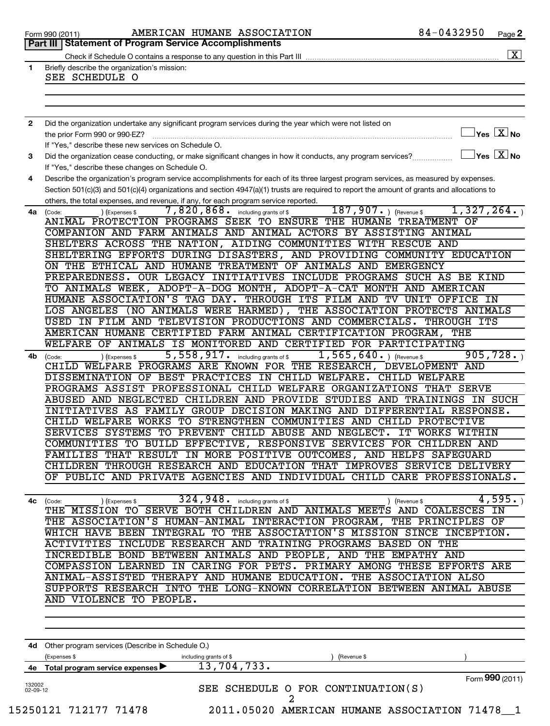|  | Form 990 (2011) |  |
|--|-----------------|--|
|  |                 |  |

### Form 990 (2011) Page AMERICAN HUMANE ASSOCIATION 84-0432950

| $\mathbf 1$        | Briefly describe the organization's mission:<br>SEE SCHEDULE O                                                                                                                                                                    |
|--------------------|-----------------------------------------------------------------------------------------------------------------------------------------------------------------------------------------------------------------------------------|
|                    |                                                                                                                                                                                                                                   |
|                    |                                                                                                                                                                                                                                   |
|                    |                                                                                                                                                                                                                                   |
| $\mathbf{2}$       | Did the organization undertake any significant program services during the year which were not listed on<br>$\exists$ Yes $\boxed{\text{X}}$ No<br>the prior Form 990 or 990-EZ?                                                  |
|                    | If "Yes," describe these new services on Schedule O.                                                                                                                                                                              |
| 3                  | $\Box$ Yes $\boxed{\mathrm{X}}$ No<br>Did the organization cease conducting, or make significant changes in how it conducts, any program services?                                                                                |
|                    | If "Yes," describe these changes on Schedule O.                                                                                                                                                                                   |
| 4                  | Describe the organization's program service accomplishments for each of its three largest program services, as measured by expenses.                                                                                              |
|                    | Section 501(c)(3) and 501(c)(4) organizations and section 4947(a)(1) trusts are required to report the amount of grants and allocations to<br>others, the total expenses, and revenue, if any, for each program service reported. |
| 4a                 | $\overline{1,327,264}$ .<br>$187, 907.$ (Revenue \$<br>$7,820,868$ $\ldots$ including grants of \$<br>) (Expenses \$<br>(Code:                                                                                                    |
|                    | ANIMAL PROTECTION PROGRAMS SEEK TO ENSURE THE HUMANE TREATMENT OF                                                                                                                                                                 |
|                    | COMPANION AND FARM ANIMALS AND ANIMAL ACTORS BY ASSISTING ANIMAL                                                                                                                                                                  |
|                    | SHELTERS ACROSS THE NATION, AIDING COMMUNITIES WITH RESCUE AND                                                                                                                                                                    |
|                    | SHELTERING EFFORTS DURING DISASTERS, AND PROVIDING COMMUNITY EDUCATION<br>ON THE ETHICAL AND HUMANE TREATMENT OF ANIMALS AND EMERGENCY                                                                                            |
|                    | PREPAREDNESS. OUR LEGACY INITIATIVES INCLUDE PROGRAMS SUCH AS BE KIND                                                                                                                                                             |
|                    | TO ANIMALS WEEK, ADOPT-A-DOG MONTH, ADOPT-A-CAT MONTH AND AMERICAN                                                                                                                                                                |
|                    | HUMANE ASSOCIATION'S TAG DAY. THROUGH ITS FILM AND TV UNIT OFFICE IN                                                                                                                                                              |
|                    | LOS ANGELES (NO ANIMALS WERE HARMED), THE ASSOCIATION PROTECTS ANIMALS                                                                                                                                                            |
|                    | USED IN FILM AND TELEVISION PRODUCTIONS AND COMMERCIALS. THROUGH ITS                                                                                                                                                              |
|                    | AMERICAN HUMANE CERTIFIED FARM ANIMAL CERTIFICATION PROGRAM, THE                                                                                                                                                                  |
|                    | WELFARE OF ANIMALS IS MONITORED AND CERTIFIED FOR PARTICIPATING<br>5,558,917. including grants of \$<br>$1,565,640.$ (Revenue \$)<br>905, 728.                                                                                    |
| 4b                 | ) (Expenses \$<br>(Code:<br>CHILD WELFARE PROGRAMS ARE KNOWN FOR THE RESEARCH, DEVELOPMENT AND                                                                                                                                    |
|                    | DISSEMINATION OF BEST PRACTICES IN CHILD WELFARE. CHILD WELFARE                                                                                                                                                                   |
|                    | PROGRAMS ASSIST PROFESSIONAL CHILD WELFARE ORGANIZATIONS THAT SERVE                                                                                                                                                               |
|                    | ABUSED AND NEGLECTED CHILDREN AND PROVIDE STUDIES AND TRAININGS IN SUCH                                                                                                                                                           |
|                    | INITIATIVES AS FAMILY GROUP DECISION MAKING AND DIFFERENTIAL RESPONSE.                                                                                                                                                            |
|                    | CHILD WELFARE WORKS TO STRENGTHEN COMMUNITIES AND CHILD PROTECTIVE                                                                                                                                                                |
|                    | SERVICES SYSTEMS TO PREVENT CHILD ABUSE AND NEGLECT. IT WORKS WITHIN                                                                                                                                                              |
|                    | COMMUNITIES TO BUILD EFFECTIVE, RESPONSIVE SERVICES FOR CHILDREN AND                                                                                                                                                              |
|                    | FAMILIES THAT RESULT IN MORE POSITIVE OUTCOMES, AND HELPS SAFEGUARD                                                                                                                                                               |
|                    | CHILDREN THROUGH RESEARCH AND EDUCATION THAT IMPROVES SERVICE DELIVERY<br>OF PUBLIC AND PRIVATE AGENCIES AND INDIVIDUAL CHILD CARE PROFESSIONALS.                                                                                 |
|                    |                                                                                                                                                                                                                                   |
| 4с                 | $324,948$ $\cdot$ including grants of \$<br>4,595.<br>) (Expenses \$<br>) (Revenue \$<br>(Code:                                                                                                                                   |
|                    | THE MISSION TO SERVE BOTH CHILDREN AND ANIMALS MEETS AND COALESCES IN                                                                                                                                                             |
|                    | THE ASSOCIATION'S HUMAN-ANIMAL INTERACTION PROGRAM, THE PRINCIPLES OF                                                                                                                                                             |
|                    | WHICH HAVE BEEN INTEGRAL TO THE ASSOCIATION'S MISSION SINCE INCEPTION.                                                                                                                                                            |
|                    | ACTIVITIES INCLUDE RESEARCH AND TRAINING PROGRAMS BASED ON THE                                                                                                                                                                    |
|                    | INCREDIBLE BOND BETWEEN ANIMALS AND PEOPLE, AND THE EMPATHY AND                                                                                                                                                                   |
|                    | COMPASSION LEARNED IN CARING FOR PETS. PRIMARY AMONG THESE EFFORTS ARE                                                                                                                                                            |
|                    | ANIMAL-ASSISTED THERAPY AND HUMANE EDUCATION. THE ASSOCIATION ALSO<br>SUPPORTS RESEARCH INTO THE LONG-KNOWN CORRELATION BETWEEN ANIMAL ABUSE                                                                                      |
|                    | AND VIOLENCE TO PEOPLE.                                                                                                                                                                                                           |
|                    |                                                                                                                                                                                                                                   |
|                    |                                                                                                                                                                                                                                   |
|                    | 4d Other program services (Describe in Schedule O.)                                                                                                                                                                               |
|                    | (Expenses \$<br>including grants of \$<br>(Revenue \$                                                                                                                                                                             |
|                    | 13,704,733.<br>4e Total program service expenses                                                                                                                                                                                  |
| 132002<br>02-09-12 | Form 990 (2011)<br>SEE SCHEDULE O FOR CONTINUATION(S)                                                                                                                                                                             |
|                    | 2                                                                                                                                                                                                                                 |
|                    | 15250121 712177 71478<br>2011.05020 AMERICAN HUMANE ASSOCIATION 71478 1                                                                                                                                                           |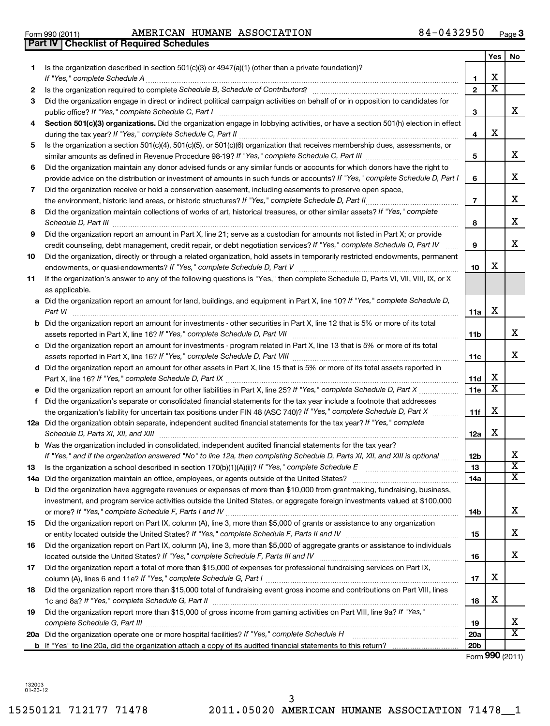15250121 712177 71478 2011.05020 AMERICAN HUMANE ASSOCIATION 71478\_\_1

| Form 990 (2011)             | AMERICAN HUMANE ASSOCIATION | 84-0432950 | Page |
|-----------------------------|-----------------------------|------------|------|
| $\sim$ $\sim$ $\sim$ $\sim$ |                             |            |      |

|     | Part IV   Checklist of Required Schedules                                                                                                                                                                                           |                 |                         |                         |  |
|-----|-------------------------------------------------------------------------------------------------------------------------------------------------------------------------------------------------------------------------------------|-----------------|-------------------------|-------------------------|--|
|     |                                                                                                                                                                                                                                     |                 | Yes                     | No                      |  |
| 1.  | Is the organization described in section $501(c)(3)$ or $4947(a)(1)$ (other than a private foundation)?                                                                                                                             |                 |                         |                         |  |
|     | If "Yes," complete Schedule A                                                                                                                                                                                                       | 1               | х                       |                         |  |
| 2   | Is the organization required to complete Schedule B, Schedule of Contributors? [111] [12] the organization required to complete Schedule B, Schedule of Contributors? [11] [12] [12] the organization required to complete Sch      | $\overline{2}$  | $\overline{\text{x}}$   |                         |  |
| 3   | Did the organization engage in direct or indirect political campaign activities on behalf of or in opposition to candidates for                                                                                                     |                 |                         |                         |  |
|     | public office? If "Yes," complete Schedule C, Part I                                                                                                                                                                                | 3               |                         | x                       |  |
| 4   | Section 501(c)(3) organizations. Did the organization engage in lobbying activities, or have a section 501(h) election in effect                                                                                                    |                 |                         |                         |  |
|     |                                                                                                                                                                                                                                     | 4               | х                       |                         |  |
| 5   | Is the organization a section 501(c)(4), 501(c)(5), or 501(c)(6) organization that receives membership dues, assessments, or                                                                                                        |                 |                         |                         |  |
|     |                                                                                                                                                                                                                                     | 5               |                         | x                       |  |
| 6   | Did the organization maintain any donor advised funds or any similar funds or accounts for which donors have the right to                                                                                                           |                 |                         |                         |  |
|     | provide advice on the distribution or investment of amounts in such funds or accounts? If "Yes," complete Schedule D, Part I                                                                                                        | 6               |                         | x                       |  |
|     | Did the organization receive or hold a conservation easement, including easements to preserve open space,                                                                                                                           |                 |                         |                         |  |
| 7   |                                                                                                                                                                                                                                     | $\overline{7}$  |                         | x                       |  |
|     | the environment, historic land areas, or historic structures? If "Yes," complete Schedule D, Part II                                                                                                                                |                 |                         |                         |  |
| 8   | Did the organization maintain collections of works of art, historical treasures, or other similar assets? If "Yes," complete                                                                                                        |                 |                         | x                       |  |
|     | Schedule D, Part III <b>Marting Community</b> Construction of the Construction of the Construction of the Construction of the Construction of the Construction of the Construction of the Construction of the Construction of the C | 8               |                         |                         |  |
| 9   | Did the organization report an amount in Part X, line 21; serve as a custodian for amounts not listed in Part X; or provide                                                                                                         |                 |                         | X                       |  |
|     | credit counseling, debt management, credit repair, or debt negotiation services? If "Yes," complete Schedule D, Part IV                                                                                                             | 9               |                         |                         |  |
| 10  | Did the organization, directly or through a related organization, hold assets in temporarily restricted endowments, permanent                                                                                                       |                 |                         |                         |  |
|     |                                                                                                                                                                                                                                     | 10              | х                       |                         |  |
| 11  | If the organization's answer to any of the following questions is "Yes," then complete Schedule D, Parts VI, VII, VIII, IX, or X                                                                                                    |                 |                         |                         |  |
|     | as applicable.                                                                                                                                                                                                                      |                 |                         |                         |  |
| а   | Did the organization report an amount for land, buildings, and equipment in Part X, line 10? If "Yes," complete Schedule D,                                                                                                         |                 |                         |                         |  |
|     | Part VI                                                                                                                                                                                                                             | 11a             | х                       |                         |  |
| b   | Did the organization report an amount for investments - other securities in Part X, line 12 that is 5% or more of its total                                                                                                         |                 |                         |                         |  |
|     |                                                                                                                                                                                                                                     | 11 <sub>b</sub> |                         | x                       |  |
| c   | Did the organization report an amount for investments - program related in Part X, line 13 that is 5% or more of its total                                                                                                          |                 |                         |                         |  |
|     |                                                                                                                                                                                                                                     | 11c             |                         | x                       |  |
|     | d Did the organization report an amount for other assets in Part X, line 15 that is 5% or more of its total assets reported in                                                                                                      |                 |                         |                         |  |
|     |                                                                                                                                                                                                                                     | 11d             | х                       |                         |  |
|     | Did the organization report an amount for other liabilities in Part X, line 25? If "Yes," complete Schedule D, Part X                                                                                                               | 11e             | $\overline{\textbf{X}}$ |                         |  |
| f   | Did the organization's separate or consolidated financial statements for the tax year include a footnote that addresses                                                                                                             |                 |                         |                         |  |
|     | the organization's liability for uncertain tax positions under FIN 48 (ASC 740)? If "Yes," complete Schedule D, Part X                                                                                                              | 11f             | х                       |                         |  |
|     | 12a Did the organization obtain separate, independent audited financial statements for the tax year? If "Yes," complete                                                                                                             |                 |                         |                         |  |
|     | Schedule D, Parts XI, XII, and XIII                                                                                                                                                                                                 | 12a             | х                       |                         |  |
|     | Was the organization included in consolidated, independent audited financial statements for the tax year?                                                                                                                           |                 |                         |                         |  |
|     | If "Yes," and if the organization answered "No" to line 12a, then completing Schedule D, Parts XI, XII, and XIII is optional                                                                                                        | 12b             |                         | Δ.                      |  |
| 13  | Is the organization a school described in section 170(b)(1)(A)(ii)? If "Yes," complete Schedule E                                                                                                                                   | 13              |                         | $\overline{\textbf{x}}$ |  |
| 14a | Did the organization maintain an office, employees, or agents outside of the United States?                                                                                                                                         | 14a             |                         | $\overline{\mathtt{x}}$ |  |
|     | <b>b</b> Did the organization have aggregate revenues or expenses of more than \$10,000 from grantmaking, fundraising, business,                                                                                                    |                 |                         |                         |  |
|     | investment, and program service activities outside the United States, or aggregate foreign investments valued at \$100,000                                                                                                          |                 |                         |                         |  |
|     |                                                                                                                                                                                                                                     | 14b             |                         | x                       |  |
| 15  | Did the organization report on Part IX, column (A), line 3, more than \$5,000 of grants or assistance to any organization                                                                                                           |                 |                         |                         |  |
|     |                                                                                                                                                                                                                                     | 15              |                         | х                       |  |
| 16  | Did the organization report on Part IX, column (A), line 3, more than \$5,000 of aggregate grants or assistance to individuals                                                                                                      |                 |                         |                         |  |
|     |                                                                                                                                                                                                                                     | 16              |                         | x                       |  |
| 17  | Did the organization report a total of more than \$15,000 of expenses for professional fundraising services on Part IX,                                                                                                             |                 |                         |                         |  |
|     |                                                                                                                                                                                                                                     | 17              | х                       |                         |  |
| 18  | Did the organization report more than \$15,000 total of fundraising event gross income and contributions on Part VIII, lines                                                                                                        |                 |                         |                         |  |
|     |                                                                                                                                                                                                                                     | 18              | х                       |                         |  |
| 19  | Did the organization report more than \$15,000 of gross income from gaming activities on Part VIII, line 9a? If "Yes,"                                                                                                              |                 |                         |                         |  |
|     |                                                                                                                                                                                                                                     | 19              |                         | x                       |  |
|     | 20a Did the organization operate one or more hospital facilities? If "Yes," complete Schedule H                                                                                                                                     | 20a             |                         | $\overline{\text{x}}$   |  |

**b** If "Yes" to line 20a, did the organization attach a copy of its audited financial statements to this return?

Form (2011) **990**

**20b**

3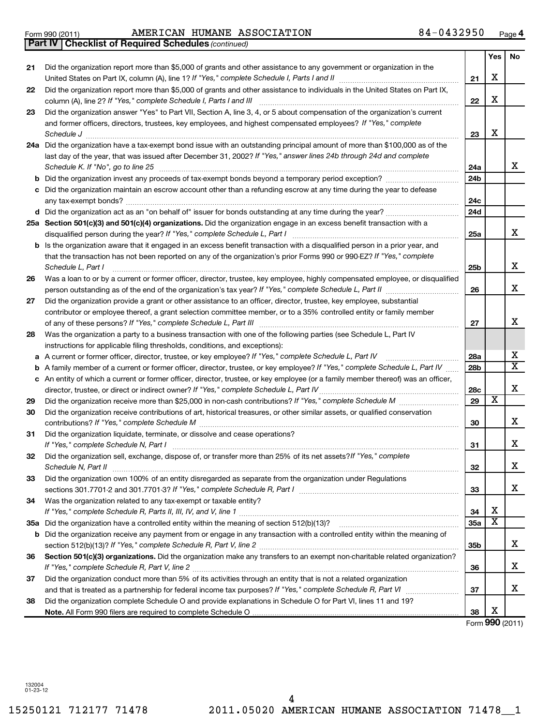**21**

**22**

**23**

**38**

|    | 24a Did the organization have a tax-exempt bond issue with an outstanding principal amount of more than \$100,000 as of the                                                                                                                        |
|----|----------------------------------------------------------------------------------------------------------------------------------------------------------------------------------------------------------------------------------------------------|
|    | last day of the year, that was issued after December 31, 2002? If "Yes," answer lines 24b through 24d and complete                                                                                                                                 |
|    | Schedule K. If "No", go to line 25                                                                                                                                                                                                                 |
|    |                                                                                                                                                                                                                                                    |
| с  | Did the organization maintain an escrow account other than a refunding escrow at any time during the year to defease                                                                                                                               |
|    |                                                                                                                                                                                                                                                    |
|    | 25a Section 501(c)(3) and 501(c)(4) organizations. Did the organization engage in an excess benefit transaction with a                                                                                                                             |
|    | b Is the organization aware that it engaged in an excess benefit transaction with a disqualified person in a prior year, and                                                                                                                       |
|    | that the transaction has not been reported on any of the organization's prior Forms 990 or 990-EZ? If "Yes," complete<br>Schedule L, Part I                                                                                                        |
| 26 | Was a loan to or by a current or former officer, director, trustee, key employee, highly compensated employee, or disqualified<br>person outstanding as of the end of the organization's tax year? If "Yes," complete Schedule L, Part II manually |
| 27 | Did the organization provide a grant or other assistance to an officer, director, trustee, key employee, substantial                                                                                                                               |
|    | contributor or employee thereof, a grant selection committee member, or to a 35% controlled entity or family member                                                                                                                                |
| 28 | Was the organization a party to a business transaction with one of the following parties (see Schedule L, Part IV<br>instructions for applicable filing thresholds, conditions, and exceptions):                                                   |
|    | a A current or former officer, director, trustee, or key employee? If "Yes," complete Schedule L, Part IV                                                                                                                                          |
|    | <b>b</b> A family member of a current or former officer, director, trustee, or key employee? If "Yes," complete Schedule L, Part IV                                                                                                                |
|    | c An entity of which a current or former officer, director, trustee, or key employee (or a family member thereof) was an officer,<br>director, trustee, or direct or indirect owner? If "Yes," complete Schedule L, Part IV                        |
| 29 |                                                                                                                                                                                                                                                    |
| 30 | Did the organization receive contributions of art, historical treasures, or other similar assets, or qualified conservation                                                                                                                        |
| 31 | Did the organization liquidate, terminate, or dissolve and cease operations?<br>If "Yes," complete Schedule N, Part I                                                                                                                              |
| 32 | Did the organization sell, exchange, dispose of, or transfer more than 25% of its net assets? If "Yes," complete<br>Schedule N, Part II                                                                                                            |
| 33 | Did the organization own 100% of an entity disregarded as separate from the organization under Regulations                                                                                                                                         |
| 34 | Was the organization related to any tax-exempt or taxable entity?                                                                                                                                                                                  |
|    |                                                                                                                                                                                                                                                    |
| b  | Did the organization receive any payment from or engage in any transaction with a controlled entity within the meaning of                                                                                                                          |
| 36 | Section 501(c)(3) organizations. Did the organization make any transfers to an exempt non-charitable related organization?                                                                                                                         |
| 37 | Did the organization conduct more than 5% of its activities through an entity that is not a related organization<br>and that is treated as a partnership for federal income tax purposes? If "Yes," complete Schedule R, Part VI                   |

**Note.**  All Form 990 filers are required to complete Schedule O

Did the organization complete Schedule O and provide explanations in Schedule O for Part VI, lines 11 and 19?

### Form 990 (2011) Page AMERICAN HUMANE ASSOCIATION 84-0432950

United States on Part IX, column (A), line 1? If "Yes," complete Schedule I, Parts I and II manual component compo

Did the organization report more than \$5,000 of grants and other assistance to individuals in the United States on Part IX,

Did the organization answer "Yes" to Part VII, Section A, line 3, 4, or 5 about compensation of the organization's current

Did the organization report more than \$5,000 of grants and other assistance to any government or organization in the

*If "Yes," complete Schedule I, Parts I and III* column (A), line 2? ~~~~~~~~~~~~~~~~~~~~~~~~~~~~~~

*Schedule J* ~~~~~~~~~~~~~~~~~~~~~~~~~~~~~~~~~~~~~~~~~~~~~~~~~~~~~~~~

and former officers, directors, trustees, key employees, and highest compensated employees? If "Yes," complete

*(continued)* **Part IV Checklist of Required Schedules**

**4**

**21**

**22**

**23**

**24a 24b**

**24c 24d**

**25a**

**25b**

**26**

**27**

**28a 28b**

**28c 29**

 $\overline{\texttt{x}}$ 

**30**

**31**

**32**

**33**

**34 35a**

X  $\overline{\texttt{x}}$ 

**35b**

**36**

**37**

**38**

Form (2011) **990**

X

**Yes No**

X

X

X

X

X

X

X

X

X  $\overline{\text{x}}$ 

X

X

X

X

X

X

X

X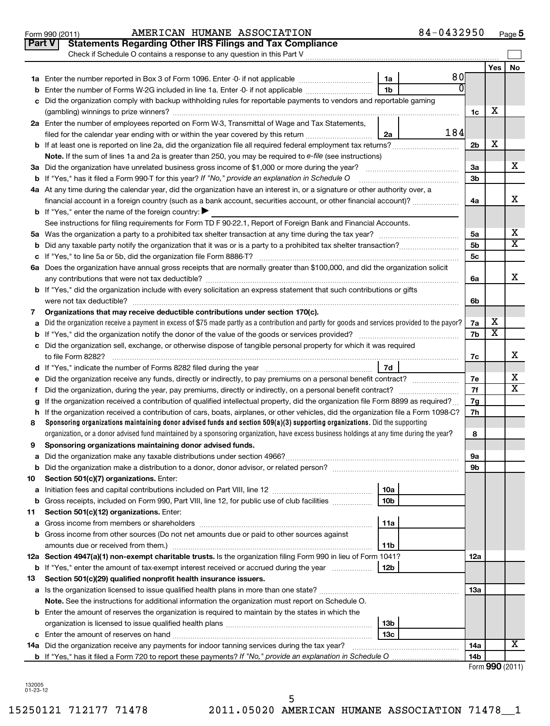| Check if Schedule O contains a response to any question in this Part V<br>Yes<br>80<br>1a<br>U<br>1 <sub>b</sub><br>Enter the number of Forms W-2G included in line 1a. Enter -0- if not applicable<br>b<br>Did the organization comply with backup withholding rules for reportable payments to vendors and reportable gaming<br>c<br>х<br>1c<br>2a Enter the number of employees reported on Form W-3, Transmittal of Wage and Tax Statements,<br>184<br>filed for the calendar year ending with or within the year covered by this return<br>2a<br>х<br>2 <sub>b</sub><br>Note. If the sum of lines 1a and 2a is greater than 250, you may be required to e-file (see instructions)<br>За<br><b>b</b> If "Yes," has it filed a Form 990-T for this year? If "No," provide an explanation in Schedule O<br>3b<br>4a At any time during the calendar year, did the organization have an interest in, or a signature or other authority over, a<br>financial account in a foreign country (such as a bank account, securities account, or other financial account)?<br>4a<br><b>b</b> If "Yes," enter the name of the foreign country: $\blacktriangleright$<br>See instructions for filing requirements for Form TD F 90-22.1, Report of Foreign Bank and Financial Accounts.<br>5a<br>5 <sub>b</sub><br>b<br>5c<br>6a Does the organization have annual gross receipts that are normally greater than \$100,000, and did the organization solicit<br>6a<br><b>b</b> If "Yes," did the organization include with every solicitation an express statement that such contributions or gifts<br>6b<br>Organizations that may receive deductible contributions under section 170(c).<br>7<br>х<br>Did the organization receive a payment in excess of \$75 made partly as a contribution and partly for goods and services provided to the payor?<br>7a<br>a<br>$\overline{\text{x}}$<br>7b<br>b<br>c Did the organization sell, exchange, or otherwise dispose of tangible personal property for which it was required<br>7c<br>7d<br>Did the organization receive any funds, directly or indirectly, to pay premiums on a personal benefit contract?<br>7е<br>е<br>7f<br>f.<br>If the organization received a contribution of qualified intellectual property, did the organization file Form 8899 as required?<br>7g<br>g<br>If the organization received a contribution of cars, boats, airplanes, or other vehicles, did the organization file a Form 1098-C?<br>7h<br>h<br>Sponsoring organizations maintaining donor advised funds and section $509(a)(3)$ supporting organizations. Did the supporting<br>8<br>organization, or a donor advised fund maintained by a sponsoring organization, have excess business holdings at any time during the year?<br>8<br>Sponsoring organizations maintaining donor advised funds.<br>9<br>эа<br><b>b</b> Did the organization make a distribution to a donor, donor advisor, or related person?<br>9b<br>Section 501(c)(7) organizations. Enter:<br>10<br>10a<br>а<br>10 <sub>b</sub><br>Gross receipts, included on Form 990, Part VIII, line 12, for public use of club facilities<br>b<br>Section 501(c)(12) organizations. Enter:<br>11<br>11a<br>а<br>Gross income from other sources (Do not net amounts due or paid to other sources against<br>b<br>amounts due or received from them.)<br>11b<br>12a Section 4947(a)(1) non-exempt charitable trusts. Is the organization filing Form 990 in lieu of Form 1041?<br>12a |                         |
|-------------------------------------------------------------------------------------------------------------------------------------------------------------------------------------------------------------------------------------------------------------------------------------------------------------------------------------------------------------------------------------------------------------------------------------------------------------------------------------------------------------------------------------------------------------------------------------------------------------------------------------------------------------------------------------------------------------------------------------------------------------------------------------------------------------------------------------------------------------------------------------------------------------------------------------------------------------------------------------------------------------------------------------------------------------------------------------------------------------------------------------------------------------------------------------------------------------------------------------------------------------------------------------------------------------------------------------------------------------------------------------------------------------------------------------------------------------------------------------------------------------------------------------------------------------------------------------------------------------------------------------------------------------------------------------------------------------------------------------------------------------------------------------------------------------------------------------------------------------------------------------------------------------------------------------------------------------------------------------------------------------------------------------------------------------------------------------------------------------------------------------------------------------------------------------------------------------------------------------------------------------------------------------------------------------------------------------------------------------------------------------------------------------------------------------------------------------------------------------------------------------------------------------------------------------------------------------------------------------------------------------------------------------------------------------------------------------------------------------------------------------------------------------------------------------------------------------------------------------------------------------------------------------------------------------------------------------------------------------------------------------------------------------------------------------------------------------------------------------------------------------------------------------------------------------------------------------------------------------------------------------------------------------------------------------------------------------------------------------------------------------------------------------------------------------------------------------------------------|-------------------------|
|                                                                                                                                                                                                                                                                                                                                                                                                                                                                                                                                                                                                                                                                                                                                                                                                                                                                                                                                                                                                                                                                                                                                                                                                                                                                                                                                                                                                                                                                                                                                                                                                                                                                                                                                                                                                                                                                                                                                                                                                                                                                                                                                                                                                                                                                                                                                                                                                                                                                                                                                                                                                                                                                                                                                                                                                                                                                                                                                                                                                                                                                                                                                                                                                                                                                                                                                                                                                                                                                               |                         |
|                                                                                                                                                                                                                                                                                                                                                                                                                                                                                                                                                                                                                                                                                                                                                                                                                                                                                                                                                                                                                                                                                                                                                                                                                                                                                                                                                                                                                                                                                                                                                                                                                                                                                                                                                                                                                                                                                                                                                                                                                                                                                                                                                                                                                                                                                                                                                                                                                                                                                                                                                                                                                                                                                                                                                                                                                                                                                                                                                                                                                                                                                                                                                                                                                                                                                                                                                                                                                                                                               | No                      |
|                                                                                                                                                                                                                                                                                                                                                                                                                                                                                                                                                                                                                                                                                                                                                                                                                                                                                                                                                                                                                                                                                                                                                                                                                                                                                                                                                                                                                                                                                                                                                                                                                                                                                                                                                                                                                                                                                                                                                                                                                                                                                                                                                                                                                                                                                                                                                                                                                                                                                                                                                                                                                                                                                                                                                                                                                                                                                                                                                                                                                                                                                                                                                                                                                                                                                                                                                                                                                                                                               |                         |
|                                                                                                                                                                                                                                                                                                                                                                                                                                                                                                                                                                                                                                                                                                                                                                                                                                                                                                                                                                                                                                                                                                                                                                                                                                                                                                                                                                                                                                                                                                                                                                                                                                                                                                                                                                                                                                                                                                                                                                                                                                                                                                                                                                                                                                                                                                                                                                                                                                                                                                                                                                                                                                                                                                                                                                                                                                                                                                                                                                                                                                                                                                                                                                                                                                                                                                                                                                                                                                                                               |                         |
|                                                                                                                                                                                                                                                                                                                                                                                                                                                                                                                                                                                                                                                                                                                                                                                                                                                                                                                                                                                                                                                                                                                                                                                                                                                                                                                                                                                                                                                                                                                                                                                                                                                                                                                                                                                                                                                                                                                                                                                                                                                                                                                                                                                                                                                                                                                                                                                                                                                                                                                                                                                                                                                                                                                                                                                                                                                                                                                                                                                                                                                                                                                                                                                                                                                                                                                                                                                                                                                                               |                         |
|                                                                                                                                                                                                                                                                                                                                                                                                                                                                                                                                                                                                                                                                                                                                                                                                                                                                                                                                                                                                                                                                                                                                                                                                                                                                                                                                                                                                                                                                                                                                                                                                                                                                                                                                                                                                                                                                                                                                                                                                                                                                                                                                                                                                                                                                                                                                                                                                                                                                                                                                                                                                                                                                                                                                                                                                                                                                                                                                                                                                                                                                                                                                                                                                                                                                                                                                                                                                                                                                               |                         |
|                                                                                                                                                                                                                                                                                                                                                                                                                                                                                                                                                                                                                                                                                                                                                                                                                                                                                                                                                                                                                                                                                                                                                                                                                                                                                                                                                                                                                                                                                                                                                                                                                                                                                                                                                                                                                                                                                                                                                                                                                                                                                                                                                                                                                                                                                                                                                                                                                                                                                                                                                                                                                                                                                                                                                                                                                                                                                                                                                                                                                                                                                                                                                                                                                                                                                                                                                                                                                                                                               |                         |
|                                                                                                                                                                                                                                                                                                                                                                                                                                                                                                                                                                                                                                                                                                                                                                                                                                                                                                                                                                                                                                                                                                                                                                                                                                                                                                                                                                                                                                                                                                                                                                                                                                                                                                                                                                                                                                                                                                                                                                                                                                                                                                                                                                                                                                                                                                                                                                                                                                                                                                                                                                                                                                                                                                                                                                                                                                                                                                                                                                                                                                                                                                                                                                                                                                                                                                                                                                                                                                                                               |                         |
|                                                                                                                                                                                                                                                                                                                                                                                                                                                                                                                                                                                                                                                                                                                                                                                                                                                                                                                                                                                                                                                                                                                                                                                                                                                                                                                                                                                                                                                                                                                                                                                                                                                                                                                                                                                                                                                                                                                                                                                                                                                                                                                                                                                                                                                                                                                                                                                                                                                                                                                                                                                                                                                                                                                                                                                                                                                                                                                                                                                                                                                                                                                                                                                                                                                                                                                                                                                                                                                                               |                         |
|                                                                                                                                                                                                                                                                                                                                                                                                                                                                                                                                                                                                                                                                                                                                                                                                                                                                                                                                                                                                                                                                                                                                                                                                                                                                                                                                                                                                                                                                                                                                                                                                                                                                                                                                                                                                                                                                                                                                                                                                                                                                                                                                                                                                                                                                                                                                                                                                                                                                                                                                                                                                                                                                                                                                                                                                                                                                                                                                                                                                                                                                                                                                                                                                                                                                                                                                                                                                                                                                               | х                       |
|                                                                                                                                                                                                                                                                                                                                                                                                                                                                                                                                                                                                                                                                                                                                                                                                                                                                                                                                                                                                                                                                                                                                                                                                                                                                                                                                                                                                                                                                                                                                                                                                                                                                                                                                                                                                                                                                                                                                                                                                                                                                                                                                                                                                                                                                                                                                                                                                                                                                                                                                                                                                                                                                                                                                                                                                                                                                                                                                                                                                                                                                                                                                                                                                                                                                                                                                                                                                                                                                               |                         |
|                                                                                                                                                                                                                                                                                                                                                                                                                                                                                                                                                                                                                                                                                                                                                                                                                                                                                                                                                                                                                                                                                                                                                                                                                                                                                                                                                                                                                                                                                                                                                                                                                                                                                                                                                                                                                                                                                                                                                                                                                                                                                                                                                                                                                                                                                                                                                                                                                                                                                                                                                                                                                                                                                                                                                                                                                                                                                                                                                                                                                                                                                                                                                                                                                                                                                                                                                                                                                                                                               |                         |
|                                                                                                                                                                                                                                                                                                                                                                                                                                                                                                                                                                                                                                                                                                                                                                                                                                                                                                                                                                                                                                                                                                                                                                                                                                                                                                                                                                                                                                                                                                                                                                                                                                                                                                                                                                                                                                                                                                                                                                                                                                                                                                                                                                                                                                                                                                                                                                                                                                                                                                                                                                                                                                                                                                                                                                                                                                                                                                                                                                                                                                                                                                                                                                                                                                                                                                                                                                                                                                                                               | x                       |
|                                                                                                                                                                                                                                                                                                                                                                                                                                                                                                                                                                                                                                                                                                                                                                                                                                                                                                                                                                                                                                                                                                                                                                                                                                                                                                                                                                                                                                                                                                                                                                                                                                                                                                                                                                                                                                                                                                                                                                                                                                                                                                                                                                                                                                                                                                                                                                                                                                                                                                                                                                                                                                                                                                                                                                                                                                                                                                                                                                                                                                                                                                                                                                                                                                                                                                                                                                                                                                                                               |                         |
|                                                                                                                                                                                                                                                                                                                                                                                                                                                                                                                                                                                                                                                                                                                                                                                                                                                                                                                                                                                                                                                                                                                                                                                                                                                                                                                                                                                                                                                                                                                                                                                                                                                                                                                                                                                                                                                                                                                                                                                                                                                                                                                                                                                                                                                                                                                                                                                                                                                                                                                                                                                                                                                                                                                                                                                                                                                                                                                                                                                                                                                                                                                                                                                                                                                                                                                                                                                                                                                                               |                         |
|                                                                                                                                                                                                                                                                                                                                                                                                                                                                                                                                                                                                                                                                                                                                                                                                                                                                                                                                                                                                                                                                                                                                                                                                                                                                                                                                                                                                                                                                                                                                                                                                                                                                                                                                                                                                                                                                                                                                                                                                                                                                                                                                                                                                                                                                                                                                                                                                                                                                                                                                                                                                                                                                                                                                                                                                                                                                                                                                                                                                                                                                                                                                                                                                                                                                                                                                                                                                                                                                               | х                       |
|                                                                                                                                                                                                                                                                                                                                                                                                                                                                                                                                                                                                                                                                                                                                                                                                                                                                                                                                                                                                                                                                                                                                                                                                                                                                                                                                                                                                                                                                                                                                                                                                                                                                                                                                                                                                                                                                                                                                                                                                                                                                                                                                                                                                                                                                                                                                                                                                                                                                                                                                                                                                                                                                                                                                                                                                                                                                                                                                                                                                                                                                                                                                                                                                                                                                                                                                                                                                                                                                               | $\overline{\textbf{x}}$ |
|                                                                                                                                                                                                                                                                                                                                                                                                                                                                                                                                                                                                                                                                                                                                                                                                                                                                                                                                                                                                                                                                                                                                                                                                                                                                                                                                                                                                                                                                                                                                                                                                                                                                                                                                                                                                                                                                                                                                                                                                                                                                                                                                                                                                                                                                                                                                                                                                                                                                                                                                                                                                                                                                                                                                                                                                                                                                                                                                                                                                                                                                                                                                                                                                                                                                                                                                                                                                                                                                               |                         |
|                                                                                                                                                                                                                                                                                                                                                                                                                                                                                                                                                                                                                                                                                                                                                                                                                                                                                                                                                                                                                                                                                                                                                                                                                                                                                                                                                                                                                                                                                                                                                                                                                                                                                                                                                                                                                                                                                                                                                                                                                                                                                                                                                                                                                                                                                                                                                                                                                                                                                                                                                                                                                                                                                                                                                                                                                                                                                                                                                                                                                                                                                                                                                                                                                                                                                                                                                                                                                                                                               |                         |
|                                                                                                                                                                                                                                                                                                                                                                                                                                                                                                                                                                                                                                                                                                                                                                                                                                                                                                                                                                                                                                                                                                                                                                                                                                                                                                                                                                                                                                                                                                                                                                                                                                                                                                                                                                                                                                                                                                                                                                                                                                                                                                                                                                                                                                                                                                                                                                                                                                                                                                                                                                                                                                                                                                                                                                                                                                                                                                                                                                                                                                                                                                                                                                                                                                                                                                                                                                                                                                                                               | x                       |
|                                                                                                                                                                                                                                                                                                                                                                                                                                                                                                                                                                                                                                                                                                                                                                                                                                                                                                                                                                                                                                                                                                                                                                                                                                                                                                                                                                                                                                                                                                                                                                                                                                                                                                                                                                                                                                                                                                                                                                                                                                                                                                                                                                                                                                                                                                                                                                                                                                                                                                                                                                                                                                                                                                                                                                                                                                                                                                                                                                                                                                                                                                                                                                                                                                                                                                                                                                                                                                                                               |                         |
|                                                                                                                                                                                                                                                                                                                                                                                                                                                                                                                                                                                                                                                                                                                                                                                                                                                                                                                                                                                                                                                                                                                                                                                                                                                                                                                                                                                                                                                                                                                                                                                                                                                                                                                                                                                                                                                                                                                                                                                                                                                                                                                                                                                                                                                                                                                                                                                                                                                                                                                                                                                                                                                                                                                                                                                                                                                                                                                                                                                                                                                                                                                                                                                                                                                                                                                                                                                                                                                                               |                         |
|                                                                                                                                                                                                                                                                                                                                                                                                                                                                                                                                                                                                                                                                                                                                                                                                                                                                                                                                                                                                                                                                                                                                                                                                                                                                                                                                                                                                                                                                                                                                                                                                                                                                                                                                                                                                                                                                                                                                                                                                                                                                                                                                                                                                                                                                                                                                                                                                                                                                                                                                                                                                                                                                                                                                                                                                                                                                                                                                                                                                                                                                                                                                                                                                                                                                                                                                                                                                                                                                               |                         |
|                                                                                                                                                                                                                                                                                                                                                                                                                                                                                                                                                                                                                                                                                                                                                                                                                                                                                                                                                                                                                                                                                                                                                                                                                                                                                                                                                                                                                                                                                                                                                                                                                                                                                                                                                                                                                                                                                                                                                                                                                                                                                                                                                                                                                                                                                                                                                                                                                                                                                                                                                                                                                                                                                                                                                                                                                                                                                                                                                                                                                                                                                                                                                                                                                                                                                                                                                                                                                                                                               |                         |
|                                                                                                                                                                                                                                                                                                                                                                                                                                                                                                                                                                                                                                                                                                                                                                                                                                                                                                                                                                                                                                                                                                                                                                                                                                                                                                                                                                                                                                                                                                                                                                                                                                                                                                                                                                                                                                                                                                                                                                                                                                                                                                                                                                                                                                                                                                                                                                                                                                                                                                                                                                                                                                                                                                                                                                                                                                                                                                                                                                                                                                                                                                                                                                                                                                                                                                                                                                                                                                                                               |                         |
|                                                                                                                                                                                                                                                                                                                                                                                                                                                                                                                                                                                                                                                                                                                                                                                                                                                                                                                                                                                                                                                                                                                                                                                                                                                                                                                                                                                                                                                                                                                                                                                                                                                                                                                                                                                                                                                                                                                                                                                                                                                                                                                                                                                                                                                                                                                                                                                                                                                                                                                                                                                                                                                                                                                                                                                                                                                                                                                                                                                                                                                                                                                                                                                                                                                                                                                                                                                                                                                                               |                         |
|                                                                                                                                                                                                                                                                                                                                                                                                                                                                                                                                                                                                                                                                                                                                                                                                                                                                                                                                                                                                                                                                                                                                                                                                                                                                                                                                                                                                                                                                                                                                                                                                                                                                                                                                                                                                                                                                                                                                                                                                                                                                                                                                                                                                                                                                                                                                                                                                                                                                                                                                                                                                                                                                                                                                                                                                                                                                                                                                                                                                                                                                                                                                                                                                                                                                                                                                                                                                                                                                               | X                       |
|                                                                                                                                                                                                                                                                                                                                                                                                                                                                                                                                                                                                                                                                                                                                                                                                                                                                                                                                                                                                                                                                                                                                                                                                                                                                                                                                                                                                                                                                                                                                                                                                                                                                                                                                                                                                                                                                                                                                                                                                                                                                                                                                                                                                                                                                                                                                                                                                                                                                                                                                                                                                                                                                                                                                                                                                                                                                                                                                                                                                                                                                                                                                                                                                                                                                                                                                                                                                                                                                               |                         |
|                                                                                                                                                                                                                                                                                                                                                                                                                                                                                                                                                                                                                                                                                                                                                                                                                                                                                                                                                                                                                                                                                                                                                                                                                                                                                                                                                                                                                                                                                                                                                                                                                                                                                                                                                                                                                                                                                                                                                                                                                                                                                                                                                                                                                                                                                                                                                                                                                                                                                                                                                                                                                                                                                                                                                                                                                                                                                                                                                                                                                                                                                                                                                                                                                                                                                                                                                                                                                                                                               | х                       |
|                                                                                                                                                                                                                                                                                                                                                                                                                                                                                                                                                                                                                                                                                                                                                                                                                                                                                                                                                                                                                                                                                                                                                                                                                                                                                                                                                                                                                                                                                                                                                                                                                                                                                                                                                                                                                                                                                                                                                                                                                                                                                                                                                                                                                                                                                                                                                                                                                                                                                                                                                                                                                                                                                                                                                                                                                                                                                                                                                                                                                                                                                                                                                                                                                                                                                                                                                                                                                                                                               | $\overline{\textbf{x}}$ |
|                                                                                                                                                                                                                                                                                                                                                                                                                                                                                                                                                                                                                                                                                                                                                                                                                                                                                                                                                                                                                                                                                                                                                                                                                                                                                                                                                                                                                                                                                                                                                                                                                                                                                                                                                                                                                                                                                                                                                                                                                                                                                                                                                                                                                                                                                                                                                                                                                                                                                                                                                                                                                                                                                                                                                                                                                                                                                                                                                                                                                                                                                                                                                                                                                                                                                                                                                                                                                                                                               |                         |
|                                                                                                                                                                                                                                                                                                                                                                                                                                                                                                                                                                                                                                                                                                                                                                                                                                                                                                                                                                                                                                                                                                                                                                                                                                                                                                                                                                                                                                                                                                                                                                                                                                                                                                                                                                                                                                                                                                                                                                                                                                                                                                                                                                                                                                                                                                                                                                                                                                                                                                                                                                                                                                                                                                                                                                                                                                                                                                                                                                                                                                                                                                                                                                                                                                                                                                                                                                                                                                                                               |                         |
|                                                                                                                                                                                                                                                                                                                                                                                                                                                                                                                                                                                                                                                                                                                                                                                                                                                                                                                                                                                                                                                                                                                                                                                                                                                                                                                                                                                                                                                                                                                                                                                                                                                                                                                                                                                                                                                                                                                                                                                                                                                                                                                                                                                                                                                                                                                                                                                                                                                                                                                                                                                                                                                                                                                                                                                                                                                                                                                                                                                                                                                                                                                                                                                                                                                                                                                                                                                                                                                                               |                         |
|                                                                                                                                                                                                                                                                                                                                                                                                                                                                                                                                                                                                                                                                                                                                                                                                                                                                                                                                                                                                                                                                                                                                                                                                                                                                                                                                                                                                                                                                                                                                                                                                                                                                                                                                                                                                                                                                                                                                                                                                                                                                                                                                                                                                                                                                                                                                                                                                                                                                                                                                                                                                                                                                                                                                                                                                                                                                                                                                                                                                                                                                                                                                                                                                                                                                                                                                                                                                                                                                               |                         |
|                                                                                                                                                                                                                                                                                                                                                                                                                                                                                                                                                                                                                                                                                                                                                                                                                                                                                                                                                                                                                                                                                                                                                                                                                                                                                                                                                                                                                                                                                                                                                                                                                                                                                                                                                                                                                                                                                                                                                                                                                                                                                                                                                                                                                                                                                                                                                                                                                                                                                                                                                                                                                                                                                                                                                                                                                                                                                                                                                                                                                                                                                                                                                                                                                                                                                                                                                                                                                                                                               |                         |
|                                                                                                                                                                                                                                                                                                                                                                                                                                                                                                                                                                                                                                                                                                                                                                                                                                                                                                                                                                                                                                                                                                                                                                                                                                                                                                                                                                                                                                                                                                                                                                                                                                                                                                                                                                                                                                                                                                                                                                                                                                                                                                                                                                                                                                                                                                                                                                                                                                                                                                                                                                                                                                                                                                                                                                                                                                                                                                                                                                                                                                                                                                                                                                                                                                                                                                                                                                                                                                                                               |                         |
|                                                                                                                                                                                                                                                                                                                                                                                                                                                                                                                                                                                                                                                                                                                                                                                                                                                                                                                                                                                                                                                                                                                                                                                                                                                                                                                                                                                                                                                                                                                                                                                                                                                                                                                                                                                                                                                                                                                                                                                                                                                                                                                                                                                                                                                                                                                                                                                                                                                                                                                                                                                                                                                                                                                                                                                                                                                                                                                                                                                                                                                                                                                                                                                                                                                                                                                                                                                                                                                                               |                         |
|                                                                                                                                                                                                                                                                                                                                                                                                                                                                                                                                                                                                                                                                                                                                                                                                                                                                                                                                                                                                                                                                                                                                                                                                                                                                                                                                                                                                                                                                                                                                                                                                                                                                                                                                                                                                                                                                                                                                                                                                                                                                                                                                                                                                                                                                                                                                                                                                                                                                                                                                                                                                                                                                                                                                                                                                                                                                                                                                                                                                                                                                                                                                                                                                                                                                                                                                                                                                                                                                               |                         |
|                                                                                                                                                                                                                                                                                                                                                                                                                                                                                                                                                                                                                                                                                                                                                                                                                                                                                                                                                                                                                                                                                                                                                                                                                                                                                                                                                                                                                                                                                                                                                                                                                                                                                                                                                                                                                                                                                                                                                                                                                                                                                                                                                                                                                                                                                                                                                                                                                                                                                                                                                                                                                                                                                                                                                                                                                                                                                                                                                                                                                                                                                                                                                                                                                                                                                                                                                                                                                                                                               |                         |
|                                                                                                                                                                                                                                                                                                                                                                                                                                                                                                                                                                                                                                                                                                                                                                                                                                                                                                                                                                                                                                                                                                                                                                                                                                                                                                                                                                                                                                                                                                                                                                                                                                                                                                                                                                                                                                                                                                                                                                                                                                                                                                                                                                                                                                                                                                                                                                                                                                                                                                                                                                                                                                                                                                                                                                                                                                                                                                                                                                                                                                                                                                                                                                                                                                                                                                                                                                                                                                                                               |                         |
|                                                                                                                                                                                                                                                                                                                                                                                                                                                                                                                                                                                                                                                                                                                                                                                                                                                                                                                                                                                                                                                                                                                                                                                                                                                                                                                                                                                                                                                                                                                                                                                                                                                                                                                                                                                                                                                                                                                                                                                                                                                                                                                                                                                                                                                                                                                                                                                                                                                                                                                                                                                                                                                                                                                                                                                                                                                                                                                                                                                                                                                                                                                                                                                                                                                                                                                                                                                                                                                                               |                         |
|                                                                                                                                                                                                                                                                                                                                                                                                                                                                                                                                                                                                                                                                                                                                                                                                                                                                                                                                                                                                                                                                                                                                                                                                                                                                                                                                                                                                                                                                                                                                                                                                                                                                                                                                                                                                                                                                                                                                                                                                                                                                                                                                                                                                                                                                                                                                                                                                                                                                                                                                                                                                                                                                                                                                                                                                                                                                                                                                                                                                                                                                                                                                                                                                                                                                                                                                                                                                                                                                               |                         |
|                                                                                                                                                                                                                                                                                                                                                                                                                                                                                                                                                                                                                                                                                                                                                                                                                                                                                                                                                                                                                                                                                                                                                                                                                                                                                                                                                                                                                                                                                                                                                                                                                                                                                                                                                                                                                                                                                                                                                                                                                                                                                                                                                                                                                                                                                                                                                                                                                                                                                                                                                                                                                                                                                                                                                                                                                                                                                                                                                                                                                                                                                                                                                                                                                                                                                                                                                                                                                                                                               |                         |
|                                                                                                                                                                                                                                                                                                                                                                                                                                                                                                                                                                                                                                                                                                                                                                                                                                                                                                                                                                                                                                                                                                                                                                                                                                                                                                                                                                                                                                                                                                                                                                                                                                                                                                                                                                                                                                                                                                                                                                                                                                                                                                                                                                                                                                                                                                                                                                                                                                                                                                                                                                                                                                                                                                                                                                                                                                                                                                                                                                                                                                                                                                                                                                                                                                                                                                                                                                                                                                                                               |                         |
| <b>b</b> If "Yes," enter the amount of tax-exempt interest received or accrued during the year<br>12b                                                                                                                                                                                                                                                                                                                                                                                                                                                                                                                                                                                                                                                                                                                                                                                                                                                                                                                                                                                                                                                                                                                                                                                                                                                                                                                                                                                                                                                                                                                                                                                                                                                                                                                                                                                                                                                                                                                                                                                                                                                                                                                                                                                                                                                                                                                                                                                                                                                                                                                                                                                                                                                                                                                                                                                                                                                                                                                                                                                                                                                                                                                                                                                                                                                                                                                                                                         |                         |
| Section 501(c)(29) qualified nonprofit health insurance issuers.<br>13                                                                                                                                                                                                                                                                                                                                                                                                                                                                                                                                                                                                                                                                                                                                                                                                                                                                                                                                                                                                                                                                                                                                                                                                                                                                                                                                                                                                                                                                                                                                                                                                                                                                                                                                                                                                                                                                                                                                                                                                                                                                                                                                                                                                                                                                                                                                                                                                                                                                                                                                                                                                                                                                                                                                                                                                                                                                                                                                                                                                                                                                                                                                                                                                                                                                                                                                                                                                        |                         |
| a Is the organization licensed to issue qualified health plans in more than one state?<br>1За                                                                                                                                                                                                                                                                                                                                                                                                                                                                                                                                                                                                                                                                                                                                                                                                                                                                                                                                                                                                                                                                                                                                                                                                                                                                                                                                                                                                                                                                                                                                                                                                                                                                                                                                                                                                                                                                                                                                                                                                                                                                                                                                                                                                                                                                                                                                                                                                                                                                                                                                                                                                                                                                                                                                                                                                                                                                                                                                                                                                                                                                                                                                                                                                                                                                                                                                                                                 |                         |
| Note. See the instructions for additional information the organization must report on Schedule O.                                                                                                                                                                                                                                                                                                                                                                                                                                                                                                                                                                                                                                                                                                                                                                                                                                                                                                                                                                                                                                                                                                                                                                                                                                                                                                                                                                                                                                                                                                                                                                                                                                                                                                                                                                                                                                                                                                                                                                                                                                                                                                                                                                                                                                                                                                                                                                                                                                                                                                                                                                                                                                                                                                                                                                                                                                                                                                                                                                                                                                                                                                                                                                                                                                                                                                                                                                             |                         |
| <b>b</b> Enter the amount of reserves the organization is required to maintain by the states in which the                                                                                                                                                                                                                                                                                                                                                                                                                                                                                                                                                                                                                                                                                                                                                                                                                                                                                                                                                                                                                                                                                                                                                                                                                                                                                                                                                                                                                                                                                                                                                                                                                                                                                                                                                                                                                                                                                                                                                                                                                                                                                                                                                                                                                                                                                                                                                                                                                                                                                                                                                                                                                                                                                                                                                                                                                                                                                                                                                                                                                                                                                                                                                                                                                                                                                                                                                                     |                         |
| 13 <sub>b</sub>                                                                                                                                                                                                                                                                                                                                                                                                                                                                                                                                                                                                                                                                                                                                                                                                                                                                                                                                                                                                                                                                                                                                                                                                                                                                                                                                                                                                                                                                                                                                                                                                                                                                                                                                                                                                                                                                                                                                                                                                                                                                                                                                                                                                                                                                                                                                                                                                                                                                                                                                                                                                                                                                                                                                                                                                                                                                                                                                                                                                                                                                                                                                                                                                                                                                                                                                                                                                                                                               |                         |
| 13c                                                                                                                                                                                                                                                                                                                                                                                                                                                                                                                                                                                                                                                                                                                                                                                                                                                                                                                                                                                                                                                                                                                                                                                                                                                                                                                                                                                                                                                                                                                                                                                                                                                                                                                                                                                                                                                                                                                                                                                                                                                                                                                                                                                                                                                                                                                                                                                                                                                                                                                                                                                                                                                                                                                                                                                                                                                                                                                                                                                                                                                                                                                                                                                                                                                                                                                                                                                                                                                                           |                         |
| 14a Did the organization receive any payments for indoor tanning services during the tax year?<br>14a                                                                                                                                                                                                                                                                                                                                                                                                                                                                                                                                                                                                                                                                                                                                                                                                                                                                                                                                                                                                                                                                                                                                                                                                                                                                                                                                                                                                                                                                                                                                                                                                                                                                                                                                                                                                                                                                                                                                                                                                                                                                                                                                                                                                                                                                                                                                                                                                                                                                                                                                                                                                                                                                                                                                                                                                                                                                                                                                                                                                                                                                                                                                                                                                                                                                                                                                                                         | х                       |
| 14b                                                                                                                                                                                                                                                                                                                                                                                                                                                                                                                                                                                                                                                                                                                                                                                                                                                                                                                                                                                                                                                                                                                                                                                                                                                                                                                                                                                                                                                                                                                                                                                                                                                                                                                                                                                                                                                                                                                                                                                                                                                                                                                                                                                                                                                                                                                                                                                                                                                                                                                                                                                                                                                                                                                                                                                                                                                                                                                                                                                                                                                                                                                                                                                                                                                                                                                                                                                                                                                                           |                         |

Form 990 (2011) Page AMERICAN HUMANE ASSOCIATION 84-0432950

Form (2011) **990**

**5**

132005 01-23-12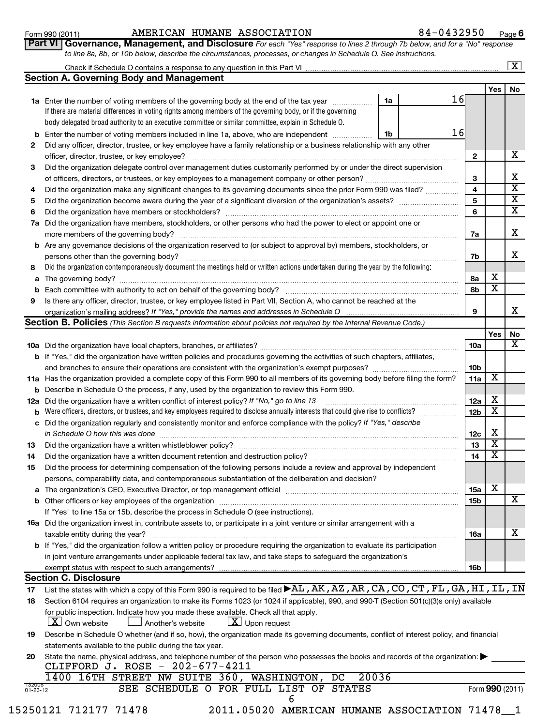### Form 990 (2011) Page AMERICAN HUMANE ASSOCIATION 84-0432950

**6**

**Yes No**

 $\overline{\text{x}}$ 

 $|10a$ 

|    | Part VI Governance, Management, and Disclosure For each "Yes" response to lines 2 through 7b below, and for a "No" response<br>to line 8a, 8b, or 10b below, describe the circumstances, processes, or changes in Schedule O. See instructions. |    |    |   |            |                      |  |  |
|----|-------------------------------------------------------------------------------------------------------------------------------------------------------------------------------------------------------------------------------------------------|----|----|---|------------|----------------------|--|--|
|    |                                                                                                                                                                                                                                                 |    |    |   |            | $\boxed{\textbf{X}}$ |  |  |
|    | <b>Section A. Governing Body and Management</b>                                                                                                                                                                                                 |    |    |   |            |                      |  |  |
|    |                                                                                                                                                                                                                                                 |    |    |   | <b>Yes</b> | <b>No</b>            |  |  |
|    | 1a Enter the number of voting members of the governing body at the end of the tax year                                                                                                                                                          | 1a | 16 |   |            |                      |  |  |
|    | If there are material differences in voting rights among members of the governing body, or if the governing                                                                                                                                     |    |    |   |            |                      |  |  |
|    | body delegated broad authority to an executive committee or similar committee, explain in Schedule O.                                                                                                                                           |    |    |   |            |                      |  |  |
| b  | Enter the number of voting members included in line 1a, above, who are independent                                                                                                                                                              | 1b | 16 |   |            |                      |  |  |
| 2  | Did any officer, director, trustee, or key employee have a family relationship or a business relationship with any other                                                                                                                        |    |    |   |            |                      |  |  |
|    | officer, director, trustee, or key employee?                                                                                                                                                                                                    |    |    | 2 |            | х                    |  |  |
| 3  | Did the organization delegate control over management duties customarily performed by or under the direct supervision                                                                                                                           |    |    |   |            |                      |  |  |
|    | 3<br>of officers, directors, or trustees, or key employees to a management company or other person?                                                                                                                                             |    |    |   |            |                      |  |  |
| 4  | $\overline{\mathbf{4}}$<br>Did the organization make any significant changes to its governing documents since the prior Form 990 was filed?                                                                                                     |    |    |   |            |                      |  |  |
| 5  | 5                                                                                                                                                                                                                                               |    |    |   |            |                      |  |  |
| 6  | 6                                                                                                                                                                                                                                               |    |    |   |            |                      |  |  |
| 7а | Did the organization have members, stockholders, or other persons who had the power to elect or appoint one or                                                                                                                                  |    |    |   |            |                      |  |  |
|    | more members of the governing body?<br>7a                                                                                                                                                                                                       |    |    |   |            |                      |  |  |
|    | b Are any governance decisions of the organization reserved to (or subject to approval by) members, stockholders, or                                                                                                                            |    |    |   |            |                      |  |  |
|    | persons other than the governing body?<br>7b                                                                                                                                                                                                    |    |    |   |            |                      |  |  |
| 8  | Did the organization contemporaneously document the meetings held or written actions undertaken during the year by the following:                                                                                                               |    |    |   |            |                      |  |  |
| a  | The governing body?<br>8a                                                                                                                                                                                                                       |    |    |   |            |                      |  |  |
|    | 8b                                                                                                                                                                                                                                              |    |    |   |            |                      |  |  |
| 9  | Is there any officer, director, trustee, or key employee listed in Part VII, Section A, who cannot be reached at the                                                                                                                            |    |    |   |            |                      |  |  |
|    | 9                                                                                                                                                                                                                                               |    |    |   |            |                      |  |  |
|    | <b>Section B. Policies</b> (This Section B requests information about policies not required by the Internal Revenue Code.)                                                                                                                      |    |    |   |            |                      |  |  |

**10 a** Did the organization have local chapters, branches, or affiliates? ~~~~~~~~~~~~~~~~~~~~~~~~~~~~~~

|                    | <b>b</b> If "Yes," did the organization have written policies and procedures governing the activities of such chapters, affiliates,        |                 |                         |                 |  |  |  |  |  |  |
|--------------------|--------------------------------------------------------------------------------------------------------------------------------------------|-----------------|-------------------------|-----------------|--|--|--|--|--|--|
|                    |                                                                                                                                            | 10 <sub>b</sub> |                         |                 |  |  |  |  |  |  |
|                    | 11a Has the organization provided a complete copy of this Form 990 to all members of its governing body before filing the form?            | 11a             | x                       |                 |  |  |  |  |  |  |
|                    | Describe in Schedule O the process, if any, used by the organization to review this Form 990.<br>b                                         |                 |                         |                 |  |  |  |  |  |  |
| 12a                | Did the organization have a written conflict of interest policy? If "No," go to line 13                                                    | 12a             | х                       |                 |  |  |  |  |  |  |
| b                  | Were officers, directors, or trustees, and key employees required to disclose annually interests that could give rise to conflicts?        | 12 <sub>b</sub> | x                       |                 |  |  |  |  |  |  |
| c                  | Did the organization regularly and consistently monitor and enforce compliance with the policy? If "Yes," describe                         |                 |                         |                 |  |  |  |  |  |  |
|                    | in Schedule O how this was done                                                                                                            | 12c             | х                       |                 |  |  |  |  |  |  |
| 13                 |                                                                                                                                            | 13              | $\overline{\textbf{x}}$ |                 |  |  |  |  |  |  |
| 14                 | Did the organization have a written document retention and destruction policy?                                                             | 14              | $\overline{\textbf{x}}$ |                 |  |  |  |  |  |  |
| 15                 | Did the process for determining compensation of the following persons include a review and approval by independent                         |                 |                         |                 |  |  |  |  |  |  |
|                    | persons, comparability data, and contemporaneous substantiation of the deliberation and decision?                                          |                 |                         |                 |  |  |  |  |  |  |
|                    |                                                                                                                                            | 15a             | х                       |                 |  |  |  |  |  |  |
|                    |                                                                                                                                            | 15 <sub>b</sub> |                         | X               |  |  |  |  |  |  |
|                    | If "Yes" to line 15a or 15b, describe the process in Schedule O (see instructions).                                                        |                 |                         |                 |  |  |  |  |  |  |
|                    | <b>16a</b> Did the organization invest in, contribute assets to, or participate in a joint venture or similar arrangement with a           |                 |                         |                 |  |  |  |  |  |  |
|                    | taxable entity during the year?                                                                                                            |                 |                         |                 |  |  |  |  |  |  |
|                    | <b>b</b> If "Yes," did the organization follow a written policy or procedure requiring the organization to evaluate its participation      |                 |                         |                 |  |  |  |  |  |  |
|                    | in joint venture arrangements under applicable federal tax law, and take steps to safeguard the organization's                             |                 |                         |                 |  |  |  |  |  |  |
|                    | <b>16b</b><br>exempt status with respect to such arrangements?                                                                             |                 |                         |                 |  |  |  |  |  |  |
|                    | <b>Section C. Disclosure</b>                                                                                                               |                 |                         |                 |  |  |  |  |  |  |
| 17                 | List the states with which a copy of this Form 990 is required to be filed ▶AL, AK, AZ, AR, CA, CO, CT, FL, GA, HI, IL, IN                 |                 |                         |                 |  |  |  |  |  |  |
| 18                 | Section 6104 requires an organization to make its Forms 1023 (or 1024 if applicable), 990, and 990-T (Section 501(c)(3)s only) available   |                 |                         |                 |  |  |  |  |  |  |
|                    | for public inspection. Indicate how you made these available. Check all that apply.                                                        |                 |                         |                 |  |  |  |  |  |  |
|                    | $ \underline{X} $ Own website<br>Another's website<br>$\lfloor \underline{X} \rfloor$ Upon request                                         |                 |                         |                 |  |  |  |  |  |  |
| 19                 | Describe in Schedule O whether (and if so, how), the organization made its governing documents, conflict of interest policy, and financial |                 |                         |                 |  |  |  |  |  |  |
|                    | statements available to the public during the tax year.                                                                                    |                 |                         |                 |  |  |  |  |  |  |
| 20                 | State the name, physical address, and telephone number of the person who possesses the books and records of the organization:              |                 |                         |                 |  |  |  |  |  |  |
|                    | CLIFFORD J. ROSE - 202-677-4211                                                                                                            |                 |                         |                 |  |  |  |  |  |  |
|                    | 1400 16TH STREET NW SUITE 360, WASHINGTON,<br>20036<br>DC                                                                                  |                 |                         |                 |  |  |  |  |  |  |
| 132006<br>01-23-12 | SEE SCHEDULE O FOR FULL LIST OF STATES                                                                                                     |                 |                         | Form 990 (2011) |  |  |  |  |  |  |
|                    | 6                                                                                                                                          |                 |                         |                 |  |  |  |  |  |  |

| 15250121 712177 71478 |  |  |
|-----------------------|--|--|
|-----------------------|--|--|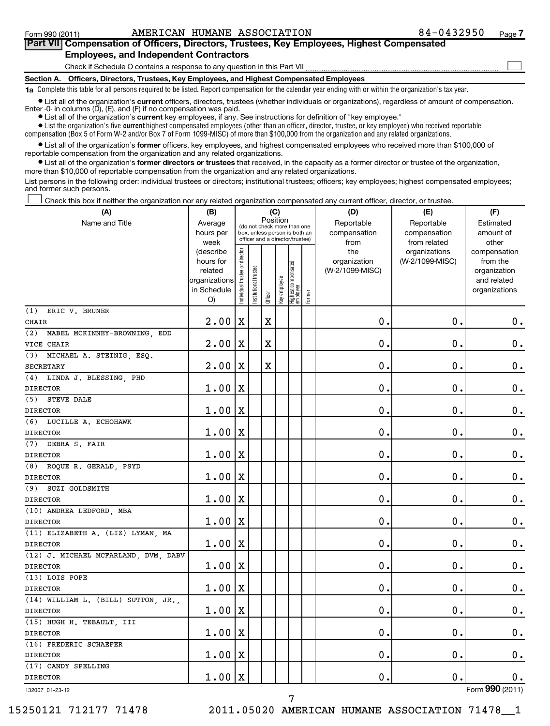### **Section A. Officers, Directors, Trustees, Key Employees, and Highest Compensated Employees 1a**  Complete this table for all persons required to be listed. Report compensation for the calendar year ending with or within the organization's tax year. Check if Schedule O contains a response to any question in this Part VII **Part VII Compensation of Officers, Directors, Trustees, Key Employees, Highest Compensated Employees, and Independent Contractors**  $\sim$

**•** List all of the organization's current officers, directors, trustees (whether individuals or organizations), regardless of amount of compensation. Enter -0- in columns  $(D)$ ,  $(E)$ , and  $(F)$  if no compensation was paid.

**•** List all of the organization's **current** key employees, if any. See instructions for definition of "key employee."

 $\bullet$  List the organization's five  $\tt current$  highest compensated employees (other than an officer, director, trustee, or key employee) who received reportable compensation (Box 5 of Form W-2 and/or Box 7 of Form 1099-MISC) of more than \$100,000 from the organization and any related organizations .

 $\bullet$  List all of the organization's former officers, key employees, and highest compensated employees who received more than \$100,000 of reportable compensation from the organization and any related organizations.

**•** List all of the organization's former directors or trustees that received, in the capacity as a former director or trustee of the organization, more than \$10,000 of reportable compensation from the organization and any related organizations.

List persons in the following order: individual trustees or directors; institutional trustees; officers; key employees; highest compensated employees; and former such persons.

Check this box if neither the organization nor any related organization compensated any current officer, director, or trustee.  $\left\vert \cdot\right\vert$ 

| (A)                                          | (B)                                                |                                |                                                                  |             | (C)          |                                   |            | (D)                  | (E)                           | (F)                          |
|----------------------------------------------|----------------------------------------------------|--------------------------------|------------------------------------------------------------------|-------------|--------------|-----------------------------------|------------|----------------------|-------------------------------|------------------------------|
| Name and Title                               | Position<br>Average<br>(do not check more than one |                                |                                                                  |             |              |                                   | Reportable | Reportable           | Estimated                     |                              |
|                                              | hours per<br>week                                  |                                | box, unless person is both an<br>officer and a director/trustee) |             |              |                                   |            | compensation<br>from | compensation                  | amount of<br>other           |
|                                              | (describe                                          |                                |                                                                  |             |              |                                   |            | the                  | from related<br>organizations | compensation                 |
|                                              | hours for                                          |                                |                                                                  |             |              |                                   |            | organization         | (W-2/1099-MISC)               | from the                     |
|                                              | related                                            |                                |                                                                  |             |              |                                   |            | (W-2/1099-MISC)      |                               | organization                 |
|                                              | organizations<br>in Schedule                       |                                |                                                                  |             |              |                                   |            |                      |                               | and related<br>organizations |
|                                              | O)                                                 | Individual trustee or director | Institutional trustee                                            | Officer     | Key employee | Highest compensated<br>  employee | Former     |                      |                               |                              |
| (1)<br>ERIC V. BRUNER                        |                                                    |                                |                                                                  |             |              |                                   |            |                      |                               |                              |
| <b>CHAIR</b>                                 | 2.00                                               | $\mathbf X$                    |                                                                  | $\mathbf X$ |              |                                   |            | $\mathbf 0$ .        | $\mathbf 0$ .                 | 0.                           |
| (2)<br>MABEL MCKINNEY-BROWNING, EDD          |                                                    |                                |                                                                  |             |              |                                   |            |                      |                               |                              |
| VICE CHAIR                                   | 2.00                                               | $\mathbf X$                    |                                                                  | $\mathbf X$ |              |                                   |            | $\mathbf 0$ .        | $\mathbf 0$ .                 | $\mathbf 0$ .                |
| (3)<br>MICHAEL A. STEINIG, ESQ.              |                                                    |                                |                                                                  |             |              |                                   |            |                      |                               |                              |
| SECRETARY                                    | 2.00                                               | X                              |                                                                  | $\mathbf X$ |              |                                   |            | $\mathbf 0$ .        | $\mathbf 0$ .                 | $\mathbf 0$ .                |
| (4) LINDA J. BLESSING, PHD                   |                                                    |                                |                                                                  |             |              |                                   |            |                      |                               |                              |
| <b>DIRECTOR</b>                              | 1.00                                               | $\mathbf X$                    |                                                                  |             |              |                                   |            | $\mathbf{0}$         | $\mathbf 0$ .                 | $\mathbf 0$ .                |
| (5)<br>STEVE DALE                            |                                                    |                                |                                                                  |             |              |                                   |            |                      |                               |                              |
| <b>DIRECTOR</b>                              | 1.00                                               | X                              |                                                                  |             |              |                                   |            | $\mathbf 0$          | $\mathbf 0$ .                 | $\mathbf 0$ .                |
| (6) LUCILLE A. ECHOHAWK                      |                                                    |                                |                                                                  |             |              |                                   |            |                      |                               |                              |
| <b>DIRECTOR</b>                              | 1.00                                               | $\mathbf X$                    |                                                                  |             |              |                                   |            | $\mathbf 0$          | $\mathbf 0$ .                 | $\mathbf 0$ .                |
| DEBRA S. FAIR<br>(7)                         |                                                    |                                |                                                                  |             |              |                                   |            |                      |                               |                              |
| <b>DIRECTOR</b>                              | 1.00                                               | х                              |                                                                  |             |              |                                   |            | $\mathbf 0$ .        | $\mathbf 0$ .                 | $\mathbf 0$ .                |
| (8) ROQUE R. GERALD, PSYD                    |                                                    |                                |                                                                  |             |              |                                   |            |                      |                               |                              |
| <b>DIRECTOR</b>                              | 1.00                                               | X                              |                                                                  |             |              |                                   |            | $\mathbf 0$ .        | $\mathbf 0$ .                 | $\mathbf 0$ .                |
| SUZI GOLDSMITH<br>(9)                        |                                                    |                                |                                                                  |             |              |                                   |            |                      |                               |                              |
| <b>DIRECTOR</b>                              | 1.00                                               | $\mathbf X$                    |                                                                  |             |              |                                   |            | $\mathbf 0$ .        | $\mathbf 0$ .                 | $\mathbf 0$ .                |
| (10) ANDREA LEDFORD, MBA                     |                                                    |                                |                                                                  |             |              |                                   |            |                      |                               |                              |
| <b>DIRECTOR</b>                              | 1.00                                               | Х                              |                                                                  |             |              |                                   |            | $\mathbf 0$ .        | $\mathbf 0$ .                 | $\mathbf 0$ .                |
| (11) ELIZABETH A. (LIZ) LYMAN, MA            |                                                    |                                |                                                                  |             |              |                                   |            |                      |                               |                              |
| <b>DIRECTOR</b>                              | 1.00                                               | X                              |                                                                  |             |              |                                   |            | $\mathbf 0$ .        | $\mathbf 0$                   | $\mathbf 0$ .                |
| (12) J. MICHAEL MCFARLAND, DVM, DABV         |                                                    |                                |                                                                  |             |              |                                   |            |                      |                               |                              |
| <b>DIRECTOR</b>                              | 1.00                                               | X                              |                                                                  |             |              |                                   |            | $\mathbf 0$ .        | $\mathbf 0$ .                 | $\mathbf 0$ .                |
| (13) LOIS POPE                               |                                                    |                                |                                                                  |             |              |                                   |            |                      |                               |                              |
| <b>DIRECTOR</b>                              | 1.00                                               | $\mathbf X$                    |                                                                  |             |              |                                   |            | $\mathbf 0$ .        | $\mathbf 0$ .                 | $\mathbf 0$ .                |
| (14) WILLIAM L. (BILL) SUTTON, JR.,          |                                                    |                                |                                                                  |             |              |                                   |            | $\mathbf 0$ .        | $\mathbf 0$ .                 |                              |
| <b>DIRECTOR</b>                              | 1.00                                               | X                              |                                                                  |             |              |                                   |            |                      |                               | 0.                           |
| (15) HUGH H. TEBAULT, III<br><b>DIRECTOR</b> | 1.00                                               | X                              |                                                                  |             |              |                                   |            | $\mathbf 0$ .        | $\mathbf 0$ .                 | 0.                           |
|                                              |                                                    |                                |                                                                  |             |              |                                   |            |                      |                               |                              |
| (16) FREDERIC SCHAEFER<br><b>DIRECTOR</b>    | 1.00                                               | $\mathbf X$                    |                                                                  |             |              |                                   |            | 0.                   | $\mathbf 0$ .                 | $\mathbf 0$ .                |
| (17) CANDY SPELLING                          |                                                    |                                |                                                                  |             |              |                                   |            |                      |                               |                              |
| <b>DIRECTOR</b>                              | 1.00                                               | $\mathbf X$                    |                                                                  |             |              |                                   |            | 0.                   | $\mathbf 0$ .                 | 0.                           |
|                                              |                                                    |                                |                                                                  |             |              |                                   |            |                      |                               | Form 990 (2011)              |
| 132007 01-23-12                              |                                                    |                                |                                                                  |             |              |                                   |            |                      |                               |                              |

7

132007 01-23-12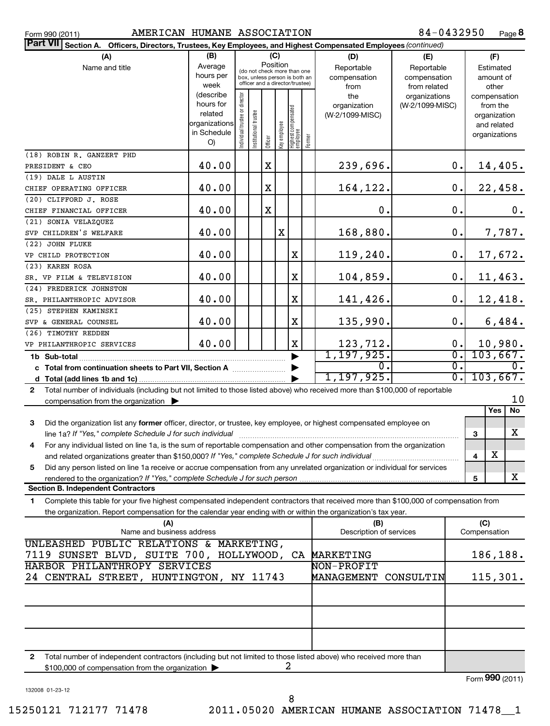### Form 990 (2011) Page AMERICAN HUMANE ASSOCIATION 84-0432950

84-0432950 Page 8

| Part VII Section A. Officers, Directors, Trustees, Key Employees, and Highest Compensated Employees (continued)                                                                                           |                        |                                |                       |             |                       |                                  |        |                                 |                 |               |              |                          |
|-----------------------------------------------------------------------------------------------------------------------------------------------------------------------------------------------------------|------------------------|--------------------------------|-----------------------|-------------|-----------------------|----------------------------------|--------|---------------------------------|-----------------|---------------|--------------|--------------------------|
| (A)                                                                                                                                                                                                       | (B)                    |                                |                       |             | (C)                   |                                  |        | (D)                             | (E)             |               |              | (F)                      |
| Name and title                                                                                                                                                                                            | Average                |                                |                       | Position    |                       | (do not check more than one      |        | Reportable                      | Reportable      |               |              | Estimated                |
|                                                                                                                                                                                                           | hours per              |                                |                       |             |                       | box, unless person is both an    |        | compensation                    | compensation    |               |              | amount of                |
|                                                                                                                                                                                                           | week                   |                                |                       |             |                       | officer and a director/trustee)  |        | from                            | from related    |               |              | other                    |
|                                                                                                                                                                                                           | (describe<br>hours for |                                |                       |             |                       |                                  |        | the                             | organizations   |               |              | compensation             |
|                                                                                                                                                                                                           | related                |                                |                       |             |                       |                                  |        | organization<br>(W-2/1099-MISC) | (W-2/1099-MISC) |               |              | from the<br>organization |
|                                                                                                                                                                                                           | organizations          |                                |                       |             |                       |                                  |        |                                 |                 |               |              | and related              |
|                                                                                                                                                                                                           | in Schedule            |                                |                       |             |                       |                                  |        |                                 |                 |               |              | organizations            |
|                                                                                                                                                                                                           | O()                    | Individual trustee or director | Institutional trustee | Officer     | eevold we <i>K</i> ey | Highest compensated<br> employee | Former |                                 |                 |               |              |                          |
| (18) ROBIN R. GANZERT PHD                                                                                                                                                                                 |                        |                                |                       |             |                       |                                  |        |                                 |                 |               |              |                          |
| PRESIDENT & CEO                                                                                                                                                                                           | 40.00                  |                                |                       | $\mathbf X$ |                       |                                  |        | 239,696.                        |                 | $\mathbf 0$ . |              | 14,405.                  |
| (19) DALE L AUSTIN                                                                                                                                                                                        |                        |                                |                       |             |                       |                                  |        |                                 |                 |               |              |                          |
| CHIEF OPERATING OFFICER                                                                                                                                                                                   | 40.00                  |                                |                       | $\mathbf X$ |                       |                                  |        | 164,122.                        |                 | $\mathbf 0$ . |              | 22,458.                  |
| (20) CLIFFORD J. ROSE                                                                                                                                                                                     |                        |                                |                       |             |                       |                                  |        |                                 |                 |               |              |                          |
| CHIEF FINANCIAL OFFICER                                                                                                                                                                                   | 40.00                  |                                |                       | $\mathbf X$ |                       |                                  |        | $\mathbf 0$ .                   |                 | $\mathbf 0$ . |              | 0.                       |
| (21) SONIA VELAZQUEZ                                                                                                                                                                                      |                        |                                |                       |             |                       |                                  |        |                                 |                 |               |              |                          |
| SVP CHILDREN'S WELFARE                                                                                                                                                                                    | 40.00                  |                                |                       |             | X                     |                                  |        | 168,880.                        |                 | $\mathbf 0$ . |              | 7,787.                   |
| (22) JOHN FLUKE                                                                                                                                                                                           |                        |                                |                       |             |                       |                                  |        |                                 |                 |               |              |                          |
| VP CHILD PROTECTION                                                                                                                                                                                       | 40.00                  |                                |                       |             |                       | X                                |        | 119,240.                        |                 | $\mathbf 0$ . |              | 17,672.                  |
| (23) KAREN ROSA                                                                                                                                                                                           |                        |                                |                       |             |                       |                                  |        |                                 |                 |               |              |                          |
| SR. VP FILM & TELEVISION<br>(24) FREDERICK JOHNSTON                                                                                                                                                       | 40.00                  |                                |                       |             |                       | X                                |        | 104,859.                        |                 | $\mathbf 0$ . |              | 11,463.                  |
| SR. PHILANTHROPIC ADVISOR                                                                                                                                                                                 | 40.00                  |                                |                       |             |                       | X                                |        | 141,426.                        |                 | $\mathbf 0$ . |              | 12,418.                  |
| (25) STEPHEN KAMINSKI                                                                                                                                                                                     |                        |                                |                       |             |                       |                                  |        |                                 |                 |               |              |                          |
| SVP & GENERAL COUNSEL                                                                                                                                                                                     | 40.00                  |                                |                       |             |                       | X                                |        | 135,990.                        |                 | 0.            |              | 6,484.                   |
| (26) TIMOTHY REDDEN                                                                                                                                                                                       |                        |                                |                       |             |                       |                                  |        |                                 |                 |               |              |                          |
| VP PHILANTHROPIC SERVICES                                                                                                                                                                                 | 40.00                  |                                |                       |             |                       | $\mathbf X$                      |        | 123,712.                        |                 | $\mathbf 0$ . |              | 10,980.                  |
| 1b Sub-total                                                                                                                                                                                              |                        |                                |                       |             |                       |                                  |        | 1,197,925.                      |                 | σ.            |              | 103,667.                 |
| c Total from continuation sheets to Part VII, Section A                                                                                                                                                   |                        |                                |                       |             |                       |                                  |        | $\mathbf{0}$ .                  |                 | σ.            |              | ο.                       |
|                                                                                                                                                                                                           |                        |                                |                       |             |                       |                                  |        | 1, 197, 925.                    |                 | σ.            |              | 103,667.                 |
| Total number of individuals (including but not limited to those listed above) who received more than \$100,000 of reportable<br>$\mathbf{2}$                                                              |                        |                                |                       |             |                       |                                  |        |                                 |                 |               |              |                          |
| compensation from the organization $\blacktriangleright$                                                                                                                                                  |                        |                                |                       |             |                       |                                  |        |                                 |                 |               |              | 10                       |
|                                                                                                                                                                                                           |                        |                                |                       |             |                       |                                  |        |                                 |                 |               |              | Yes<br><b>No</b>         |
| 3<br>Did the organization list any former officer, director, or trustee, key employee, or highest compensated employee on                                                                                 |                        |                                |                       |             |                       |                                  |        |                                 |                 |               |              |                          |
| line 1a? If "Yes," complete Schedule J for such individual                                                                                                                                                |                        |                                |                       |             |                       |                                  |        |                                 |                 |               | 3            | X                        |
| For any individual listed on line 1a, is the sum of reportable compensation and other compensation from the organization<br>4                                                                             |                        |                                |                       |             |                       |                                  |        |                                 |                 |               |              | $\overline{\textbf{X}}$  |
| 5                                                                                                                                                                                                         |                        |                                |                       |             |                       |                                  |        |                                 |                 |               | 4            |                          |
| Did any person listed on line 1a receive or accrue compensation from any unrelated organization or individual for services<br>rendered to the organization? If "Yes," complete Schedule J for such person |                        |                                |                       |             |                       |                                  |        |                                 |                 |               | 5            | X                        |
| <b>Section B. Independent Contractors</b>                                                                                                                                                                 |                        |                                |                       |             |                       |                                  |        |                                 |                 |               |              |                          |
| Complete this table for your five highest compensated independent contractors that received more than \$100,000 of compensation from<br>1                                                                 |                        |                                |                       |             |                       |                                  |        |                                 |                 |               |              |                          |
| the organization. Report compensation for the calendar year ending with or within the organization's tax year.                                                                                            |                        |                                |                       |             |                       |                                  |        |                                 |                 |               |              |                          |
| (A)                                                                                                                                                                                                       |                        |                                |                       |             |                       |                                  |        | (B)                             |                 |               | (C)          |                          |
| Name and business address                                                                                                                                                                                 |                        |                                |                       |             |                       |                                  |        | Description of services         |                 |               | Compensation |                          |
| UNLEASHED PUBLIC RELATIONS & MARKETING,                                                                                                                                                                   |                        |                                |                       |             |                       |                                  |        |                                 |                 |               |              |                          |
| 7119 SUNSET BLVD, SUITE 700, HOLLYWOOD, CA                                                                                                                                                                |                        |                                |                       |             |                       |                                  |        | MARKETING                       |                 |               |              | 186,188.                 |
| HARBOR PHILANTHROPY SERVICES<br>NON-PROFIT                                                                                                                                                                |                        |                                |                       |             |                       |                                  |        |                                 |                 |               |              |                          |
| 24 CENTRAL STREET, HUNTINGTON, NY 11743<br>115,301.<br>MANAGEMENT<br>CONSULTIN                                                                                                                            |                        |                                |                       |             |                       |                                  |        |                                 |                 |               |              |                          |
|                                                                                                                                                                                                           |                        |                                |                       |             |                       |                                  |        |                                 |                 |               |              |                          |
|                                                                                                                                                                                                           |                        |                                |                       |             |                       |                                  |        |                                 |                 |               |              |                          |
|                                                                                                                                                                                                           |                        |                                |                       |             |                       |                                  |        |                                 |                 |               |              |                          |
|                                                                                                                                                                                                           |                        |                                |                       |             |                       |                                  |        |                                 |                 |               |              |                          |
|                                                                                                                                                                                                           |                        |                                |                       |             |                       |                                  |        |                                 |                 |               |              |                          |
| Total number of independent contractors (including but not limited to those listed above) who received more than<br>2                                                                                     |                        |                                |                       |             |                       |                                  |        |                                 |                 |               |              |                          |

\$100,000 of compensation from the organization 2

132008 01-23-12

8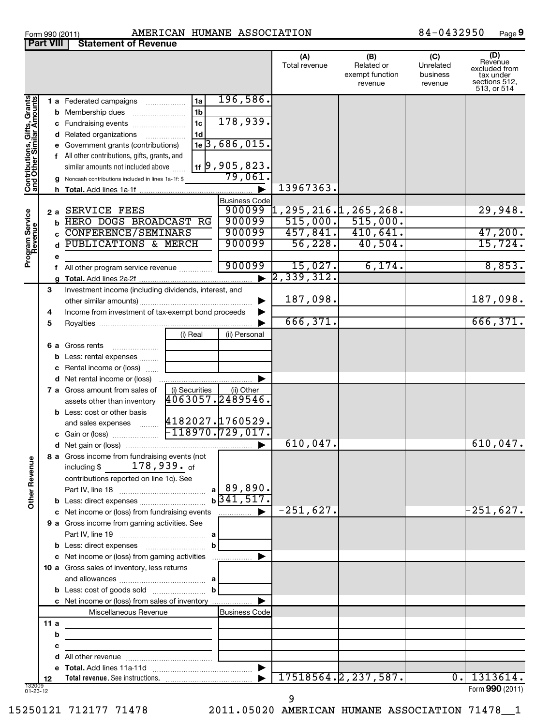| Form 990 (2011) | AMERICA                               |
|-----------------|---------------------------------------|
|                 | <b>Part VIII Statement of Revenue</b> |

### Form 990 (2011) Page AMERICAN HUMANE ASSOCIATION 84-0432950

84-0432950 Page 9

|                                                           |           |                                                                                                                                                                                                                                                                                                    |                                                                          |                                                                        | (A)<br>Total revenue                                                           | (B)<br>Related or<br>exempt function<br>revenue        | (C)<br>Unrelated<br>business<br>revenue | (D)<br>Revenue<br>excluded from<br>tax under<br>sections 512,<br>513, or 514 |
|-----------------------------------------------------------|-----------|----------------------------------------------------------------------------------------------------------------------------------------------------------------------------------------------------------------------------------------------------------------------------------------------------|--------------------------------------------------------------------------|------------------------------------------------------------------------|--------------------------------------------------------------------------------|--------------------------------------------------------|-----------------------------------------|------------------------------------------------------------------------------|
| Contributions, Gifts, Grants<br>and Other Similar Amounts |           | 1 a Federated campaigns<br><b>b</b> Membership dues<br>c Fundraising events<br>d Related organizations<br>e Government grants (contributions)<br>f All other contributions, gifts, grants, and<br>similar amounts not included above<br><b>g</b> Noncash contributions included in lines 1a-1f: \$ | 1a<br>1 <sub>b</sub><br>1 <sub>c</sub><br>1d<br>$\overline{\phantom{a}}$ | 196,586.<br>178,939.<br>$1e$ 3,686,015.<br>$1f$  9,905,823.<br>79,061  | 13967363.                                                                      |                                                        |                                         |                                                                              |
| Program Service<br>Revenue                                | е         | 2 a SERVICE FEES<br><b>b HERO DOGS BROADCAST RG</b><br>c CONFERENCE/SEMINARS<br>d PUBLICATIONS & MERCH<br>f All other program service revenue                                                                                                                                                      |                                                                          | <b>Business Code</b><br>900099<br>900099<br>900099<br>900099<br>900099 | $\left[1\,,295\,,216\,. \right]$ 1,265,268.<br>457,841.<br>56, 228.<br>15,027. | $515,000.$ $515,000.$<br>410,641.<br>40,504.<br>6,174. |                                         | 29,948.<br>47,200.<br>15,724.<br>8,853.                                      |
|                                                           | 3         | Investment income (including dividends, interest, and                                                                                                                                                                                                                                              |                                                                          | $\blacktriangleright$                                                  | 2,339,312.                                                                     |                                                        |                                         |                                                                              |
|                                                           |           |                                                                                                                                                                                                                                                                                                    |                                                                          | ▶                                                                      | 187,098.                                                                       |                                                        |                                         | 187,098.                                                                     |
|                                                           | 4<br>5    | Income from investment of tax-exempt bond proceeds                                                                                                                                                                                                                                                 |                                                                          | ▶                                                                      | 666,371.                                                                       |                                                        |                                         | 666, 371.                                                                    |
|                                                           |           | 6 a Gross rents<br><b>b</b> Less: rental expenses<br>c Rental income or (loss)                                                                                                                                                                                                                     | (i) Real                                                                 | (ii) Personal                                                          |                                                                                |                                                        |                                         |                                                                              |
|                                                           |           | <b>d</b> Net rental income or (loss)<br><b>7 a</b> Gross amount from sales of<br>assets other than inventory                                                                                                                                                                                       | (i) Securities<br>4063057.2489546.                                       | (ii) Other                                                             |                                                                                |                                                        |                                         |                                                                              |
| ₾                                                         |           | <b>b</b> Less: cost or other basis<br>and sales expenses  4182027.1760529.<br>8 a Gross income from fundraising events (not                                                                                                                                                                        |                                                                          |                                                                        | $610,047$ .                                                                    |                                                        |                                         | 610,047.                                                                     |
| Other Reven                                               |           | $178,939.$ of<br>including \$<br>contributions reported on line 1c). See<br>c Net income or (loss) from fundraising events                                                                                                                                                                         |                                                                          | $a$   89,890.<br>$b\overline{341,517}$<br>.                            | $-251,627.$                                                                    |                                                        |                                         | $-251,627$ .                                                                 |
|                                                           |           | 9 a Gross income from gaming activities. See                                                                                                                                                                                                                                                       | b                                                                        |                                                                        |                                                                                |                                                        |                                         |                                                                              |
|                                                           |           | c Net income or (loss) from gaming activities<br>10 a Gross sales of inventory, less returns                                                                                                                                                                                                       |                                                                          |                                                                        |                                                                                |                                                        |                                         |                                                                              |
|                                                           |           | c Net income or (loss) from sales of inventory                                                                                                                                                                                                                                                     | b                                                                        |                                                                        |                                                                                |                                                        |                                         |                                                                              |
|                                                           | 11 a<br>b | Miscellaneous Revenue<br>the control of the control of the control of the control of the control of<br>the control of the control of the control of the control of the control of                                                                                                                  |                                                                          | Business Code                                                          |                                                                                |                                                        |                                         |                                                                              |
|                                                           | с         |                                                                                                                                                                                                                                                                                                    |                                                                          |                                                                        |                                                                                |                                                        |                                         |                                                                              |
|                                                           | d         |                                                                                                                                                                                                                                                                                                    |                                                                          | $\blacktriangleright$                                                  |                                                                                |                                                        |                                         |                                                                              |
| 132009<br>01-23-12                                        | 12        |                                                                                                                                                                                                                                                                                                    |                                                                          |                                                                        |                                                                                | 17518564.2,237,587.                                    | $\overline{0}$ .                        | 1313614.<br>Form 990 (2011)                                                  |

9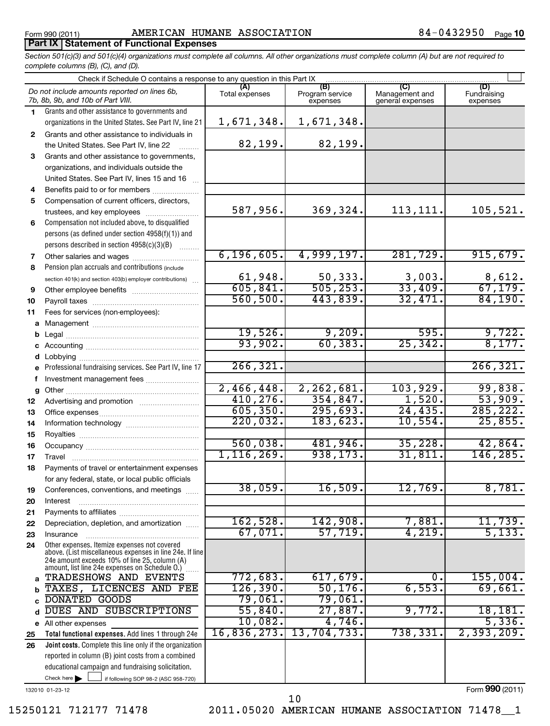### Form 990 (2011) Page AMERICAN HUMANE ASSOCIATION 84-0432950 **Part IX Statement of Functional Expenses**

*Section 501(c)(3) and 501(c)(4) organizations must complete all columns. All other organizations must complete column (A) but are not required to complete columns (B), (C), and (D).*

|              | Check if Schedule O contains a response to any question in this Part IX                                   |                |                                    |                                    |                                |
|--------------|-----------------------------------------------------------------------------------------------------------|----------------|------------------------------------|------------------------------------|--------------------------------|
|              | Do not include amounts reported on lines 6b,<br>7b, 8b, 9b, and 10b of Part VIII.                         | Total expenses | (B)<br>Program service<br>expenses | Management and<br>general expenses | (D)<br>Fundraising<br>expenses |
| 1.           | Grants and other assistance to governments and                                                            |                |                                    |                                    |                                |
|              | organizations in the United States. See Part IV, line 21                                                  | 1,671,348.     | 1,671,348.                         |                                    |                                |
| $\mathbf{2}$ | Grants and other assistance to individuals in                                                             |                |                                    |                                    |                                |
|              | the United States. See Part IV, line 22                                                                   | 82,199.        | 82,199.                            |                                    |                                |
| 3            | Grants and other assistance to governments,                                                               |                |                                    |                                    |                                |
|              | organizations, and individuals outside the                                                                |                |                                    |                                    |                                |
|              | United States. See Part IV, lines 15 and 16                                                               |                |                                    |                                    |                                |
| 4            | Benefits paid to or for members                                                                           |                |                                    |                                    |                                |
| 5            | Compensation of current officers, directors,                                                              |                |                                    |                                    |                                |
|              | trustees, and key employees                                                                               | 587,956.       | 369,324.                           | 113,111.                           | 105,521.                       |
| 6            | Compensation not included above, to disqualified                                                          |                |                                    |                                    |                                |
|              | persons (as defined under section 4958(f)(1)) and                                                         |                |                                    |                                    |                                |
|              | persons described in section 4958(c)(3)(B)                                                                | 6, 196, 605.   | 4,999,197.                         | 281,729.                           | 915,679.                       |
| 7<br>8       | Other salaries and wages<br>Pension plan accruals and contributions (include                              |                |                                    |                                    |                                |
|              | section 401(k) and section 403(b) employer contributions)                                                 | 61,948.        |                                    |                                    |                                |
| 9            |                                                                                                           | 605, 841.      | $\frac{50,333}{505,253}$           | $\frac{3,003}{33,409}$             | $\frac{8,612}{67,179}$         |
| 10           |                                                                                                           | 560, 500.      | 443,839.                           | 32,471.                            | 84,190.                        |
| 11           | Fees for services (non-employees):                                                                        |                |                                    |                                    |                                |
| a            |                                                                                                           |                |                                    |                                    |                                |
| b            |                                                                                                           | 19,526.        | 9,209.                             | 595.                               | 9,722.                         |
| c            |                                                                                                           | 93,902.        | 60, 383.                           | 25, 342.                           | 8,177.                         |
| d            | Lobbying                                                                                                  |                |                                    |                                    |                                |
|              | Professional fundraising services. See Part IV, line 17                                                   | 266, 321.      |                                    |                                    | 266, 321.                      |
| f            | Investment management fees                                                                                |                |                                    |                                    |                                |
| g            |                                                                                                           | 2,466,448.     | 2, 262, 681.                       | 103,929.                           | 99,838.                        |
| 12           |                                                                                                           | 410, 276.      | 354,847.                           | 1,520.                             | 53,909.                        |
| 13           |                                                                                                           | 605, 350.      | 295,693.                           | 24, 435.                           | 285, 222.                      |
| 14           |                                                                                                           | 220,032.       | 183,623.                           | 10,554.                            | 25,855.                        |
| 15           |                                                                                                           |                |                                    |                                    |                                |
| 16           |                                                                                                           | 560,038.       | 481,946.                           | 35,228.                            | 42,864.                        |
| 17           |                                                                                                           | 1,116,269.     | 938, 173.                          | 31,811.                            | 146, 285.                      |
| 18           | Payments of travel or entertainment expenses                                                              |                |                                    |                                    |                                |
|              | for any federal, state, or local public officials                                                         | 38,059.        | 16,509.                            | 12,769.                            | 8,781.                         |
| 19           | Conferences, conventions, and meetings                                                                    |                |                                    |                                    |                                |
| 20<br>21     | Interest                                                                                                  |                |                                    |                                    |                                |
| 22           | Depreciation, depletion, and amortization                                                                 | 162,528.       | 142,908.                           | 7,881.                             | 11,739.                        |
| 23           | Insurance                                                                                                 | 67,071.        | 57,719.                            | 4,219.                             | 5,133.                         |
| 24           | Other expenses. Itemize expenses not covered                                                              |                |                                    |                                    |                                |
|              | above. (List miscellaneous expenses in line 24e. If line<br>24e amount exceeds 10% of line 25, column (A) |                |                                    |                                    |                                |
|              | amount, list line 24e expenses on Schedule O.)<br>TRADESHOWS AND EVENTS                                   | 772,683.       | 617,679.                           | о.                                 | 155,004.                       |
| a<br>b       | TAXES, LICENCES AND FEE                                                                                   | 126, 390.      | 50, 176.                           | 6,553.                             | 69,661.                        |
| C            | <b>DONATED GOODS</b>                                                                                      | 79,061.        | 79,061.                            |                                    |                                |
| d            | DUES AND SUBSCRIPTIONS                                                                                    | 55,840.        | 27,887.                            | 9,772.                             | 18, 181.                       |
| е            | All other expenses                                                                                        | 10,082.        | 4,746.                             |                                    | 5,336.                         |
| 25           | Total functional expenses. Add lines 1 through 24e                                                        | 16,836,273.    | 13,704,733.                        | 738,331.                           | 2,393,209.                     |
| 26           | Joint costs. Complete this line only if the organization                                                  |                |                                    |                                    |                                |
|              | reported in column (B) joint costs from a combined                                                        |                |                                    |                                    |                                |
|              | educational campaign and fundraising solicitation.                                                        |                |                                    |                                    |                                |
|              | Check here<br>if following SOP 98-2 (ASC 958-720)                                                         |                |                                    |                                    |                                |

132010 01-23-12

Form (2011) **990**

15250121 712177 71478 2011.05020 AMERICAN HUMANE ASSOCIATION 71478\_\_1

10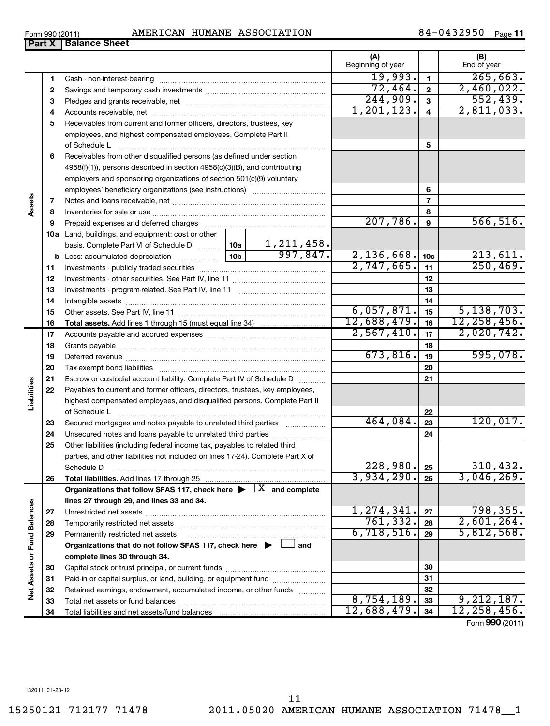| Form 990 (2011)             |  |  |
|-----------------------------|--|--|
| <b>Part X Balance Sheet</b> |  |  |

### Form 990 (2011) Page AMERICAN HUMANE ASSOCIATION 84-0432950

84-0432950 Page 11

|                             | $\mathbf{u}$ $\mathbf{v}$ |                                                                                                                             |                               |                          |                         |                    |
|-----------------------------|---------------------------|-----------------------------------------------------------------------------------------------------------------------------|-------------------------------|--------------------------|-------------------------|--------------------|
|                             |                           |                                                                                                                             |                               | (A)<br>Beginning of year |                         | (B)<br>End of year |
|                             | 1                         |                                                                                                                             |                               | 19,993.                  | $\mathbf{1}$            | 265,663.           |
|                             | 2                         |                                                                                                                             |                               | 72,464.                  | $\overline{\mathbf{2}}$ | 2,460,022.         |
|                             | 3                         |                                                                                                                             |                               | 244,909.                 | 3                       | 552,439.           |
|                             | 4                         |                                                                                                                             |                               | 1, 201, 123.             | $\overline{4}$          | 2,811,033.         |
|                             | 5                         | Receivables from current and former officers, directors, trustees, key                                                      |                               |                          |                         |                    |
|                             |                           | employees, and highest compensated employees. Complete Part II                                                              |                               |                          |                         |                    |
|                             |                           | of Schedule L                                                                                                               |                               |                          | 5                       |                    |
|                             | 6                         | Receivables from other disqualified persons (as defined under section                                                       |                               |                          |                         |                    |
|                             |                           | 4958(f)(1)), persons described in section 4958(c)(3)(B), and contributing                                                   |                               |                          |                         |                    |
|                             |                           | employers and sponsoring organizations of section 501(c)(9) voluntary                                                       |                               |                          |                         |                    |
|                             |                           |                                                                                                                             |                               |                          | 6                       |                    |
|                             | 7                         |                                                                                                                             |                               |                          | $\overline{7}$          |                    |
| Assets                      | 8                         |                                                                                                                             |                               |                          | 8                       |                    |
|                             | 9                         |                                                                                                                             |                               | 207,786.                 | 9                       | 566, 516.          |
|                             |                           | 10a Land, buildings, and equipment: cost or other                                                                           |                               |                          |                         |                    |
|                             |                           | basis. Complete Part VI of Schedule D  10a                                                                                  | $\frac{1,211,458.}{997,847.}$ |                          |                         |                    |
|                             |                           |                                                                                                                             |                               | 2,136,668.               | 10 <sub>c</sub>         | 213,611.           |
|                             | 11                        |                                                                                                                             |                               | 2,747,665.               | 11                      | 250, 469.          |
|                             | 12                        |                                                                                                                             |                               |                          | 12                      |                    |
|                             | 13                        |                                                                                                                             |                               |                          | 13                      |                    |
|                             | 14                        |                                                                                                                             |                               |                          | 14                      |                    |
|                             | 15                        |                                                                                                                             |                               | 6,057,871.               | 15                      | 5,138,703.         |
|                             | 16                        |                                                                                                                             |                               | 12,688,479.              | 16                      | 12, 258, 456.      |
|                             | 17                        |                                                                                                                             |                               | 2,567,410.               | 17                      | 2,020,742.         |
|                             | 18                        |                                                                                                                             |                               |                          | 18                      |                    |
|                             | 19                        |                                                                                                                             |                               | 673,816.                 | 19                      | 595,078.           |
|                             | 20                        |                                                                                                                             |                               |                          | 20                      |                    |
|                             | 21                        | Escrow or custodial account liability. Complete Part IV of Schedule D                                                       |                               |                          | 21                      |                    |
|                             | 22                        | Payables to current and former officers, directors, trustees, key employees,                                                |                               |                          |                         |                    |
| Liabilities                 |                           | highest compensated employees, and disqualified persons. Complete Part II                                                   |                               |                          |                         |                    |
|                             |                           | of Schedule L                                                                                                               |                               |                          | 22                      |                    |
|                             | 23                        | Secured mortgages and notes payable to unrelated third parties                                                              |                               | 464,084.                 | 23                      | 120,017.           |
|                             | 24                        |                                                                                                                             |                               |                          | 24                      |                    |
|                             | 25                        | Other liabilities (including federal income tax, payables to related third                                                  |                               |                          |                         |                    |
|                             |                           | parties, and other liabilities not included on lines 17-24). Complete Part X of                                             |                               | 228,980.                 |                         | 310,432.           |
|                             |                           | Schedule D                                                                                                                  |                               | 3,934,290.               | 25<br>26                | 3,046,269.         |
|                             | 26                        | Organizations that follow SFAS 117, check here $\blacktriangleright \begin{array}{c} \boxed{X} \\ \end{array}$ and complete |                               |                          |                         |                    |
|                             |                           | lines 27 through 29, and lines 33 and 34.                                                                                   |                               |                          |                         |                    |
|                             | 27                        |                                                                                                                             |                               | 1,274,341.               | 27                      | 798,355.           |
|                             | 28                        |                                                                                                                             |                               | 761, 332.                | 28                      | 2,601,264.         |
|                             | 29                        | Permanently restricted net assets                                                                                           |                               | 6,718,516.               | 29                      | 5,812,568.         |
|                             |                           | Organizations that do not follow SFAS 117, check here $\blacktriangleright$                                                 | and                           |                          |                         |                    |
|                             |                           | complete lines 30 through 34.                                                                                               |                               |                          |                         |                    |
| Net Assets or Fund Balances | 30                        |                                                                                                                             |                               |                          | 30                      |                    |
|                             | 31                        | Paid-in or capital surplus, or land, building, or equipment fund                                                            |                               |                          | 31                      |                    |
|                             | 32                        | Retained earnings, endowment, accumulated income, or other funds                                                            |                               |                          | 32                      |                    |
|                             | 33                        |                                                                                                                             |                               | 8,754,189.               | 33                      | 9,212,187.         |
|                             | 34                        |                                                                                                                             |                               | 12,688,479.              | 34                      | 12, 258, 456.      |
|                             |                           |                                                                                                                             |                               |                          |                         | Form 990 (2011)    |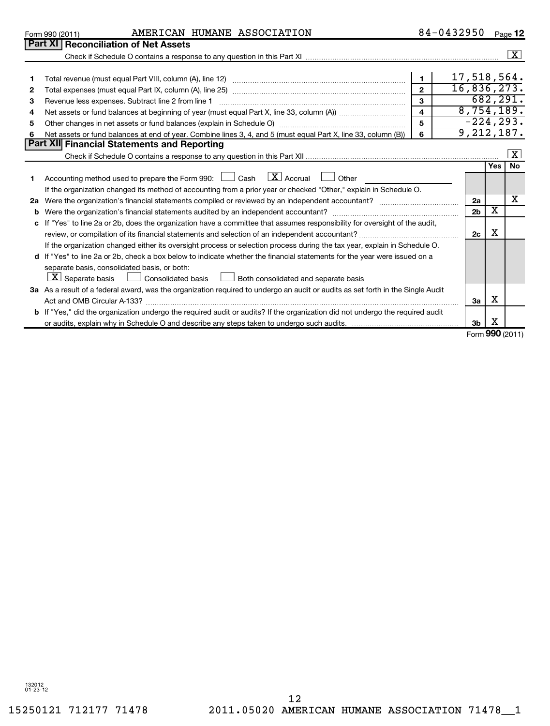|              | AMERICAN HUMANE ASSOCIATION<br>Form 990 (2011)                                                                                             |              | 84-0432950 |                                     |            | Page 12            |
|--------------|--------------------------------------------------------------------------------------------------------------------------------------------|--------------|------------|-------------------------------------|------------|--------------------|
|              | <b>Part XI   Reconciliation of Net Assets</b>                                                                                              |              |            |                                     |            |                    |
|              |                                                                                                                                            |              |            |                                     |            | $\boxed{\text{X}}$ |
|              |                                                                                                                                            |              |            |                                     |            |                    |
| 1            |                                                                                                                                            |              |            | 17,518,564.                         |            |                    |
| $\mathbf{2}$ |                                                                                                                                            |              |            |                                     |            | 16,836,273.        |
| 3            | Revenue less expenses. Subtract line 2 from line 1                                                                                         | $\mathbf{3}$ |            |                                     |            | 682, 291.          |
| 4            |                                                                                                                                            | 4            |            |                                     |            | 8,754,189.         |
| 5            |                                                                                                                                            | 5            |            |                                     |            | $-224, 293.$       |
| 6            | Net assets or fund balances at end of year. Combine lines 3, 4, and 5 (must equal Part X, line 33, column (B))                             | 6            |            |                                     |            | 9,212,187.         |
|              | <b>Part XII Financial Statements and Reporting</b>                                                                                         |              |            |                                     |            |                    |
|              |                                                                                                                                            |              |            |                                     |            | $\mathbf{x}$       |
|              |                                                                                                                                            |              |            |                                     | <b>Yes</b> | <b>No</b>          |
|              | Accounting method used to prepare the Form 990: $\Box$ Cash $\Box X$ Accrual<br>$\Box$ Other                                               |              |            |                                     |            |                    |
|              | If the organization changed its method of accounting from a prior year or checked "Other," explain in Schedule O.                          |              |            |                                     |            |                    |
| 2a           |                                                                                                                                            |              |            | 2a                                  |            | x                  |
| b            |                                                                                                                                            |              |            | 2 <sub>b</sub>                      | X          |                    |
|              | c If "Yes" to line 2a or 2b, does the organization have a committee that assumes responsibility for oversight of the audit,                |              |            |                                     |            |                    |
|              | review, or compilation of its financial statements and selection of an independent accountant?                                             |              |            | 2c                                  | х          |                    |
|              | If the organization changed either its oversight process or selection process during the tax year, explain in Schedule O.                  |              |            |                                     |            |                    |
|              | d If "Yes" to line 2a or 2b, check a box below to indicate whether the financial statements for the year were issued on a                  |              |            |                                     |            |                    |
|              | separate basis, consolidated basis, or both:                                                                                               |              |            |                                     |            |                    |
|              | $\lfloor \underline{x} \rfloor$ Separate basis $\lfloor \rfloor$ Consolidated basis $\lfloor \rfloor$ Both consolidated and separate basis |              |            |                                     |            |                    |
|              | 3a As a result of a federal award, was the organization required to undergo an audit or audits as set forth in the Single Audit            |              |            |                                     |            |                    |
|              | Act and OMB Circular A-133?                                                                                                                |              |            | За                                  | х          |                    |
|              | <b>b</b> If "Yes," did the organization undergo the required audit or audits? If the organization did not undergo the required audit       |              |            |                                     |            |                    |
|              |                                                                                                                                            |              |            | 3 <sub>b</sub><br>$Form$ 990 (2011) | х          |                    |

Form (2011) **990**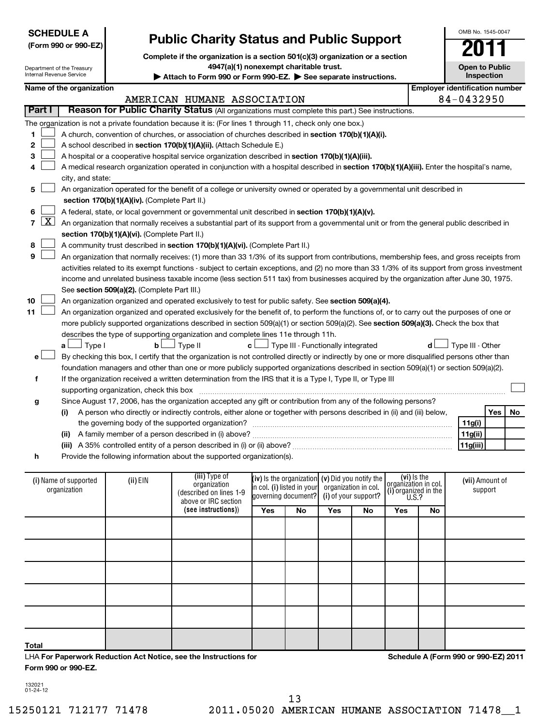| <b>SCHEDULE A</b>                                                             |                                                                                                                                                                           |                                               |                                                                                                                                               |                                                        |                            |                                                   |                      |                              |  | OMB No. 1545-0047                     |                 |    |
|-------------------------------------------------------------------------------|---------------------------------------------------------------------------------------------------------------------------------------------------------------------------|-----------------------------------------------|-----------------------------------------------------------------------------------------------------------------------------------------------|--------------------------------------------------------|----------------------------|---------------------------------------------------|----------------------|------------------------------|--|---------------------------------------|-----------------|----|
| <b>Public Charity Status and Public Support</b><br>(Form 990 or 990-EZ)       |                                                                                                                                                                           |                                               |                                                                                                                                               |                                                        |                            |                                                   |                      |                              |  |                                       |                 |    |
| Complete if the organization is a section 501(c)(3) organization or a section |                                                                                                                                                                           |                                               |                                                                                                                                               |                                                        |                            |                                                   |                      |                              |  |                                       |                 |    |
| <b>Internal Revenue Service</b>                                               | Department of the Treasury                                                                                                                                                |                                               | 4947(a)(1) nonexempt charitable trust.                                                                                                        |                                                        |                            |                                                   |                      |                              |  | <b>Open to Public</b>                 |                 |    |
|                                                                               |                                                                                                                                                                           |                                               | Attach to Form 990 or Form 990-EZ. > See separate instructions.                                                                               |                                                        |                            |                                                   |                      |                              |  |                                       | Inspection      |    |
|                                                                               | Name of the organization                                                                                                                                                  |                                               |                                                                                                                                               |                                                        |                            |                                                   |                      |                              |  | <b>Employer identification number</b> |                 |    |
| <b>Part I</b>                                                                 |                                                                                                                                                                           |                                               | AMERICAN HUMANE ASSOCIATION<br>Reason for Public Charity Status (All organizations must complete this part.) See instructions.                |                                                        |                            |                                                   |                      |                              |  | 84-0432950                            |                 |    |
|                                                                               |                                                                                                                                                                           |                                               |                                                                                                                                               |                                                        |                            |                                                   |                      |                              |  |                                       |                 |    |
|                                                                               |                                                                                                                                                                           |                                               | The organization is not a private foundation because it is: (For lines 1 through 11, check only one box.)                                     |                                                        |                            |                                                   |                      |                              |  |                                       |                 |    |
| 1                                                                             | A church, convention of churches, or association of churches described in section 170(b)(1)(A)(i).                                                                        |                                               |                                                                                                                                               |                                                        |                            |                                                   |                      |                              |  |                                       |                 |    |
| 2                                                                             | A school described in section 170(b)(1)(A)(ii). (Attach Schedule E.)<br>A hospital or a cooperative hospital service organization described in section 170(b)(1)(A)(iii). |                                               |                                                                                                                                               |                                                        |                            |                                                   |                      |                              |  |                                       |                 |    |
| 3                                                                             |                                                                                                                                                                           |                                               | A medical research organization operated in conjunction with a hospital described in section 170(b)(1)(A)(iii). Enter the hospital's name,    |                                                        |                            |                                                   |                      |                              |  |                                       |                 |    |
|                                                                               | city, and state:                                                                                                                                                          |                                               |                                                                                                                                               |                                                        |                            |                                                   |                      |                              |  |                                       |                 |    |
| 5                                                                             |                                                                                                                                                                           |                                               | An organization operated for the benefit of a college or university owned or operated by a governmental unit described in                     |                                                        |                            |                                                   |                      |                              |  |                                       |                 |    |
|                                                                               |                                                                                                                                                                           | section 170(b)(1)(A)(iv). (Complete Part II.) |                                                                                                                                               |                                                        |                            |                                                   |                      |                              |  |                                       |                 |    |
| 6                                                                             |                                                                                                                                                                           |                                               | A federal, state, or local government or governmental unit described in section 170(b)(1)(A)(v).                                              |                                                        |                            |                                                   |                      |                              |  |                                       |                 |    |
| <u>x  </u><br>7                                                               |                                                                                                                                                                           |                                               | An organization that normally receives a substantial part of its support from a governmental unit or from the general public described in     |                                                        |                            |                                                   |                      |                              |  |                                       |                 |    |
|                                                                               |                                                                                                                                                                           | section 170(b)(1)(A)(vi). (Complete Part II.) |                                                                                                                                               |                                                        |                            |                                                   |                      |                              |  |                                       |                 |    |
| 8                                                                             |                                                                                                                                                                           |                                               | A community trust described in section 170(b)(1)(A)(vi). (Complete Part II.)                                                                  |                                                        |                            |                                                   |                      |                              |  |                                       |                 |    |
| 9                                                                             |                                                                                                                                                                           |                                               | An organization that normally receives: (1) more than 33 1/3% of its support from contributions, membership fees, and gross receipts from     |                                                        |                            |                                                   |                      |                              |  |                                       |                 |    |
|                                                                               |                                                                                                                                                                           |                                               | activities related to its exempt functions - subject to certain exceptions, and (2) no more than 33 1/3% of its support from gross investment |                                                        |                            |                                                   |                      |                              |  |                                       |                 |    |
|                                                                               |                                                                                                                                                                           |                                               | income and unrelated business taxable income (less section 511 tax) from businesses acquired by the organization after June 30, 1975.         |                                                        |                            |                                                   |                      |                              |  |                                       |                 |    |
|                                                                               |                                                                                                                                                                           | See section 509(a)(2). (Complete Part III.)   |                                                                                                                                               |                                                        |                            |                                                   |                      |                              |  |                                       |                 |    |
| 10                                                                            |                                                                                                                                                                           |                                               | An organization organized and operated exclusively to test for public safety. See section 509(a)(4).                                          |                                                        |                            |                                                   |                      |                              |  |                                       |                 |    |
| 11                                                                            |                                                                                                                                                                           |                                               | An organization organized and operated exclusively for the benefit of, to perform the functions of, or to carry out the purposes of one or    |                                                        |                            |                                                   |                      |                              |  |                                       |                 |    |
|                                                                               |                                                                                                                                                                           |                                               | more publicly supported organizations described in section 509(a)(1) or section 509(a)(2). See section 509(a)(3). Check the box that          |                                                        |                            |                                                   |                      |                              |  |                                       |                 |    |
|                                                                               |                                                                                                                                                                           |                                               | describes the type of supporting organization and complete lines 11e through 11h.                                                             |                                                        |                            |                                                   |                      |                              |  |                                       |                 |    |
|                                                                               | $\lrcorner$ Type I<br>a L                                                                                                                                                 | $\mathbf{b}$                                  | 」Type II                                                                                                                                      | $\mathbf{c}$ $\Box$ Type III - Functionally integrated |                            |                                                   |                      |                              |  | Type III - Other                      |                 |    |
| е                                                                             |                                                                                                                                                                           |                                               | By checking this box, I certify that the organization is not controlled directly or indirectly by one or more disqualified persons other than |                                                        |                            |                                                   |                      |                              |  |                                       |                 |    |
|                                                                               |                                                                                                                                                                           |                                               | foundation managers and other than one or more publicly supported organizations described in section 509(a)(1) or section 509(a)(2).          |                                                        |                            |                                                   |                      |                              |  |                                       |                 |    |
| f                                                                             |                                                                                                                                                                           |                                               | If the organization received a written determination from the IRS that it is a Type I, Type II, or Type III                                   |                                                        |                            |                                                   |                      |                              |  |                                       |                 |    |
|                                                                               |                                                                                                                                                                           | supporting organization, check this box       |                                                                                                                                               |                                                        |                            |                                                   |                      |                              |  |                                       |                 |    |
| g                                                                             |                                                                                                                                                                           |                                               | Since August 17, 2006, has the organization accepted any gift or contribution from any of the following persons?                              |                                                        |                            |                                                   |                      |                              |  |                                       |                 |    |
|                                                                               | (i)                                                                                                                                                                       |                                               | A person who directly or indirectly controls, either alone or together with persons described in (ii) and (iii) below,                        |                                                        |                            |                                                   |                      |                              |  |                                       | Yes             | No |
|                                                                               |                                                                                                                                                                           |                                               | the governing body of the supported organization?                                                                                             |                                                        |                            |                                                   |                      |                              |  | 11g(i)                                |                 |    |
|                                                                               |                                                                                                                                                                           |                                               |                                                                                                                                               |                                                        |                            |                                                   |                      |                              |  | 11g(ii)<br> 11g(iii)                  |                 |    |
| h                                                                             |                                                                                                                                                                           |                                               | Provide the following information about the supported organization(s).                                                                        |                                                        |                            |                                                   |                      |                              |  |                                       |                 |    |
|                                                                               |                                                                                                                                                                           |                                               |                                                                                                                                               |                                                        |                            |                                                   |                      |                              |  |                                       |                 |    |
|                                                                               | (i) Name of supported                                                                                                                                                     | (ii) EIN                                      | (iii) Type of                                                                                                                                 |                                                        |                            | (iv) is the organization $(v)$ Did you notify the |                      | (vi) is the                  |  |                                       | (vii) Amount of |    |
|                                                                               | organization                                                                                                                                                              |                                               | organization<br>(described on lines 1-9                                                                                                       |                                                        | in col. (i) listed in your | organization in col.                              |                      | organization in col.         |  |                                       | support         |    |
|                                                                               |                                                                                                                                                                           |                                               | above or IRC section                                                                                                                          | governing document?                                    |                            |                                                   | (i) of your support? | $(i)$ organized in the U.S.? |  |                                       |                 |    |
| (see instructions))<br>Yes<br>Yes<br>No<br>Yes<br>No<br>No                    |                                                                                                                                                                           |                                               |                                                                                                                                               |                                                        |                            |                                                   |                      |                              |  |                                       |                 |    |
|                                                                               |                                                                                                                                                                           |                                               |                                                                                                                                               |                                                        |                            |                                                   |                      |                              |  |                                       |                 |    |
|                                                                               |                                                                                                                                                                           |                                               |                                                                                                                                               |                                                        |                            |                                                   |                      |                              |  |                                       |                 |    |
|                                                                               |                                                                                                                                                                           |                                               |                                                                                                                                               |                                                        |                            |                                                   |                      |                              |  |                                       |                 |    |
|                                                                               |                                                                                                                                                                           |                                               |                                                                                                                                               |                                                        |                            |                                                   |                      |                              |  |                                       |                 |    |
|                                                                               |                                                                                                                                                                           |                                               |                                                                                                                                               |                                                        |                            |                                                   |                      |                              |  |                                       |                 |    |

LHA **For Paperwork Reduction Act Notice, see the Instructions for Form 990 or 990-EZ.**

**Schedule A (Form 990 or 990-EZ) 2011**

OMB No. 1545-0047

132021 01-24-12

**Total**

 $\mathbf{I}$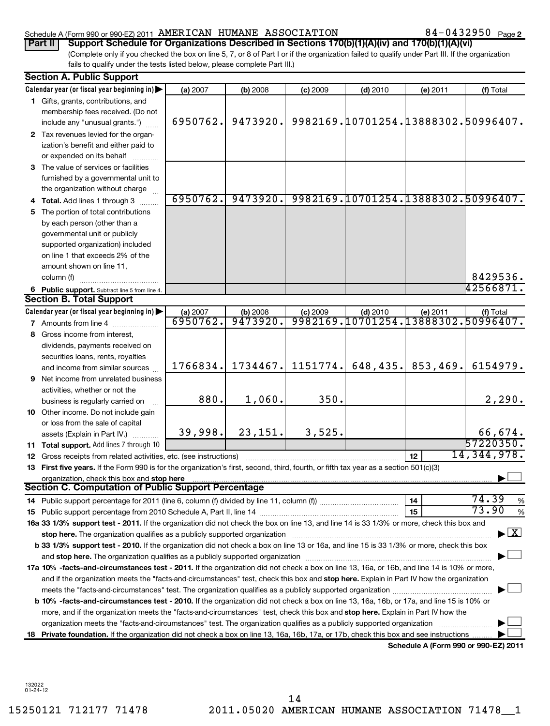### Schedule A (Form 990 or 990-EZ) 2011 Page AMERICAN HUMANE ASSOCIATION 84-0432950

84-0432950 Page 2

(Complete only if you checked the box on line 5, 7, or 8 of Part I or if the organization failed to qualify under Part III. If the organization fails to qualify under the tests listed below, please complete Part III.) **Part II** Support Schedule for Organizations Described in Sections 170(b)(1)(A)(iv) and 170(b)(1)(A)(vi)

|    | <b>Section A. Public Support</b>                                                                                                                                                                                                                                                      |          |            |            |                                     |                                      |                                          |
|----|---------------------------------------------------------------------------------------------------------------------------------------------------------------------------------------------------------------------------------------------------------------------------------------|----------|------------|------------|-------------------------------------|--------------------------------------|------------------------------------------|
|    | Calendar year (or fiscal year beginning in)                                                                                                                                                                                                                                           | (a) 2007 | (b) 2008   | $(c)$ 2009 | $(d)$ 2010                          | (e) 2011                             | (f) Total                                |
|    | 1 Gifts, grants, contributions, and                                                                                                                                                                                                                                                   |          |            |            |                                     |                                      |                                          |
|    | membership fees received. (Do not                                                                                                                                                                                                                                                     |          |            |            |                                     |                                      |                                          |
|    | include any "unusual grants.")                                                                                                                                                                                                                                                        | 6950762. | 9473920.   |            |                                     |                                      | 9982169.10701254.13888302.50996407.      |
|    | 2 Tax revenues levied for the organ-                                                                                                                                                                                                                                                  |          |            |            |                                     |                                      |                                          |
|    | ization's benefit and either paid to                                                                                                                                                                                                                                                  |          |            |            |                                     |                                      |                                          |
|    | or expended on its behalf                                                                                                                                                                                                                                                             |          |            |            |                                     |                                      |                                          |
|    | 3 The value of services or facilities                                                                                                                                                                                                                                                 |          |            |            |                                     |                                      |                                          |
|    | furnished by a governmental unit to                                                                                                                                                                                                                                                   |          |            |            |                                     |                                      |                                          |
|    | the organization without charge                                                                                                                                                                                                                                                       |          |            |            |                                     |                                      |                                          |
|    | 4 Total. Add lines 1 through 3                                                                                                                                                                                                                                                        | 6950762. | 9473920.   |            | 9982169.10701254.13888302.50996407. |                                      |                                          |
| 5. | The portion of total contributions                                                                                                                                                                                                                                                    |          |            |            |                                     |                                      |                                          |
|    | by each person (other than a                                                                                                                                                                                                                                                          |          |            |            |                                     |                                      |                                          |
|    | governmental unit or publicly                                                                                                                                                                                                                                                         |          |            |            |                                     |                                      |                                          |
|    | supported organization) included                                                                                                                                                                                                                                                      |          |            |            |                                     |                                      |                                          |
|    | on line 1 that exceeds 2% of the                                                                                                                                                                                                                                                      |          |            |            |                                     |                                      |                                          |
|    | amount shown on line 11,                                                                                                                                                                                                                                                              |          |            |            |                                     |                                      |                                          |
|    | column (f)                                                                                                                                                                                                                                                                            |          |            |            |                                     |                                      | 8429536.                                 |
|    | 6 Public support. Subtract line 5 from line 4.                                                                                                                                                                                                                                        |          |            |            |                                     |                                      | 42566871.                                |
|    | <b>Section B. Total Support</b>                                                                                                                                                                                                                                                       |          |            |            |                                     |                                      |                                          |
|    | Calendar year (or fiscal year beginning in) $\blacktriangleright$                                                                                                                                                                                                                     | (a) 2007 | $(b)$ 2008 | $(c)$ 2009 | $(d)$ 2010                          | (e) 2011                             | (f) Total                                |
|    | 7 Amounts from line 4                                                                                                                                                                                                                                                                 | 6950762. | 9473920.   |            | 9982169.10701254.13888302.50996407. |                                      |                                          |
|    | 8 Gross income from interest,                                                                                                                                                                                                                                                         |          |            |            |                                     |                                      |                                          |
|    | dividends, payments received on                                                                                                                                                                                                                                                       |          |            |            |                                     |                                      |                                          |
|    | securities loans, rents, royalties                                                                                                                                                                                                                                                    |          |            |            |                                     |                                      |                                          |
|    | and income from similar sources                                                                                                                                                                                                                                                       | 1766834. | 1734467.   | 1151774.   | 648, 435.                           | 853,469.                             | 6154979.                                 |
| 9. | Net income from unrelated business                                                                                                                                                                                                                                                    |          |            |            |                                     |                                      |                                          |
|    | activities, whether or not the                                                                                                                                                                                                                                                        |          |            |            |                                     |                                      |                                          |
|    | business is regularly carried on                                                                                                                                                                                                                                                      | 880.     | 1,060.     | 350.       |                                     |                                      | 2,290.                                   |
|    | <b>10</b> Other income. Do not include gain                                                                                                                                                                                                                                           |          |            |            |                                     |                                      |                                          |
|    | or loss from the sale of capital                                                                                                                                                                                                                                                      |          |            |            |                                     |                                      |                                          |
|    | assets (Explain in Part IV.)                                                                                                                                                                                                                                                          | 39,998.  | 23,151.    | 3,525.     |                                     |                                      | 66,674.                                  |
|    | 11 Total support. Add lines 7 through 10                                                                                                                                                                                                                                              |          |            |            |                                     |                                      | 57220350.                                |
|    | 12 Gross receipts from related activities, etc. (see instructions)                                                                                                                                                                                                                    |          |            |            |                                     | 12 <sup>2</sup>                      | 14, 344, 978.                            |
|    | 13 First five years. If the Form 990 is for the organization's first, second, third, fourth, or fifth tax year as a section 501(c)(3)                                                                                                                                                 |          |            |            |                                     |                                      |                                          |
|    | organization, check this box and stop here manufactured and content to the state of the state of the state of the state of the state of the state of the state of the state of the state of the state of the state of the stat<br>Section C. Computation of Public Support Percentage |          |            |            |                                     |                                      |                                          |
|    |                                                                                                                                                                                                                                                                                       |          |            |            |                                     | 14                                   | 74.39<br>$\%$                            |
|    |                                                                                                                                                                                                                                                                                       |          |            |            |                                     | 15                                   | 73.90<br>%                               |
|    | 16a 33 1/3% support test - 2011. If the organization did not check the box on line 13, and line 14 is 33 1/3% or more, check this box and                                                                                                                                             |          |            |            |                                     |                                      |                                          |
|    | stop here. The organization qualifies as a publicly supported organization manufaction manufacture or the organization manufacture or the organization manufacture or the organization of the state of the state of the state                                                         |          |            |            |                                     |                                      | $\blacktriangleright$ $\boxed{\text{X}}$ |
|    | b 33 1/3% support test - 2010. If the organization did not check a box on line 13 or 16a, and line 15 is 33 1/3% or more, check this box                                                                                                                                              |          |            |            |                                     |                                      |                                          |
|    |                                                                                                                                                                                                                                                                                       |          |            |            |                                     |                                      |                                          |
|    | 17a 10% -facts-and-circumstances test - 2011. If the organization did not check a box on line 13, 16a, or 16b, and line 14 is 10% or more,                                                                                                                                            |          |            |            |                                     |                                      |                                          |
|    | and if the organization meets the "facts-and-circumstances" test, check this box and stop here. Explain in Part IV how the organization                                                                                                                                               |          |            |            |                                     |                                      |                                          |
|    |                                                                                                                                                                                                                                                                                       |          |            |            |                                     |                                      |                                          |
|    | b 10% -facts-and-circumstances test - 2010. If the organization did not check a box on line 13, 16a, 16b, or 17a, and line 15 is 10% or                                                                                                                                               |          |            |            |                                     |                                      |                                          |
|    | more, and if the organization meets the "facts-and-circumstances" test, check this box and stop here. Explain in Part IV how the                                                                                                                                                      |          |            |            |                                     |                                      |                                          |
|    | organization meets the "facts-and-circumstances" test. The organization qualifies as a publicly supported organization                                                                                                                                                                |          |            |            |                                     |                                      |                                          |
|    | 18 Private foundation. If the organization did not check a box on line 13, 16a, 16b, 17a, or 17b, check this box and see instructions                                                                                                                                                 |          |            |            |                                     |                                      |                                          |
|    |                                                                                                                                                                                                                                                                                       |          |            |            |                                     | Schedule A (Form 990 or 990-EZ) 2011 |                                          |

132022 01-24-12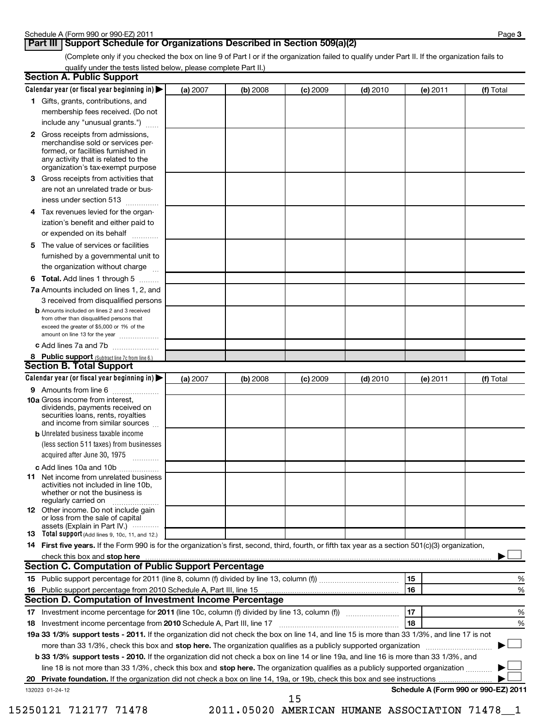### **Part III Support Schedule for Organizations Described in Section 509(a)(2)**

(Complete only if you checked the box on line 9 of Part I or if the organization failed to qualify under Part II. If the organization fails to qualify under the tests listed below, please complete Part II.)

| <b>Section A. Public Support</b>                                                                                                                                                                |          |          |            |            |          |                                      |
|-------------------------------------------------------------------------------------------------------------------------------------------------------------------------------------------------|----------|----------|------------|------------|----------|--------------------------------------|
| Calendar year (or fiscal year beginning in)                                                                                                                                                     | (a) 2007 | (b) 2008 | $(c)$ 2009 | $(d)$ 2010 | (e) 2011 | (f) Total                            |
| 1 Gifts, grants, contributions, and                                                                                                                                                             |          |          |            |            |          |                                      |
| membership fees received. (Do not                                                                                                                                                               |          |          |            |            |          |                                      |
| include any "unusual grants.")                                                                                                                                                                  |          |          |            |            |          |                                      |
| <b>2</b> Gross receipts from admissions,<br>merchandise sold or services per-<br>formed, or facilities furnished in<br>any activity that is related to the<br>organization's tax-exempt purpose |          |          |            |            |          |                                      |
| <b>3</b> Gross receipts from activities that<br>are not an unrelated trade or bus-                                                                                                              |          |          |            |            |          |                                      |
| iness under section 513                                                                                                                                                                         |          |          |            |            |          |                                      |
| 4 Tax revenues levied for the organ-<br>ization's benefit and either paid to<br>or expended on its behalf                                                                                       |          |          |            |            |          |                                      |
| 5 The value of services or facilities                                                                                                                                                           |          |          |            |            |          |                                      |
| furnished by a governmental unit to<br>the organization without charge                                                                                                                          |          |          |            |            |          |                                      |
| <b>6 Total.</b> Add lines 1 through 5                                                                                                                                                           |          |          |            |            |          |                                      |
| 7a Amounts included on lines 1, 2, and                                                                                                                                                          |          |          |            |            |          |                                      |
| 3 received from disqualified persons                                                                                                                                                            |          |          |            |            |          |                                      |
| <b>b</b> Amounts included on lines 2 and 3 received<br>from other than disqualified persons that<br>exceed the greater of \$5,000 or 1% of the<br>amount on line 13 for the year                |          |          |            |            |          |                                      |
| c Add lines 7a and 7b                                                                                                                                                                           |          |          |            |            |          |                                      |
| 8 Public support (Subtract line 7c from line 6.)                                                                                                                                                |          |          |            |            |          |                                      |
| <b>Section B. Total Support</b>                                                                                                                                                                 |          |          |            |            |          |                                      |
| Calendar year (or fiscal year beginning in)                                                                                                                                                     | (a) 2007 | (b) 2008 | (c) 2009   | $(d)$ 2010 | (e) 2011 | (f) Total                            |
| 9 Amounts from line 6                                                                                                                                                                           |          |          |            |            |          |                                      |
| <b>10a</b> Gross income from interest,<br>dividends, payments received on<br>securities loans, rents, royalties<br>and income from similar sources                                              |          |          |            |            |          |                                      |
| <b>b</b> Unrelated business taxable income                                                                                                                                                      |          |          |            |            |          |                                      |
| (less section 511 taxes) from businesses<br>acquired after June 30, 1975                                                                                                                        |          |          |            |            |          |                                      |
| c Add lines 10a and 10b                                                                                                                                                                         |          |          |            |            |          |                                      |
| 11 Net income from unrelated business<br>activities not included in line 10b.<br>whether or not the business is<br>regularly carried on                                                         |          |          |            |            |          |                                      |
| 12 Other income. Do not include gain<br>or loss from the sale of capital<br>assets (Explain in Part IV.) $\cdots$                                                                               |          |          |            |            |          |                                      |
| 13 Total support (Add lines 9, 10c, 11, and 12.)                                                                                                                                                |          |          |            |            |          |                                      |
| 14 First five years. If the Form 990 is for the organization's first, second, third, fourth, or fifth tax year as a section 501(c)(3) organization,                                             |          |          |            |            |          |                                      |
|                                                                                                                                                                                                 |          |          |            |            |          |                                      |
| <b>Section C. Computation of Public Support Percentage</b>                                                                                                                                      |          |          |            |            |          |                                      |
|                                                                                                                                                                                                 |          |          |            |            | 15       | %                                    |
| 16 Public support percentage from 2010 Schedule A, Part III, line 15                                                                                                                            |          |          |            |            | 16       | %                                    |
| Section D. Computation of Investment Income Percentage                                                                                                                                          |          |          |            |            |          |                                      |
|                                                                                                                                                                                                 |          |          |            |            | 17       | %                                    |
| 18 Investment income percentage from 2010 Schedule A, Part III, line 17                                                                                                                         |          |          |            |            | 18       | %                                    |
| 19a 33 1/3% support tests - 2011. If the organization did not check the box on line 14, and line 15 is more than 33 1/3%, and line 17 is not                                                    |          |          |            |            |          |                                      |
| more than 33 1/3%, check this box and stop here. The organization qualifies as a publicly supported organization                                                                                |          |          |            |            |          |                                      |
| b 33 1/3% support tests - 2010. If the organization did not check a box on line 14 or line 19a, and line 16 is more than 33 1/3%, and                                                           |          |          |            |            |          |                                      |
| line 18 is not more than 33 1/3%, check this box and stop here. The organization qualifies as a publicly supported organization                                                                 |          |          |            |            |          |                                      |
|                                                                                                                                                                                                 |          |          |            |            |          | Schedule A (Form 990 or 990-EZ) 2011 |
| 132023 01-24-12                                                                                                                                                                                 |          |          | 15         |            |          |                                      |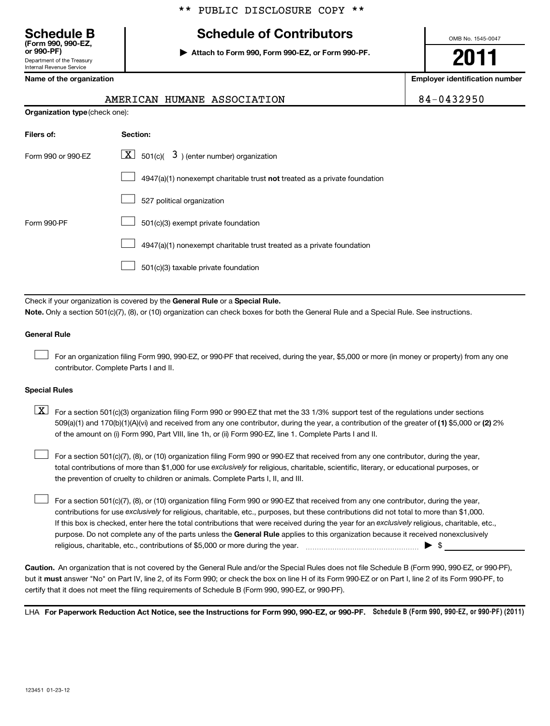## **Schedule B Schedule of Contributors**

**or 990-PF) | Attach to Form 990, Form 990-EZ, or Form 990-PF.**

AMERICAN HUMANE ASSOCIATION **84-0432950** 

OMB No. 1545-0047

# **2011**

**Name of the organization Employer identification number**

| Department of the Treasury |  |
|----------------------------|--|
| Internal Revenue Service   |  |
|                            |  |

**(Form 990, 990-EZ,**

| <b>Organization type (check one):</b> |                                                                                    |  |  |  |  |  |
|---------------------------------------|------------------------------------------------------------------------------------|--|--|--|--|--|
| Filers of:                            | <b>Section:</b>                                                                    |  |  |  |  |  |
| Form 990 or 990-EZ                    | $\mathbf{X}$ 501(c)( 3) (enter number) organization                                |  |  |  |  |  |
|                                       | $4947(a)(1)$ nonexempt charitable trust <b>not</b> treated as a private foundation |  |  |  |  |  |
|                                       | 527 political organization                                                         |  |  |  |  |  |
| Form 990-PF                           | 501(c)(3) exempt private foundation                                                |  |  |  |  |  |
|                                       | 4947(a)(1) nonexempt charitable trust treated as a private foundation              |  |  |  |  |  |
|                                       | 501(c)(3) taxable private foundation                                               |  |  |  |  |  |

Check if your organization is covered by the General Rule or a Special Rule. **Note.**  Only a section 501(c)(7), (8), or (10) organization can check boxes for both the General Rule and a Special Rule. See instructions.

### **General Rule**

For an organization filing Form 990, 990-EZ, or 990-PF that received, during the year, \$5,000 or more (in money or property) from any one contributor. Complete Parts I and II.  $\pm$ 

### **Special Rules**

509(a)(1) and 170(b)(1)(A)(vi) and received from any one contributor, during the year, a contribution of the greater of (1**)** \$5,000 or (**2**) 2%  $\boxed{\textbf{X}}$  For a section 501(c)(3) organization filing Form 990 or 990-EZ that met the 33 1/3% support test of the regulations under sections of the amount on (i) Form 990, Part VIII, line 1h, or (ii) Form 990-EZ, line 1. Complete Parts I and II.

total contributions of more than \$1,000 for use exclusively for religious, charitable, scientific, literary, or educational purposes, or For a section 501(c)(7), (8), or (10) organization filing Form 990 or 990-EZ that received from any one contributor, during the year, the prevention of cruelty to children or animals. Complete Parts I, II, and III.  $\left\vert \cdot\right\vert$ 

purpose. Do not complete any of the parts unless the General Rule applies to this organization because it received nonexclusively contributions for use exclusively for religious, charitable, etc., purposes, but these contributions did not total to more than \$1,000. If this box is checked, enter here the total contributions that were received during the year for an exclusively religious, charitable, etc., For a section 501(c)(7), (8), or (10) organization filing Form 990 or 990-EZ that received from any one contributor, during the year, religious, charitable, etc., contributions of \$5,000 or more during the year. ~~~~~~~~~~~~~~~~~ | \$  $\left\vert \cdot\right\vert$ 

**Caution.** An organization that is not covered by the General Rule and/or the Special Rules does not file Schedule B (Form 990, 990-EZ, or 990-PF), but it **must** answer "No" on Part IV, line 2, of its Form 990; or check the box on line H of its Form 990-EZ or on Part I, line 2 of its Form 990-PF, to certify that it does not meet the filing requirements of Schedule B (Form 990, 990-EZ, or 990-PF).

LHA For Paperwork Reduction Act Notice, see the Instructions for Form 990, 990-EZ, or 990-PF. Schedule B (Form 990, 990-EZ, or 990-PF) (2011)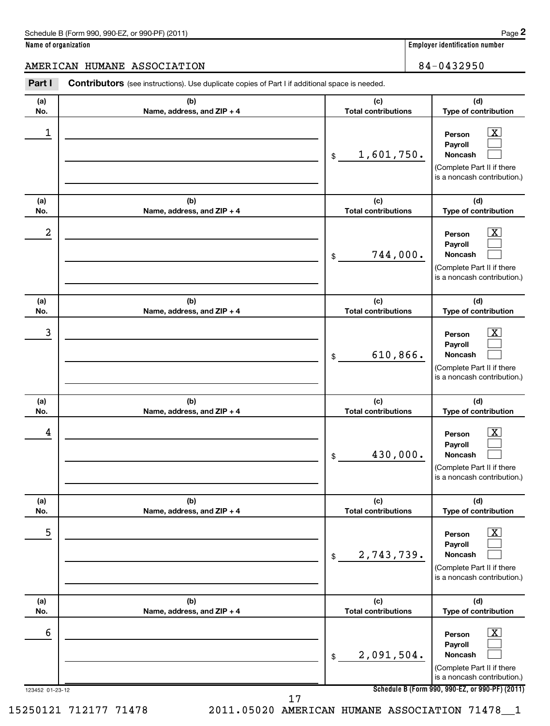## AMERICAN HUMANE ASSOCIATION 84-0432950

**Name of organization Employer identification number**

| Part I<br><b>Contributors</b> (see instructions). Use duplicate copies of Part I if additional space is needed. |                                   |                                   |                                                                                                                             |  |  |
|-----------------------------------------------------------------------------------------------------------------|-----------------------------------|-----------------------------------|-----------------------------------------------------------------------------------------------------------------------------|--|--|
| (a)<br>No.                                                                                                      | (b)<br>Name, address, and ZIP + 4 | (c)<br><b>Total contributions</b> | (d)<br>Type of contribution                                                                                                 |  |  |
| 1                                                                                                               |                                   | 1,601,750.<br>\$                  | $\mathbf{X}$<br>Person<br>Payroll<br><b>Noncash</b><br>(Complete Part II if there<br>is a noncash contribution.)            |  |  |
| (a)<br>No.                                                                                                      | (b)<br>Name, address, and ZIP + 4 | (c)<br><b>Total contributions</b> | (d)<br>Type of contribution                                                                                                 |  |  |
| 2                                                                                                               |                                   | 744,000.<br>\$                    | $\overline{\mathbf{X}}$<br>Person<br>Payroll<br><b>Noncash</b><br>(Complete Part II if there<br>is a noncash contribution.) |  |  |
| (a)<br>No.                                                                                                      | (b)<br>Name, address, and ZIP + 4 | (c)<br><b>Total contributions</b> | (d)<br>Type of contribution                                                                                                 |  |  |
| 3                                                                                                               |                                   | 610,866.<br>\$                    | $\mathbf{X}$<br>Person<br>Payroll<br><b>Noncash</b><br>(Complete Part II if there<br>is a noncash contribution.)            |  |  |
| (a)<br>No.                                                                                                      | (b)<br>Name, address, and ZIP + 4 | (c)<br><b>Total contributions</b> | (d)<br>Type of contribution                                                                                                 |  |  |
| 4                                                                                                               |                                   | 430,000.<br>\$                    | $\overline{\mathbf{X}}$<br>Person<br>Payroll<br><b>Noncash</b><br>(Complete Part II if there<br>is a noncash contribution.) |  |  |
| (a)<br>No.                                                                                                      | (b)<br>Name, address, and ZIP + 4 | (c)<br><b>Total contributions</b> | (d)<br>Type of contribution                                                                                                 |  |  |
| 5                                                                                                               |                                   | 2,743,739.<br>$$\mathbb{S}$$      | $\boxed{\textbf{X}}$<br>Person<br>Payroll<br><b>Noncash</b><br>(Complete Part II if there<br>is a noncash contribution.)    |  |  |
| (a)<br>No.                                                                                                      | (b)<br>Name, address, and ZIP + 4 | (c)<br><b>Total contributions</b> | (d)<br>Type of contribution                                                                                                 |  |  |
| 6                                                                                                               |                                   | 2,091,504.<br>\$                  | $\lfloor x \rfloor$<br>Person<br>Payroll<br><b>Noncash</b><br>(Complete Part II if there<br>is a noncash contribution.)     |  |  |
| 123452 01-23-12                                                                                                 |                                   |                                   | Schedule B (Form 990, 990-EZ, or 990-PF) (2011)                                                                             |  |  |

**Schedule B (Form 990, 990-EZ, or 990-PF) (2011)**

17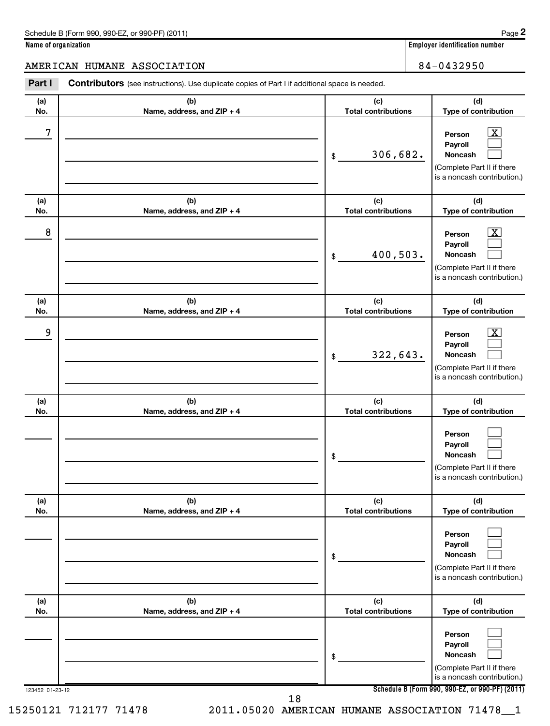### **Name of organization Employer identification number**

Part I Contributors (see instructions). Use duplicate copies of Part I if additional space is needed. AMERICAN HUMANE ASSOCIATION 84-0432950

| (a)<br>No.      | (b)<br>Name, address, and ZIP + 4 | (c)<br><b>Total contributions</b> | (d)<br>Type of contribution                                                                                                                  |
|-----------------|-----------------------------------|-----------------------------------|----------------------------------------------------------------------------------------------------------------------------------------------|
| $\sqrt{7}$      |                                   | 306,682.<br>\$                    | $\overline{\mathbf{X}}$<br>Person<br>Payroll<br>Noncash<br>(Complete Part II if there<br>is a noncash contribution.)                         |
| (a)<br>No.      | (b)<br>Name, address, and ZIP + 4 | (c)<br><b>Total contributions</b> | (d)<br>Type of contribution                                                                                                                  |
| 8               |                                   | 400,503.<br>\$                    | $\overline{\mathbf{X}}$<br>Person<br>Payroll<br>Noncash<br>(Complete Part II if there<br>is a noncash contribution.)                         |
| (a)<br>No.      | (b)<br>Name, address, and ZIP + 4 | (c)<br><b>Total contributions</b> | (d)<br>Type of contribution                                                                                                                  |
| 9               |                                   | 322,643.<br>\$                    | $\overline{\textbf{X}}$<br>Person<br>Payroll<br>Noncash<br>(Complete Part II if there<br>is a noncash contribution.)                         |
|                 |                                   |                                   |                                                                                                                                              |
| (a)<br>No.      | (b)<br>Name, address, and ZIP + 4 | (c)<br><b>Total contributions</b> | (d)<br>Type of contribution                                                                                                                  |
|                 |                                   | \$                                | Person<br>Payroll<br>Noncash<br>(Complete Part II if there<br>is a noncash contribution.)                                                    |
| (a)<br>No.      | (b)<br>Name, address, and ZIP + 4 | (c)<br><b>Total contributions</b> | (d)<br>Type of contribution                                                                                                                  |
|                 |                                   | \$                                | Person<br>Payroll<br>Noncash<br>(Complete Part II if there<br>is a noncash contribution.)                                                    |
| (a)<br>No.      | (b)<br>Name, address, and ZIP + 4 | (c)<br><b>Total contributions</b> | (d)<br>Type of contribution                                                                                                                  |
| 123452 01-23-12 | 18                                | \$                                | Person<br>Payroll<br>Noncash<br>(Complete Part II if there<br>is a noncash contribution.)<br>Schedule B (Form 990, 990-EZ, or 990-PF) (2011) |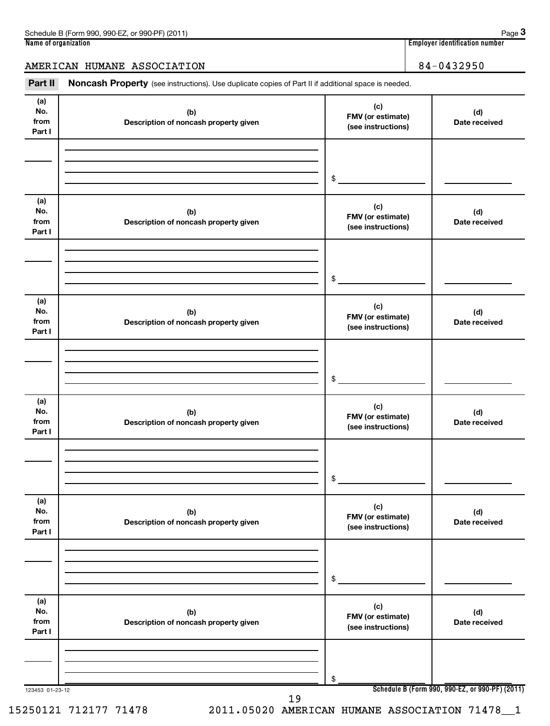| Schedule<br>990-E2<br>(2011)<br>⊃ອ0-P <sup>r</sup> ∶<br>990<br>rorm.<br>or<br>-<br>נו | Page                                            |
|---------------------------------------------------------------------------------------|-------------------------------------------------|
| Name<br>e of organization :                                                           | <br>number<br>Emplover<br><b>TOCOLITICATION</b> |

**3**

### AMERICAN HUMANE ASSOCIATION 84-0432950

Part II Noncash Property (see instructions). Use duplicate copies of Part II if additional space is needed.

| (a)<br>No.<br>from<br>Part I | (b)<br>Description of noncash property given | (c)<br>FMV (or estimate)<br>(see instructions) | (d)<br>Date received                            |
|------------------------------|----------------------------------------------|------------------------------------------------|-------------------------------------------------|
|                              |                                              |                                                |                                                 |
|                              |                                              |                                                |                                                 |
|                              |                                              | \$                                             |                                                 |
| (a)<br>No.                   |                                              | (c)                                            |                                                 |
| from                         | (b)<br>Description of noncash property given | FMV (or estimate)<br>(see instructions)        | (d)<br>Date received                            |
| Part I                       |                                              |                                                |                                                 |
|                              |                                              |                                                |                                                 |
|                              |                                              | \$                                             |                                                 |
|                              |                                              |                                                |                                                 |
| (a)<br>No.                   | (b)                                          | (c)                                            | (d)                                             |
| from<br>Part I               | Description of noncash property given        | FMV (or estimate)<br>(see instructions)        | Date received                                   |
|                              |                                              |                                                |                                                 |
|                              |                                              |                                                |                                                 |
|                              |                                              | \$                                             |                                                 |
| (a)                          |                                              |                                                |                                                 |
| No.                          | (b)                                          | (c)<br>FMV (or estimate)                       | (d)                                             |
| from<br>Part I               | Description of noncash property given        | (see instructions)                             | Date received                                   |
|                              |                                              |                                                |                                                 |
|                              |                                              |                                                |                                                 |
|                              |                                              | \$                                             |                                                 |
| (a)                          |                                              | (c)                                            |                                                 |
| No.<br>from                  | (b)<br>Description of noncash property given | FMV (or estimate)                              | (d)<br>Date received                            |
| Part I                       |                                              | (see instructions)                             |                                                 |
|                              |                                              |                                                |                                                 |
|                              |                                              |                                                |                                                 |
|                              |                                              | \$                                             |                                                 |
| (a)<br>No.                   |                                              | (c)                                            |                                                 |
| from                         | (b)<br>Description of noncash property given | FMV (or estimate)<br>(see instructions)        | (d)<br>Date received                            |
| Part I                       |                                              |                                                |                                                 |
|                              |                                              |                                                |                                                 |
|                              |                                              | \$                                             |                                                 |
| 123453 01-23-12              |                                              |                                                | Schedule B (Form 990, 990-EZ, or 990-PF) (2011) |
|                              | 19                                           |                                                |                                                 |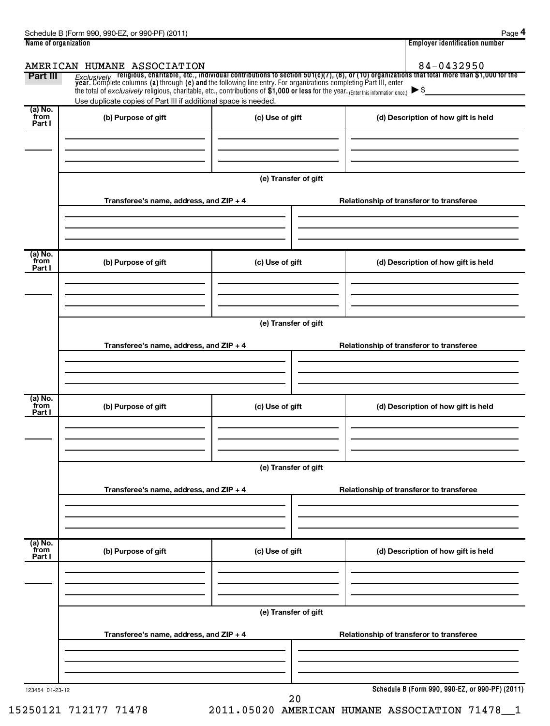| Name of organization        |                                                                                                                                                                                             |                      | <b>Employer identification number</b>                                                                                                                                                                                                            |
|-----------------------------|---------------------------------------------------------------------------------------------------------------------------------------------------------------------------------------------|----------------------|--------------------------------------------------------------------------------------------------------------------------------------------------------------------------------------------------------------------------------------------------|
| Part III                    | AMERICAN HUMANE ASSOCIATION<br>the total of exclusively religious, charitable, etc., contributions of \$1,000 or less for the year. (Enter this information once.) $\blacktriangleright$ \$ |                      | 84-0432950<br>Exclusively religious, charitable, etc., individual contributions to section 501(c)(7), (8), or (10) organizations that total more than \$1,000 for the<br>year. Complete columns (a) through (e) and the following line entry. Fo |
|                             | Use duplicate copies of Part III if additional space is needed.                                                                                                                             |                      |                                                                                                                                                                                                                                                  |
| (a) No.<br>from<br>Part I   | (b) Purpose of gift                                                                                                                                                                         | (c) Use of gift      | (d) Description of how gift is held                                                                                                                                                                                                              |
|                             |                                                                                                                                                                                             | (e) Transfer of gift |                                                                                                                                                                                                                                                  |
|                             | Transferee's name, address, and ZIP + 4                                                                                                                                                     |                      | Relationship of transferor to transferee                                                                                                                                                                                                         |
| (a) No.<br>from<br>Part I   | (b) Purpose of gift                                                                                                                                                                         | (c) Use of gift      | (d) Description of how gift is held                                                                                                                                                                                                              |
|                             | Transferee's name, address, and ZIP + 4                                                                                                                                                     | (e) Transfer of gift | Relationship of transferor to transferee                                                                                                                                                                                                         |
|                             |                                                                                                                                                                                             |                      |                                                                                                                                                                                                                                                  |
| $(a)$ No.<br>from<br>Part I | (b) Purpose of gift                                                                                                                                                                         | (c) Use of gift      | (d) Description of how gift is held                                                                                                                                                                                                              |
|                             |                                                                                                                                                                                             |                      |                                                                                                                                                                                                                                                  |
|                             | Transferee's name, address, and ZIP + 4                                                                                                                                                     | (e) Transfer of gift | Relationship of transferor to transferee                                                                                                                                                                                                         |
| (a) No.<br>from<br>Part I   | (b) Purpose of gift                                                                                                                                                                         | (c) Use of gift      | (d) Description of how gift is held                                                                                                                                                                                                              |
|                             |                                                                                                                                                                                             | (e) Transfer of gift |                                                                                                                                                                                                                                                  |
|                             | Transferee's name, address, and ZIP + 4                                                                                                                                                     |                      | Relationship of transferor to transferee                                                                                                                                                                                                         |
| 123454 01-23-12             |                                                                                                                                                                                             | 20                   | Schedule B (Form 990, 990-EZ, or 990-PF) (2011)                                                                                                                                                                                                  |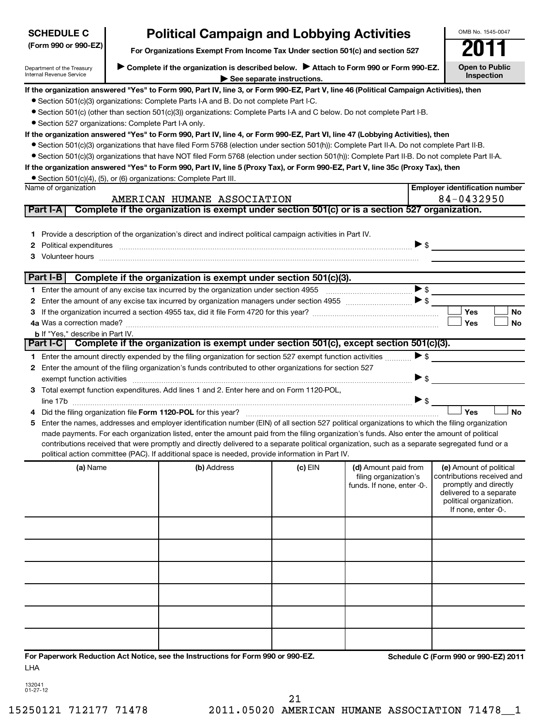| <b>SCHEDULE C</b>                                                                                                                                                              | <b>Political Campaign and Lobbying Activities</b> | OMB No. 1545-0047                                                                                                                                                                                                                                                                                                                                                                                                                                                                                                                                                                                                                                                                                                                                                                                                                                                                                                                                                                                                                                                          |           |                                                                             |                                                                                  |                                                                                                                                                             |
|--------------------------------------------------------------------------------------------------------------------------------------------------------------------------------|---------------------------------------------------|----------------------------------------------------------------------------------------------------------------------------------------------------------------------------------------------------------------------------------------------------------------------------------------------------------------------------------------------------------------------------------------------------------------------------------------------------------------------------------------------------------------------------------------------------------------------------------------------------------------------------------------------------------------------------------------------------------------------------------------------------------------------------------------------------------------------------------------------------------------------------------------------------------------------------------------------------------------------------------------------------------------------------------------------------------------------------|-----------|-----------------------------------------------------------------------------|----------------------------------------------------------------------------------|-------------------------------------------------------------------------------------------------------------------------------------------------------------|
| (Form 990 or 990-EZ)                                                                                                                                                           |                                                   | For Organizations Exempt From Income Tax Under section 501(c) and section 527                                                                                                                                                                                                                                                                                                                                                                                                                                                                                                                                                                                                                                                                                                                                                                                                                                                                                                                                                                                              |           |                                                                             |                                                                                  |                                                                                                                                                             |
| Complete if the organization is described below.<br>Attach to Form 990 or Form 990-EZ.<br>Department of the Treasury<br>Internal Revenue Service<br>See separate instructions. |                                                   |                                                                                                                                                                                                                                                                                                                                                                                                                                                                                                                                                                                                                                                                                                                                                                                                                                                                                                                                                                                                                                                                            |           |                                                                             |                                                                                  | <b>Open to Public</b><br>Inspection                                                                                                                         |
| • Section 527 organizations: Complete Part I-A only.                                                                                                                           |                                                   | If the organization answered "Yes" to Form 990, Part IV, line 3, or Form 990-EZ, Part V, line 46 (Political Campaign Activities), then<br>• Section 501(c)(3) organizations: Complete Parts I-A and B. Do not complete Part I-C.<br>● Section 501(c) (other than section 501(c)(3)) organizations: Complete Parts I-A and C below. Do not complete Part I-B.<br>If the organization answered "Yes" to Form 990, Part IV, line 4, or Form 990-EZ, Part VI, line 47 (Lobbying Activities), then<br>• Section 501(c)(3) organizations that have filed Form 5768 (election under section 501(h)): Complete Part II-A. Do not complete Part II-B.<br>• Section 501(c)(3) organizations that have NOT filed Form 5768 (election under section 501(h)): Complete Part II-B. Do not complete Part II-A.                                                                                                                                                                                                                                                                            |           |                                                                             |                                                                                  |                                                                                                                                                             |
|                                                                                                                                                                                |                                                   | If the organization answered "Yes" to Form 990, Part IV, line 5 (Proxy Tax), or Form 990-EZ, Part V, line 35c (Proxy Tax), then                                                                                                                                                                                                                                                                                                                                                                                                                                                                                                                                                                                                                                                                                                                                                                                                                                                                                                                                            |           |                                                                             |                                                                                  |                                                                                                                                                             |
| Name of organization                                                                                                                                                           |                                                   | • Section 501(c)(4), (5), or (6) organizations: Complete Part III.<br>AMERICAN HUMANE ASSOCIATION                                                                                                                                                                                                                                                                                                                                                                                                                                                                                                                                                                                                                                                                                                                                                                                                                                                                                                                                                                          |           |                                                                             |                                                                                  | <b>Employer identification number</b><br>84-0432950                                                                                                         |
| Part I-A                                                                                                                                                                       |                                                   | Complete if the organization is exempt under section 501(c) or is a section 527 organization.                                                                                                                                                                                                                                                                                                                                                                                                                                                                                                                                                                                                                                                                                                                                                                                                                                                                                                                                                                              |           |                                                                             |                                                                                  |                                                                                                                                                             |
| 3                                                                                                                                                                              |                                                   | 1 Provide a description of the organization's direct and indirect political campaign activities in Part IV.<br>2 Political expenditures <b>continues</b> and continues and continues and continues and continues and continues and continues and continues and continues and continues and continues and continues and continues and continues and<br>Volunteer hours with the contract of the contract of the contract of the contract of the contract of the contract of the contract of the contract of the contract of the contract of the contract of the contract of the contr                                                                                                                                                                                                                                                                                                                                                                                                                                                                                       |           |                                                                             | $\triangleright$ \$                                                              |                                                                                                                                                             |
| Part I-B                                                                                                                                                                       |                                                   | Complete if the organization is exempt under section 501(c)(3).                                                                                                                                                                                                                                                                                                                                                                                                                                                                                                                                                                                                                                                                                                                                                                                                                                                                                                                                                                                                            |           |                                                                             |                                                                                  |                                                                                                                                                             |
|                                                                                                                                                                                |                                                   |                                                                                                                                                                                                                                                                                                                                                                                                                                                                                                                                                                                                                                                                                                                                                                                                                                                                                                                                                                                                                                                                            |           |                                                                             | $\blacktriangleright$ \$                                                         |                                                                                                                                                             |
| <b>b</b> If "Yes," describe in Part IV.                                                                                                                                        |                                                   |                                                                                                                                                                                                                                                                                                                                                                                                                                                                                                                                                                                                                                                                                                                                                                                                                                                                                                                                                                                                                                                                            |           |                                                                             |                                                                                  | Yes<br>No<br>Yes<br>No                                                                                                                                      |
|                                                                                                                                                                                |                                                   | Part I-C Complete if the organization is exempt under section 501(c), except section 501(c)(3).                                                                                                                                                                                                                                                                                                                                                                                                                                                                                                                                                                                                                                                                                                                                                                                                                                                                                                                                                                            |           |                                                                             |                                                                                  |                                                                                                                                                             |
| 5                                                                                                                                                                              |                                                   | 1 Enter the amount directly expended by the filing organization for section 527 exempt function activities<br>2 Enter the amount of the filing organization's funds contributed to other organizations for section 527<br>exempt function activities material content and activities and activities are activities and activities and activities and activities and activities and activities and activities and activities and activities and activitie<br>3 Total exempt function expenditures. Add lines 1 and 2. Enter here and on Form 1120-POL,<br>Did the filing organization file Form 1120-POL for this year?<br>Enter the names, addresses and employer identification number (EIN) of all section 527 political organizations to which the filing organization<br>made payments. For each organization listed, enter the amount paid from the filing organization's funds. Also enter the amount of political<br>contributions received that were promptly and directly delivered to a separate political organization, such as a separate segregated fund or a |           |                                                                             | $\blacktriangleright$ \$<br>$\blacktriangleright$ \$<br>$\blacktriangleright$ \$ | Yes<br><b>No</b>                                                                                                                                            |
|                                                                                                                                                                                |                                                   | political action committee (PAC). If additional space is needed, provide information in Part IV.                                                                                                                                                                                                                                                                                                                                                                                                                                                                                                                                                                                                                                                                                                                                                                                                                                                                                                                                                                           |           |                                                                             |                                                                                  |                                                                                                                                                             |
| (a) Name                                                                                                                                                                       |                                                   | (b) Address                                                                                                                                                                                                                                                                                                                                                                                                                                                                                                                                                                                                                                                                                                                                                                                                                                                                                                                                                                                                                                                                | $(c)$ EIN | (d) Amount paid from<br>filing organization's<br>funds. If none, enter -0-. |                                                                                  | (e) Amount of political<br>contributions received and<br>promptly and directly<br>delivered to a separate<br>political organization.<br>If none, enter -0-. |
|                                                                                                                                                                                |                                                   |                                                                                                                                                                                                                                                                                                                                                                                                                                                                                                                                                                                                                                                                                                                                                                                                                                                                                                                                                                                                                                                                            |           |                                                                             |                                                                                  |                                                                                                                                                             |
|                                                                                                                                                                                |                                                   |                                                                                                                                                                                                                                                                                                                                                                                                                                                                                                                                                                                                                                                                                                                                                                                                                                                                                                                                                                                                                                                                            |           |                                                                             |                                                                                  |                                                                                                                                                             |
|                                                                                                                                                                                |                                                   |                                                                                                                                                                                                                                                                                                                                                                                                                                                                                                                                                                                                                                                                                                                                                                                                                                                                                                                                                                                                                                                                            |           |                                                                             |                                                                                  |                                                                                                                                                             |
|                                                                                                                                                                                |                                                   |                                                                                                                                                                                                                                                                                                                                                                                                                                                                                                                                                                                                                                                                                                                                                                                                                                                                                                                                                                                                                                                                            |           |                                                                             |                                                                                  |                                                                                                                                                             |
|                                                                                                                                                                                |                                                   |                                                                                                                                                                                                                                                                                                                                                                                                                                                                                                                                                                                                                                                                                                                                                                                                                                                                                                                                                                                                                                                                            |           |                                                                             |                                                                                  |                                                                                                                                                             |
| LHA                                                                                                                                                                            |                                                   | For Paperwork Reduction Act Notice, see the Instructions for Form 990 or 990-EZ.                                                                                                                                                                                                                                                                                                                                                                                                                                                                                                                                                                                                                                                                                                                                                                                                                                                                                                                                                                                           |           |                                                                             |                                                                                  | Schedule C (Form 990 or 990-EZ) 2011                                                                                                                        |

132041 01-27-12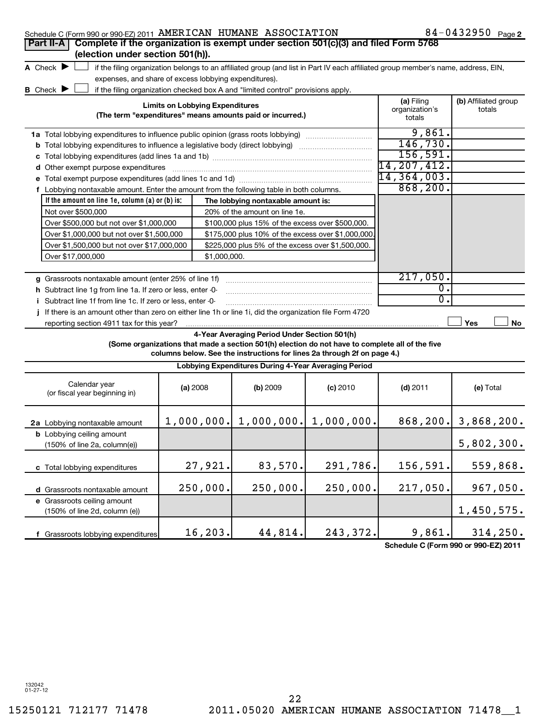| 84-0432950<br>Schedule C (Form 990 or 990-EZ) 2011 AMERICAN HUMANE ASSOCIATION<br>Page 2                  |                                                       |                                                                                  |                                                                                                                                   |                          |                                      |  |  |
|-----------------------------------------------------------------------------------------------------------|-------------------------------------------------------|----------------------------------------------------------------------------------|-----------------------------------------------------------------------------------------------------------------------------------|--------------------------|--------------------------------------|--|--|
| Complete if the organization is exempt under section 501(c)(3) and filed Form 5768<br><b>Part II-A</b>    |                                                       |                                                                                  |                                                                                                                                   |                          |                                      |  |  |
| (election under section 501(h)).                                                                          |                                                       |                                                                                  |                                                                                                                                   |                          |                                      |  |  |
| A Check $\blacktriangleright$                                                                             |                                                       |                                                                                  | if the filing organization belongs to an affiliated group (and list in Part IV each affiliated group member's name, address, EIN, |                          |                                      |  |  |
|                                                                                                           | expenses, and share of excess lobbying expenditures). |                                                                                  |                                                                                                                                   |                          |                                      |  |  |
| <b>B</b> Check $\blacktriangleright$                                                                      |                                                       | if the filing organization checked box A and "limited control" provisions apply. |                                                                                                                                   | (a) Filing               | (b) Affiliated group                 |  |  |
|                                                                                                           | <b>Limits on Lobbying Expenditures</b>                | (The term "expenditures" means amounts paid or incurred.)                        |                                                                                                                                   | organization's           | totals                               |  |  |
|                                                                                                           |                                                       |                                                                                  |                                                                                                                                   | totals                   |                                      |  |  |
|                                                                                                           |                                                       |                                                                                  |                                                                                                                                   | 9,861.                   |                                      |  |  |
| <b>b</b> Total lobbying expenditures to influence a legislative body (direct lobbying) <i>manumumumum</i> |                                                       |                                                                                  |                                                                                                                                   | 146,730.                 |                                      |  |  |
|                                                                                                           |                                                       |                                                                                  |                                                                                                                                   | 156, 591.                |                                      |  |  |
| d Other exempt purpose expenditures                                                                       |                                                       |                                                                                  |                                                                                                                                   | 14,207,412.              |                                      |  |  |
|                                                                                                           |                                                       |                                                                                  |                                                                                                                                   | 14,364,003.<br>868, 200. |                                      |  |  |
| f Lobbying nontaxable amount. Enter the amount from the following table in both columns.                  |                                                       |                                                                                  |                                                                                                                                   |                          |                                      |  |  |
| If the amount on line 1e, column (a) or (b) is:<br>Not over \$500,000                                     |                                                       | The lobbying nontaxable amount is:<br>20% of the amount on line 1e.              |                                                                                                                                   |                          |                                      |  |  |
| Over \$500,000 but not over \$1,000,000                                                                   |                                                       | \$100,000 plus 15% of the excess over \$500,000.                                 |                                                                                                                                   |                          |                                      |  |  |
| Over \$1,000,000 but not over \$1,500,000                                                                 |                                                       | \$175,000 plus 10% of the excess over \$1,000,000                                |                                                                                                                                   |                          |                                      |  |  |
| Over \$1,500,000 but not over \$17,000,000                                                                |                                                       | \$225,000 plus 5% of the excess over \$1,500,000.                                |                                                                                                                                   |                          |                                      |  |  |
| Over \$17,000,000                                                                                         | \$1,000,000.                                          |                                                                                  |                                                                                                                                   |                          |                                      |  |  |
|                                                                                                           |                                                       |                                                                                  |                                                                                                                                   |                          |                                      |  |  |
| g Grassroots nontaxable amount (enter 25% of line 1f)                                                     |                                                       |                                                                                  |                                                                                                                                   | 217,050.                 |                                      |  |  |
| h Subtract line 1g from line 1a. If zero or less, enter -0-                                               |                                                       |                                                                                  |                                                                                                                                   | 0.                       |                                      |  |  |
| i Subtract line 1f from line 1c. If zero or less, enter -0-                                               |                                                       |                                                                                  |                                                                                                                                   | 0                        |                                      |  |  |
| If there is an amount other than zero on either line 1h or line 1i, did the organization file Form 4720   |                                                       |                                                                                  |                                                                                                                                   |                          |                                      |  |  |
| reporting section 4911 tax for this year?                                                                 |                                                       | 4-Year Averaging Period Under Section 501(h)                                     |                                                                                                                                   |                          | Yes<br>No                            |  |  |
|                                                                                                           |                                                       |                                                                                  | (Some organizations that made a section 501(h) election do not have to complete all of the five                                   |                          |                                      |  |  |
|                                                                                                           |                                                       |                                                                                  | columns below. See the instructions for lines 2a through 2f on page 4.)                                                           |                          |                                      |  |  |
|                                                                                                           |                                                       | Lobbying Expenditures During 4-Year Averaging Period                             |                                                                                                                                   |                          |                                      |  |  |
|                                                                                                           |                                                       |                                                                                  |                                                                                                                                   |                          |                                      |  |  |
| Calendar year<br>(or fiscal year beginning in)                                                            | (a) 2008                                              | (b) 2009                                                                         | $(c)$ 2010                                                                                                                        | $(d)$ 2011               | (e) Total                            |  |  |
|                                                                                                           |                                                       |                                                                                  |                                                                                                                                   |                          |                                      |  |  |
|                                                                                                           |                                                       |                                                                                  | $1,000,000.$ $1,000,000.$                                                                                                         | 868, 200.                | 3,868,200.                           |  |  |
| 2a Lobbying nontaxable amount                                                                             | 1,000,000.                                            |                                                                                  |                                                                                                                                   |                          |                                      |  |  |
| <b>b</b> Lobbying ceiling amount<br>(150% of line 2a, column(e))                                          |                                                       |                                                                                  |                                                                                                                                   |                          | 5,802,300.                           |  |  |
|                                                                                                           |                                                       |                                                                                  |                                                                                                                                   |                          |                                      |  |  |
| c Total lobbying expenditures                                                                             | 27,921.                                               | 83,570.                                                                          | 291,786.                                                                                                                          | 156,591.                 | 559,868.                             |  |  |
|                                                                                                           |                                                       |                                                                                  |                                                                                                                                   |                          |                                      |  |  |
| d Grassroots nontaxable amount                                                                            | 250,000.                                              | 250,000.                                                                         | 250,000.                                                                                                                          | 217,050.                 | 967,050.                             |  |  |
| e Grassroots ceiling amount                                                                               |                                                       |                                                                                  |                                                                                                                                   |                          |                                      |  |  |
| (150% of line 2d, column (e))                                                                             |                                                       |                                                                                  |                                                                                                                                   |                          | 1,450,575.                           |  |  |
|                                                                                                           |                                                       | 44,814.                                                                          |                                                                                                                                   | 9,861.                   |                                      |  |  |
| Grassroots lobbying expenditures<br>f                                                                     | 16, 203.                                              |                                                                                  | 243,372.                                                                                                                          |                          | 314, 250.                            |  |  |
|                                                                                                           |                                                       |                                                                                  |                                                                                                                                   |                          | Schedule C (Form 990 or 990-EZ) 2011 |  |  |

132042 01-27-12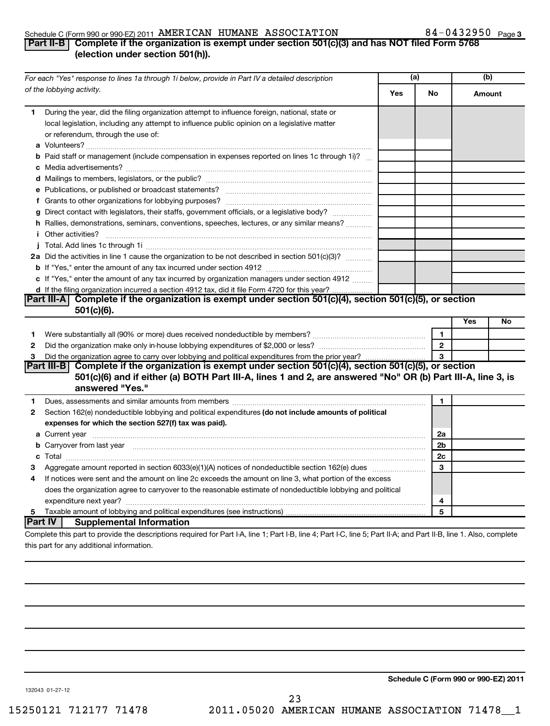### Schedule C (Form 990 or 990-EZ) 2011 AMERICAN HUMANE ASSOCIATION 8 4 - 0 4 3 2 9 5 0 Page AMERICAN HUMANE ASSOCIATION 84-0432950

## 84-0432950 Page 3

### **Part II-B Complete if the organization is exempt under section 501(c)(3) and has NOT filed Form 5768 (election under section 501(h)).**

|                | For each "Yes" response to lines 1a through 1i below, provide in Part IV a detailed description<br>of the lobbying activity.                                                                                                        |  | (a)            |        | (b) |  |
|----------------|-------------------------------------------------------------------------------------------------------------------------------------------------------------------------------------------------------------------------------------|--|----------------|--------|-----|--|
|                |                                                                                                                                                                                                                                     |  | No             | Amount |     |  |
| 1.             | During the year, did the filing organization attempt to influence foreign, national, state or<br>local legislation, including any attempt to influence public opinion on a legislative matter<br>or referendum, through the use of: |  |                |        |     |  |
|                | <b>b</b> Paid staff or management (include compensation in expenses reported on lines 1c through 1i)?                                                                                                                               |  |                |        |     |  |
|                |                                                                                                                                                                                                                                     |  |                |        |     |  |
|                |                                                                                                                                                                                                                                     |  |                |        |     |  |
|                |                                                                                                                                                                                                                                     |  |                |        |     |  |
|                |                                                                                                                                                                                                                                     |  |                |        |     |  |
|                | g Direct contact with legislators, their staffs, government officials, or a legislative body?                                                                                                                                       |  |                |        |     |  |
|                | h Rallies, demonstrations, seminars, conventions, speeches, lectures, or any similar means?                                                                                                                                         |  |                |        |     |  |
|                | <i>i</i> Other activities?                                                                                                                                                                                                          |  |                |        |     |  |
|                |                                                                                                                                                                                                                                     |  |                |        |     |  |
|                | 2a Did the activities in line 1 cause the organization to be not described in section 501(c)(3)?                                                                                                                                    |  |                |        |     |  |
|                |                                                                                                                                                                                                                                     |  |                |        |     |  |
|                | c If "Yes," enter the amount of any tax incurred by organization managers under section 4912                                                                                                                                        |  |                |        |     |  |
|                | d If the filing organization incurred a section 4912 tax, did it file Form 4720 for this year?                                                                                                                                      |  |                |        |     |  |
|                | Part III-A Complete if the organization is exempt under section 501(c)(4), section 501(c)(5), or section<br>$501(c)(6)$ .                                                                                                           |  |                |        |     |  |
|                |                                                                                                                                                                                                                                     |  |                | Yes    | No  |  |
| 1              |                                                                                                                                                                                                                                     |  | 1              |        |     |  |
| 2              |                                                                                                                                                                                                                                     |  | $\overline{2}$ |        |     |  |
| 3              | Did the organization agree to carry over lobbying and political expenditures from the prior year?                                                                                                                                   |  | $\mathbf{a}$   |        |     |  |
|                | Part III-B Complete if the organization is exempt under section 501(c)(4), section 501(c)(5), or section                                                                                                                            |  |                |        |     |  |
|                | 501(c)(6) and if either (a) BOTH Part III-A, lines 1 and 2, are answered "No" OR (b) Part III-A, line 3, is                                                                                                                         |  |                |        |     |  |
|                | answered "Yes."                                                                                                                                                                                                                     |  |                |        |     |  |
| 1.             | Dues, assessments and similar amounts from members [111] matter contracts are assessments and similar amounts from members [11] matter contracts and similar amounts from members [11] matter contracts and similar amounts fr      |  | 1              |        |     |  |
| 2              | Section 162(e) nondeductible lobbying and political expenditures (do not include amounts of political                                                                                                                               |  |                |        |     |  |
|                | expenses for which the section 527(f) tax was paid).                                                                                                                                                                                |  |                |        |     |  |
|                |                                                                                                                                                                                                                                     |  | 2a             |        |     |  |
|                | <b>b</b> Carryover from last year <b>contained to the contract of the contract of Carryover from last year contained to the contract of the contract of Carryover from last year</b>                                                |  | 2b             |        |     |  |
| c              |                                                                                                                                                                                                                                     |  | 2c             |        |     |  |
|                |                                                                                                                                                                                                                                     |  | 3              |        |     |  |
| 4              | If notices were sent and the amount on line 2c exceeds the amount on line 3, what portion of the excess                                                                                                                             |  |                |        |     |  |
|                | does the organization agree to carryover to the reasonable estimate of nondeductible lobbying and political                                                                                                                         |  |                |        |     |  |
|                | expenditure next year?                                                                                                                                                                                                              |  | 4              |        |     |  |
| 5              | Taxable amount of lobbying and political expenditures (see instructions)                                                                                                                                                            |  | 5              |        |     |  |
| <b>Part IV</b> | <b>Supplemental Information</b>                                                                                                                                                                                                     |  |                |        |     |  |
|                | Complete this part to provide the descriptions required for Part I-A, line 1; Part I-B, line 4; Part I-C, line 5; Part II-A; and Part II-B, line 1. Also, complete                                                                  |  |                |        |     |  |
|                | this part for any additional information.                                                                                                                                                                                           |  |                |        |     |  |

**Schedule C (Form 990 or 990-EZ) 2011**

132043 01-27-12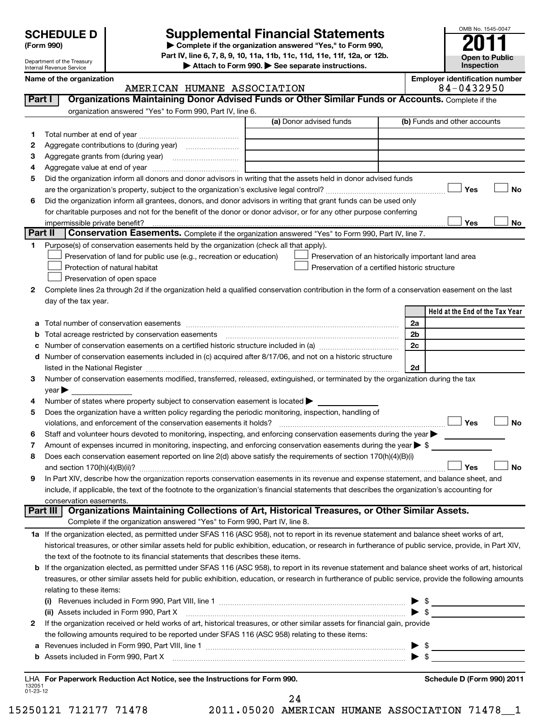Department of the Treasury Internal Revenue Service

## **Supplemental Financial Statements**

**(Form 990) | Complete if the organization answered "Yes," to Form 990, Part IV, line 6, 7, 8, 9, 10, 11a, 11b, 11c, 11d, 11e, 11f, 12a, or 12b.**

Attach to Form 990. See separate instructions.

OMB No. 1545-0047 **Open to Public Inspection**

|         | Name of the organization<br>AMERICAN HUMANE ASSOCIATION                                                                                                                                                                                                                                                                                                           |                                                     | <b>Employer identification number</b><br>84-0432950 |
|---------|-------------------------------------------------------------------------------------------------------------------------------------------------------------------------------------------------------------------------------------------------------------------------------------------------------------------------------------------------------------------|-----------------------------------------------------|-----------------------------------------------------|
| Part I  | Organizations Maintaining Donor Advised Funds or Other Similar Funds or Accounts. Complete if the                                                                                                                                                                                                                                                                 |                                                     |                                                     |
|         | organization answered "Yes" to Form 990, Part IV, line 6.                                                                                                                                                                                                                                                                                                         |                                                     |                                                     |
|         |                                                                                                                                                                                                                                                                                                                                                                   | (a) Donor advised funds                             | (b) Funds and other accounts                        |
| 1.      |                                                                                                                                                                                                                                                                                                                                                                   |                                                     |                                                     |
| 2       |                                                                                                                                                                                                                                                                                                                                                                   |                                                     |                                                     |
| З       |                                                                                                                                                                                                                                                                                                                                                                   |                                                     |                                                     |
| 4       |                                                                                                                                                                                                                                                                                                                                                                   |                                                     |                                                     |
| 5       | Did the organization inform all donors and donor advisors in writing that the assets held in donor advised funds                                                                                                                                                                                                                                                  |                                                     |                                                     |
|         |                                                                                                                                                                                                                                                                                                                                                                   |                                                     | Yes<br>No                                           |
| 6       | Did the organization inform all grantees, donors, and donor advisors in writing that grant funds can be used only                                                                                                                                                                                                                                                 |                                                     |                                                     |
|         | for charitable purposes and not for the benefit of the donor or donor advisor, or for any other purpose conferring                                                                                                                                                                                                                                                |                                                     |                                                     |
|         | impermissible private benefit?                                                                                                                                                                                                                                                                                                                                    |                                                     | Yes<br>No                                           |
| Part II | Conservation Easements. Complete if the organization answered "Yes" to Form 990, Part IV, line 7.                                                                                                                                                                                                                                                                 |                                                     |                                                     |
| 1       | Purpose(s) of conservation easements held by the organization (check all that apply).                                                                                                                                                                                                                                                                             |                                                     |                                                     |
|         | Preservation of land for public use (e.g., recreation or education)                                                                                                                                                                                                                                                                                               | Preservation of an historically important land area |                                                     |
|         | Protection of natural habitat                                                                                                                                                                                                                                                                                                                                     | Preservation of a certified historic structure      |                                                     |
|         | Preservation of open space                                                                                                                                                                                                                                                                                                                                        |                                                     |                                                     |
| 2       | Complete lines 2a through 2d if the organization held a qualified conservation contribution in the form of a conservation easement on the last                                                                                                                                                                                                                    |                                                     |                                                     |
|         | day of the tax year.                                                                                                                                                                                                                                                                                                                                              |                                                     |                                                     |
|         |                                                                                                                                                                                                                                                                                                                                                                   |                                                     | Held at the End of the Tax Year                     |
| a       |                                                                                                                                                                                                                                                                                                                                                                   |                                                     | 2a                                                  |
| b       | Total acreage restricted by conservation easements                                                                                                                                                                                                                                                                                                                |                                                     | 2 <sub>b</sub>                                      |
|         |                                                                                                                                                                                                                                                                                                                                                                   |                                                     | 2c                                                  |
| d       | Number of conservation easements included in (c) acquired after 8/17/06, and not on a historic structure                                                                                                                                                                                                                                                          |                                                     | 2d                                                  |
| З       | listed in the National Register [111] Marshall Register [11] Marshall Register [11] Marshall Register [11] Marshall Register [11] Marshall Register [11] Marshall Register [11] Marshall Register [11] Marshall Register [11]<br>Number of conservation easements modified, transferred, released, extinguished, or terminated by the organization during the tax |                                                     |                                                     |
|         | year                                                                                                                                                                                                                                                                                                                                                              |                                                     |                                                     |
| 4       | Number of states where property subject to conservation easement is located >                                                                                                                                                                                                                                                                                     |                                                     |                                                     |
| 5       | Does the organization have a written policy regarding the periodic monitoring, inspection, handling of                                                                                                                                                                                                                                                            |                                                     |                                                     |
|         | violations, and enforcement of the conservation easements it holds?                                                                                                                                                                                                                                                                                               |                                                     | Yes<br><b>No</b>                                    |
| 6       | Staff and volunteer hours devoted to monitoring, inspecting, and enforcing conservation easements during the year                                                                                                                                                                                                                                                 |                                                     |                                                     |
| 7       | Amount of expenses incurred in monitoring, inspecting, and enforcing conservation easements during the year $\triangleright$ \$                                                                                                                                                                                                                                   |                                                     |                                                     |
| 8       | Does each conservation easement reported on line 2(d) above satisfy the requirements of section 170(h)(4)(B)(i)                                                                                                                                                                                                                                                   |                                                     |                                                     |
|         |                                                                                                                                                                                                                                                                                                                                                                   |                                                     | No<br>Yes                                           |
| 9       | In Part XIV, describe how the organization reports conservation easements in its revenue and expense statement, and balance sheet, and                                                                                                                                                                                                                            |                                                     |                                                     |
|         | include, if applicable, the text of the footnote to the organization's financial statements that describes the organization's accounting for                                                                                                                                                                                                                      |                                                     |                                                     |
|         | conservation easements.                                                                                                                                                                                                                                                                                                                                           |                                                     |                                                     |
|         | Organizations Maintaining Collections of Art, Historical Treasures, or Other Similar Assets.<br>Part III                                                                                                                                                                                                                                                          |                                                     |                                                     |
|         | Complete if the organization answered "Yes" to Form 990, Part IV, line 8.                                                                                                                                                                                                                                                                                         |                                                     |                                                     |
|         | 1a If the organization elected, as permitted under SFAS 116 (ASC 958), not to report in its revenue statement and balance sheet works of art,                                                                                                                                                                                                                     |                                                     |                                                     |
|         | historical treasures, or other similar assets held for public exhibition, education, or research in furtherance of public service, provide, in Part XIV,                                                                                                                                                                                                          |                                                     |                                                     |
|         | the text of the footnote to its financial statements that describes these items.                                                                                                                                                                                                                                                                                  |                                                     |                                                     |
| b       | If the organization elected, as permitted under SFAS 116 (ASC 958), to report in its revenue statement and balance sheet works of art, historical                                                                                                                                                                                                                 |                                                     |                                                     |
|         | treasures, or other similar assets held for public exhibition, education, or research in furtherance of public service, provide the following amounts                                                                                                                                                                                                             |                                                     |                                                     |
|         | relating to these items:                                                                                                                                                                                                                                                                                                                                          |                                                     |                                                     |
|         |                                                                                                                                                                                                                                                                                                                                                                   |                                                     | $\frac{1}{2}$<br>▸                                  |
|         | (ii) Assets included in Form 990, Part X [11] [2000] [2010] Assets included in Form 990, Part X [11] [11] [200                                                                                                                                                                                                                                                    |                                                     | $\blacktriangleright$ \$                            |
| 2       | If the organization received or held works of art, historical treasures, or other similar assets for financial gain, provide                                                                                                                                                                                                                                      |                                                     |                                                     |
|         | the following amounts required to be reported under SFAS 116 (ASC 958) relating to these items:                                                                                                                                                                                                                                                                   |                                                     | - \$                                                |
| а       |                                                                                                                                                                                                                                                                                                                                                                   |                                                     | $\blacktriangleright$ \$                            |
| b       |                                                                                                                                                                                                                                                                                                                                                                   |                                                     |                                                     |

132051 01-23-12 **For Paperwork Reduction Act Notice, see the Instructions for Form 990. Schedule D (Form 990) 2011** LHA

24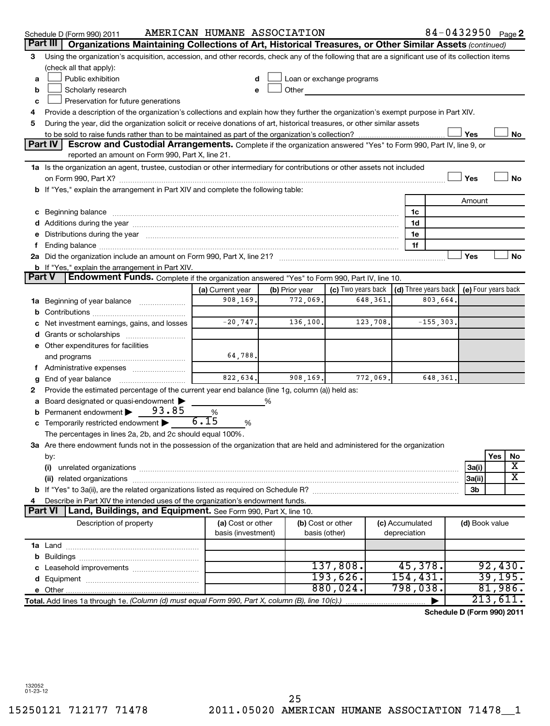|               | 84-0432950 $_{Page}$ 2<br>AMERICAN HUMANE ASSOCIATION<br>Schedule D (Form 990) 2011                                                                                                                                            |                    |  |                                                                                                                                                                                                                                      |                           |          |                     |              |                |                                              |
|---------------|--------------------------------------------------------------------------------------------------------------------------------------------------------------------------------------------------------------------------------|--------------------|--|--------------------------------------------------------------------------------------------------------------------------------------------------------------------------------------------------------------------------------------|---------------------------|----------|---------------------|--------------|----------------|----------------------------------------------|
| Part III      | Organizations Maintaining Collections of Art, Historical Treasures, or Other Similar Assets (continued)                                                                                                                        |                    |  |                                                                                                                                                                                                                                      |                           |          |                     |              |                |                                              |
| 3             | Using the organization's acquisition, accession, and other records, check any of the following that are a significant use of its collection items                                                                              |                    |  |                                                                                                                                                                                                                                      |                           |          |                     |              |                |                                              |
|               | (check all that apply):                                                                                                                                                                                                        |                    |  |                                                                                                                                                                                                                                      |                           |          |                     |              |                |                                              |
| а             | Public exhibition                                                                                                                                                                                                              | d                  |  |                                                                                                                                                                                                                                      | Loan or exchange programs |          |                     |              |                |                                              |
| b             | Scholarly research                                                                                                                                                                                                             | e                  |  | Other <b>Communist Communist Communist Communist Communist Communist Communist Communist Communist Communist Communist Communist Communist Communist Communist Communist Communist Communist Communist Communist Communist Commu</b> |                           |          |                     |              |                |                                              |
| c             | Preservation for future generations                                                                                                                                                                                            |                    |  |                                                                                                                                                                                                                                      |                           |          |                     |              |                |                                              |
| 4             | Provide a description of the organization's collections and explain how they further the organization's exempt purpose in Part XIV.                                                                                            |                    |  |                                                                                                                                                                                                                                      |                           |          |                     |              |                |                                              |
| 5             | During the year, did the organization solicit or receive donations of art, historical treasures, or other similar assets                                                                                                       |                    |  |                                                                                                                                                                                                                                      |                           |          |                     |              |                |                                              |
|               |                                                                                                                                                                                                                                |                    |  |                                                                                                                                                                                                                                      |                           |          |                     |              | Yes            | No                                           |
|               | Part IV<br>Escrow and Custodial Arrangements. Complete if the organization answered "Yes" to Form 990, Part IV, line 9, or                                                                                                     |                    |  |                                                                                                                                                                                                                                      |                           |          |                     |              |                |                                              |
|               | reported an amount on Form 990, Part X, line 21.                                                                                                                                                                               |                    |  |                                                                                                                                                                                                                                      |                           |          |                     |              |                |                                              |
|               | 1a Is the organization an agent, trustee, custodian or other intermediary for contributions or other assets not included                                                                                                       |                    |  |                                                                                                                                                                                                                                      |                           |          |                     |              |                |                                              |
|               |                                                                                                                                                                                                                                |                    |  |                                                                                                                                                                                                                                      |                           |          |                     |              | Yes            | <b>No</b>                                    |
|               | b If "Yes," explain the arrangement in Part XIV and complete the following table:                                                                                                                                              |                    |  |                                                                                                                                                                                                                                      |                           |          |                     |              |                |                                              |
|               |                                                                                                                                                                                                                                |                    |  |                                                                                                                                                                                                                                      |                           |          |                     |              | Amount         |                                              |
|               |                                                                                                                                                                                                                                |                    |  |                                                                                                                                                                                                                                      |                           |          | 1c<br>1d            |              |                |                                              |
|               |                                                                                                                                                                                                                                |                    |  |                                                                                                                                                                                                                                      |                           |          | 1e                  |              |                |                                              |
|               | Distributions during the year manufactured and an account of the year manufactured and the year manufactured and the year manufactured and the year manufactured and the year manufactured and the year manufactured and the y |                    |  |                                                                                                                                                                                                                                      |                           |          | 1f                  |              |                |                                              |
|               |                                                                                                                                                                                                                                |                    |  |                                                                                                                                                                                                                                      |                           |          |                     |              | Yes            | No                                           |
|               | <b>b</b> If "Yes," explain the arrangement in Part XIV.                                                                                                                                                                        |                    |  |                                                                                                                                                                                                                                      |                           |          |                     |              |                |                                              |
| <b>Part V</b> | Endowment Funds. Complete if the organization answered "Yes" to Form 990, Part IV, line 10.                                                                                                                                    |                    |  |                                                                                                                                                                                                                                      |                           |          |                     |              |                |                                              |
|               |                                                                                                                                                                                                                                | (a) Current year   |  | (b) Prior year                                                                                                                                                                                                                       | (c) Two years back        |          |                     |              |                | (d) Three years back $ $ (e) Four years back |
| 1a            | Beginning of year balance                                                                                                                                                                                                      | 908,169.           |  | 772,069.                                                                                                                                                                                                                             |                           | 648,361. | 803,664.            |              |                |                                              |
|               |                                                                                                                                                                                                                                |                    |  |                                                                                                                                                                                                                                      |                           |          |                     |              |                |                                              |
|               | Net investment earnings, gains, and losses                                                                                                                                                                                     | $-20,747.$         |  | 136, 100.                                                                                                                                                                                                                            |                           | 123,708. |                     | $-155, 303.$ |                |                                              |
|               |                                                                                                                                                                                                                                |                    |  |                                                                                                                                                                                                                                      |                           |          |                     |              |                |                                              |
|               | Other expenditures for facilities                                                                                                                                                                                              |                    |  |                                                                                                                                                                                                                                      |                           |          |                     |              |                |                                              |
|               | and programs                                                                                                                                                                                                                   | 64,788.            |  |                                                                                                                                                                                                                                      |                           |          |                     |              |                |                                              |
|               | Administrative expenses                                                                                                                                                                                                        |                    |  |                                                                                                                                                                                                                                      |                           |          |                     |              |                |                                              |
|               | End of year balance                                                                                                                                                                                                            | 822,634.           |  | 908, 169.                                                                                                                                                                                                                            |                           | 772,069. |                     | 648,361.     |                |                                              |
| 2             | Provide the estimated percentage of the current year end balance (line 1g, column (a)) held as:                                                                                                                                |                    |  |                                                                                                                                                                                                                                      |                           |          |                     |              |                |                                              |
|               | Board designated or quasi-endowment                                                                                                                                                                                            |                    |  |                                                                                                                                                                                                                                      |                           |          |                     |              |                |                                              |
|               | 93.85<br>Permanent endowment                                                                                                                                                                                                   | %                  |  |                                                                                                                                                                                                                                      |                           |          |                     |              |                |                                              |
|               | Temporarily restricted endowment                                                                                                                                                                                               | 6.15<br>%          |  |                                                                                                                                                                                                                                      |                           |          |                     |              |                |                                              |
|               | The percentages in lines 2a, 2b, and 2c should equal 100%.                                                                                                                                                                     |                    |  |                                                                                                                                                                                                                                      |                           |          |                     |              |                |                                              |
|               | 3a Are there endowment funds not in the possession of the organization that are held and administered for the organization                                                                                                     |                    |  |                                                                                                                                                                                                                                      |                           |          |                     |              |                |                                              |
|               | by:                                                                                                                                                                                                                            |                    |  |                                                                                                                                                                                                                                      |                           |          |                     |              |                | Yes<br>No                                    |
|               | (i)                                                                                                                                                                                                                            |                    |  |                                                                                                                                                                                                                                      |                           |          |                     |              | 3a(i)          | х                                            |
|               |                                                                                                                                                                                                                                |                    |  |                                                                                                                                                                                                                                      |                           |          |                     |              | 3a(ii)         | $\overline{\texttt{x}}$                      |
|               |                                                                                                                                                                                                                                |                    |  |                                                                                                                                                                                                                                      |                           |          |                     |              | 3b             |                                              |
|               | Describe in Part XIV the intended uses of the organization's endowment funds.                                                                                                                                                  |                    |  |                                                                                                                                                                                                                                      |                           |          |                     |              |                |                                              |
|               | <b>Part VI</b><br>Land, Buildings, and Equipment. See Form 990, Part X, line 10.                                                                                                                                               |                    |  |                                                                                                                                                                                                                                      |                           |          |                     |              |                |                                              |
|               | Description of property                                                                                                                                                                                                        | (a) Cost or other  |  | (b) Cost or other                                                                                                                                                                                                                    |                           |          | (c) Accumulated     |              | (d) Book value |                                              |
|               |                                                                                                                                                                                                                                | basis (investment) |  | basis (other)                                                                                                                                                                                                                        |                           |          | depreciation        |              |                |                                              |
|               |                                                                                                                                                                                                                                |                    |  |                                                                                                                                                                                                                                      |                           |          |                     |              |                |                                              |
|               |                                                                                                                                                                                                                                |                    |  |                                                                                                                                                                                                                                      |                           |          |                     |              |                |                                              |
|               |                                                                                                                                                                                                                                |                    |  |                                                                                                                                                                                                                                      | 137,808.<br>193,626.      |          | 45,378.<br>154,431. |              |                | 92,430.<br>39, 195.                          |
|               |                                                                                                                                                                                                                                |                    |  |                                                                                                                                                                                                                                      | 880,024.                  |          | 798,038 <b>.</b>    |              |                | 81,986.                                      |
|               |                                                                                                                                                                                                                                |                    |  |                                                                                                                                                                                                                                      |                           |          |                     |              |                | 213,611.                                     |
|               | Total. Add lines 1a through 1e. (Column (d) must equal Form 990, Part X, column (B), line 10(c).)                                                                                                                              |                    |  |                                                                                                                                                                                                                                      |                           |          |                     |              |                |                                              |
|               |                                                                                                                                                                                                                                |                    |  |                                                                                                                                                                                                                                      |                           |          |                     |              |                | Schedule D (Form 990) 2011                   |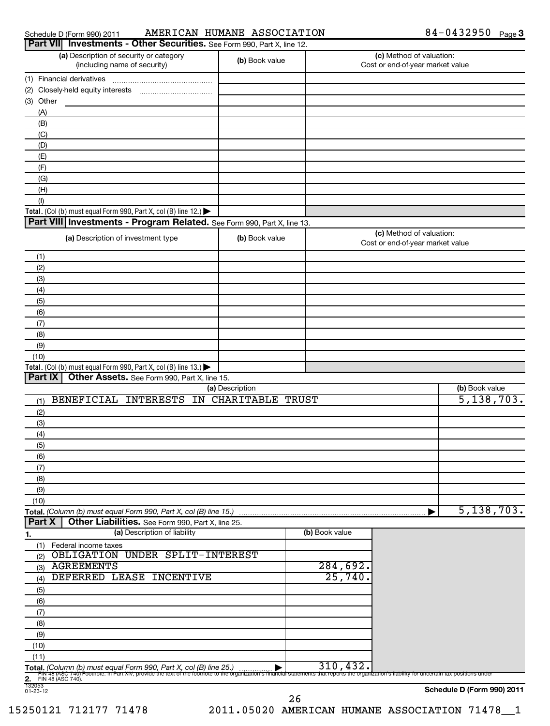| Schedule D (Form 990) 201 |  |
|---------------------------|--|
|                           |  |

### Schedule D (Form 990) 2011  $\;$  AMERICAN HUMANE ASSOCIATION  $\;$  84 - 0432950  $\;$  Page

| Part VII Investments - Other Securities. See Form 990, Part X, line 12.                                                                                  |                     |                |                                                                             |                            |
|----------------------------------------------------------------------------------------------------------------------------------------------------------|---------------------|----------------|-----------------------------------------------------------------------------|----------------------------|
| (a) Description of security or category<br>(including name of security)                                                                                  | (b) Book value      |                | (c) Method of valuation:<br>Cost or end-of-year market value                |                            |
| (1) Financial derivatives                                                                                                                                |                     |                |                                                                             |                            |
|                                                                                                                                                          |                     |                |                                                                             |                            |
| (3) Other                                                                                                                                                |                     |                |                                                                             |                            |
| (A)                                                                                                                                                      |                     |                |                                                                             |                            |
| (B)                                                                                                                                                      |                     |                |                                                                             |                            |
| (C)                                                                                                                                                      |                     |                |                                                                             |                            |
| (D)                                                                                                                                                      |                     |                |                                                                             |                            |
| (E)                                                                                                                                                      |                     |                |                                                                             |                            |
| (F)                                                                                                                                                      |                     |                |                                                                             |                            |
| (G)                                                                                                                                                      |                     |                |                                                                             |                            |
| (H)                                                                                                                                                      |                     |                |                                                                             |                            |
| (1)                                                                                                                                                      |                     |                |                                                                             |                            |
| Total. (Col (b) must equal Form 990, Part X, col (B) line 12.) $\blacktriangleright$                                                                     |                     |                |                                                                             |                            |
| Part VIII Investments - Program Related. See Form 990, Part X, line 13.                                                                                  |                     |                |                                                                             |                            |
| (a) Description of investment type                                                                                                                       | (b) Book value      |                | (c) Method of valuation:<br>Cost or end-of-year market value                |                            |
| (1)                                                                                                                                                      |                     |                |                                                                             |                            |
| (2)                                                                                                                                                      |                     |                |                                                                             |                            |
| (3)                                                                                                                                                      |                     |                |                                                                             |                            |
| (4)                                                                                                                                                      |                     |                |                                                                             |                            |
| (5)                                                                                                                                                      |                     |                |                                                                             |                            |
| (6)                                                                                                                                                      |                     |                |                                                                             |                            |
| (7)                                                                                                                                                      |                     |                |                                                                             |                            |
| (8)                                                                                                                                                      |                     |                |                                                                             |                            |
| (9)                                                                                                                                                      |                     |                |                                                                             |                            |
| (10)<br>Total. (Col (b) must equal Form 990, Part X, col (B) line 13.) $\blacktriangleright$                                                             |                     |                |                                                                             |                            |
| <b>Part IX</b><br>Other Assets. See Form 990, Part X, line 15.                                                                                           |                     |                |                                                                             |                            |
|                                                                                                                                                          | (a) Description     |                |                                                                             | (b) Book value             |
| BENEFICIAL INTERESTS<br>(1)                                                                                                                              | IN CHARITABLE TRUST |                |                                                                             | 5,138,703.                 |
| (2)                                                                                                                                                      |                     |                |                                                                             |                            |
| (3)                                                                                                                                                      |                     |                |                                                                             |                            |
| (4)                                                                                                                                                      |                     |                |                                                                             |                            |
| (5)                                                                                                                                                      |                     |                |                                                                             |                            |
| (6)                                                                                                                                                      |                     |                |                                                                             |                            |
| (7)                                                                                                                                                      |                     |                |                                                                             |                            |
| (8)                                                                                                                                                      |                     |                |                                                                             |                            |
| (9)                                                                                                                                                      |                     |                |                                                                             |                            |
| (10)                                                                                                                                                     |                     |                |                                                                             |                            |
| Total. (Column (b) must equal Form 990, Part X, col (B) line 15.)                                                                                        |                     |                |                                                                             | 5,138,703.                 |
| Part X<br>Other Liabilities. See Form 990, Part X, line 25.                                                                                              |                     |                |                                                                             |                            |
| (a) Description of liability<br>$\overline{1}$ .                                                                                                         |                     | (b) Book value |                                                                             |                            |
| (1)<br>Federal income taxes                                                                                                                              |                     |                |                                                                             |                            |
| OBLIGATION UNDER SPLIT-INTEREST<br>(2)                                                                                                                   |                     |                |                                                                             |                            |
| <b>AGREEMENTS</b><br>(3)                                                                                                                                 |                     | 284,692.       |                                                                             |                            |
| DEFERRED LEASE INCENTIVE<br>(4)                                                                                                                          |                     | 25,740.        |                                                                             |                            |
| (5)                                                                                                                                                      |                     |                |                                                                             |                            |
| (6)                                                                                                                                                      |                     |                |                                                                             |                            |
| (7)                                                                                                                                                      |                     |                |                                                                             |                            |
| (8)                                                                                                                                                      |                     |                |                                                                             |                            |
| (9)                                                                                                                                                      |                     |                |                                                                             |                            |
| (10)                                                                                                                                                     |                     |                |                                                                             |                            |
| (11)                                                                                                                                                     |                     |                |                                                                             |                            |
| Total. (Column (b) must equal Form 990, Part X, col (B) line 25.<br>FIN 48 (ASC 740) Footnote. In Part XIV, provide the text of the footnote to the orga |                     | 310,432.       | that reports the organization's liability for uncertain tax positions under |                            |
| <b>2.</b> FIN 48 (ASC 740).                                                                                                                              |                     |                |                                                                             |                            |
| $\frac{1}{132053}$<br>01-23-12                                                                                                                           |                     |                |                                                                             | Schedule D (Form 990) 2011 |

26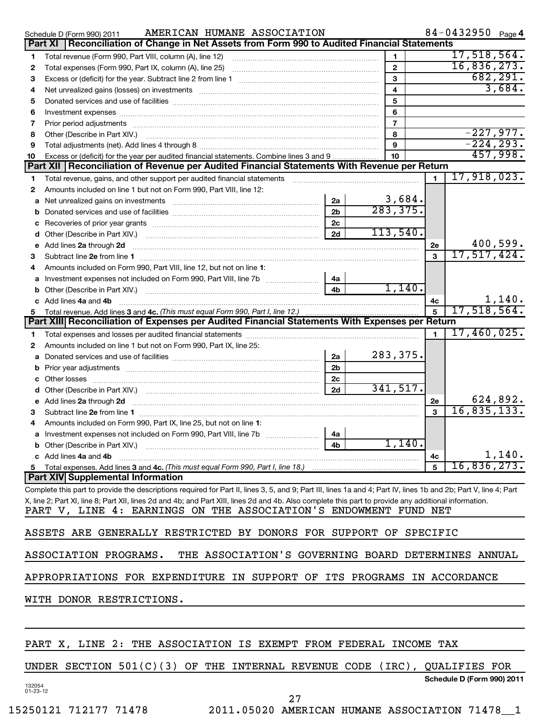|                    | AMERICAN HUMANE ASSOCIATION<br>Schedule D (Form 990) 2011                                                                                                                                                                     |                |                |                | 84-0432950 Page 4                           |
|--------------------|-------------------------------------------------------------------------------------------------------------------------------------------------------------------------------------------------------------------------------|----------------|----------------|----------------|---------------------------------------------|
|                    | Reconciliation of Change in Net Assets from Form 990 to Audited Financial Statements<br><b>Part XI</b>                                                                                                                        |                |                |                |                                             |
| 1                  | Total revenue (Form 990, Part VIII, column (A), line 12)                                                                                                                                                                      |                | 1              |                | 17,518,564.                                 |
| 2                  |                                                                                                                                                                                                                               |                | $\mathbf{2}$   |                | 16,836,273.                                 |
| З                  |                                                                                                                                                                                                                               |                | 3              |                | 682, 291.                                   |
| 4                  | Net unrealized gains (losses) on investments [11] matter continuum matter and all the set of the set of the set of the set of the set of the set of the set of the set of the set of the set of the set of the set of the set |                | 4              |                | 3,684.                                      |
| 5                  |                                                                                                                                                                                                                               |                | 5              |                |                                             |
| 6                  |                                                                                                                                                                                                                               |                | 6              |                |                                             |
| 7                  |                                                                                                                                                                                                                               |                | $\overline{7}$ |                |                                             |
| 8                  | Other (Describe in Part XIV.)                                                                                                                                                                                                 |                | 8              |                | $-227,977.$                                 |
| 9                  |                                                                                                                                                                                                                               |                | 9              |                | $-224, 293.$                                |
| 10                 | Excess or (deficit) for the year per audited financial statements. Combine lines 3 and 9                                                                                                                                      |                | 10             |                | 457,998.                                    |
|                    | Part XII   Reconciliation of Revenue per Audited Financial Statements With Revenue per Return                                                                                                                                 |                |                |                |                                             |
| 1                  | Total revenue, gains, and other support per audited financial statements [[[[[[[[[[[[[[[[[[[[[[]]]]]]]]]]]]]]                                                                                                                 |                |                | $\mathbf{1}$   | 17,918,023.                                 |
| 2                  | Amounts included on line 1 but not on Form 990, Part VIII, line 12:                                                                                                                                                           |                |                |                |                                             |
|                    |                                                                                                                                                                                                                               | 2a             | 3,684.         |                |                                             |
| a                  |                                                                                                                                                                                                                               |                | 283, 375.      |                |                                             |
| b                  |                                                                                                                                                                                                                               | 2 <sub>b</sub> |                |                |                                             |
| с                  |                                                                                                                                                                                                                               | 2c             | 113,540.       |                |                                             |
| d                  |                                                                                                                                                                                                                               | 2d             |                |                |                                             |
| е                  | Add lines 2a through 2d                                                                                                                                                                                                       |                |                | 2е             | 400,599.                                    |
| з                  |                                                                                                                                                                                                                               |                |                | 3              | 17,517,424.                                 |
| 4                  | Amounts included on Form 990, Part VIII, line 12, but not on line 1:                                                                                                                                                          |                |                |                |                                             |
| а                  |                                                                                                                                                                                                                               | 4a             |                |                |                                             |
| b                  |                                                                                                                                                                                                                               | 4 <sub>b</sub> | 1.140.         |                |                                             |
| c                  | Add lines 4a and 4b                                                                                                                                                                                                           |                |                | 4с             | $\frac{1,140}{17,518,564}$ .                |
|                    | Total revenue. Add lines 3 and 4c. (This must equal Form 990, Part I, line 12.)                                                                                                                                               |                |                |                |                                             |
|                    | Part XIII Reconciliation of Expenses per Audited Financial Statements With Expenses per Return                                                                                                                                |                |                |                |                                             |
| 1                  |                                                                                                                                                                                                                               |                |                | $\blacksquare$ | 17,460,025.                                 |
| 2                  | Amounts included on line 1 but not on Form 990, Part IX, line 25:                                                                                                                                                             |                |                |                |                                             |
| a                  |                                                                                                                                                                                                                               | 2a             | 283,375.       |                |                                             |
| b                  |                                                                                                                                                                                                                               | 2 <sub>b</sub> |                |                |                                             |
|                    |                                                                                                                                                                                                                               | 2 <sub>c</sub> |                |                |                                             |
| d                  |                                                                                                                                                                                                                               | 2d             | 341,517.       |                |                                             |
|                    | Add lines 2a through 2d                                                                                                                                                                                                       |                |                | 2e             | 624,892.                                    |
| е                  |                                                                                                                                                                                                                               |                |                | 3              | 16, 835, 133.                               |
| З                  |                                                                                                                                                                                                                               |                |                |                |                                             |
| 4                  | Amounts included on Form 990, Part IX, line 25, but not on line 1:                                                                                                                                                            |                |                |                |                                             |
|                    |                                                                                                                                                                                                                               | 4a             | 1,140.         |                |                                             |
|                    | <b>b</b> Other (Describe in Part XIV.)                                                                                                                                                                                        | 4b             |                |                |                                             |
|                    | c Add lines 4a and 4b                                                                                                                                                                                                         |                |                | 4с             | 1,140.                                      |
|                    | 5 Total expenses. Add lines 3 and 4c. (This must equal Form 990, Part I, line 18.)                                                                                                                                            |                |                | 5              | 16,836,273.                                 |
|                    | <b>Part XIV Supplemental Information</b>                                                                                                                                                                                      |                |                |                |                                             |
|                    | Complete this part to provide the descriptions required for Part II, lines 3, 5, and 9; Part III, lines 1a and 4; Part IV, lines 1b and 2b; Part V, line 4; Part                                                              |                |                |                |                                             |
|                    | X, line 2; Part XI, line 8; Part XII, lines 2d and 4b; and Part XIII, lines 2d and 4b. Also complete this part to provide any additional information.                                                                         |                |                |                |                                             |
|                    | PART V, LINE 4: EARNINGS ON THE ASSOCIATION'S ENDOWMENT FUND NET                                                                                                                                                              |                |                |                |                                             |
|                    |                                                                                                                                                                                                                               |                |                |                |                                             |
|                    | ASSETS ARE GENERALLY RESTRICTED BY DONORS FOR SUPPORT OF SPECIFIC                                                                                                                                                             |                |                |                |                                             |
|                    |                                                                                                                                                                                                                               |                |                |                |                                             |
|                    | THE ASSOCIATION'S GOVERNING BOARD DETERMINES ANNUAL<br>ASSOCIATION PROGRAMS.                                                                                                                                                  |                |                |                |                                             |
|                    | APPROPRIATIONS FOR EXPENDITURE IN SUPPORT OF ITS PROGRAMS IN ACCORDANCE                                                                                                                                                       |                |                |                |                                             |
|                    | WITH DONOR RESTRICTIONS.                                                                                                                                                                                                      |                |                |                |                                             |
|                    |                                                                                                                                                                                                                               |                |                |                |                                             |
|                    |                                                                                                                                                                                                                               |                |                |                |                                             |
|                    | PART X, LINE 2: THE ASSOCIATION IS EXEMPT FROM FEDERAL INCOME TAX                                                                                                                                                             |                |                |                |                                             |
|                    | UNDER SECTION $501(C)(3)$ OF THE INTERNAL REVENUE CODE                                                                                                                                                                        |                | $(IRC)$ ,      |                | QUALIFIES FOR<br>Schedule D (Form 990) 2011 |
| 132054<br>01-23-12 | n <del>n</del>                                                                                                                                                                                                                |                |                |                |                                             |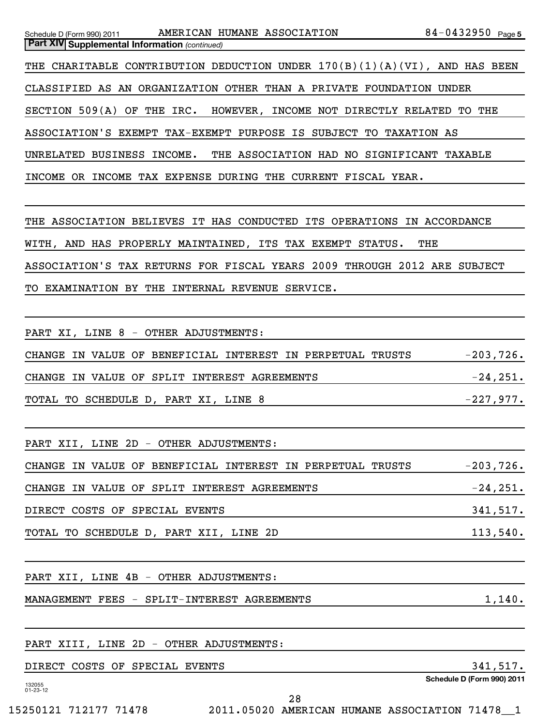*(continued)* **Part XIV Supplemental Information** 

THE CHARITABLE CONTRIBUTION DEDUCTION UNDER 170(B)(1)(A)(VI), AND HAS BEEN

CLASSIFIED AS AN ORGANIZATION OTHER THAN A PRIVATE FOUNDATION UNDER

SECTION 509(A) OF THE IRC. HOWEVER, INCOME NOT DIRECTLY RELATED TO THE

ASSOCIATION'S EXEMPT TAX-EXEMPT PURPOSE IS SUBJECT TO TAXATION AS

UNRELATED BUSINESS INCOME. THE ASSOCIATION HAD NO SIGNIFICANT TAXABLE

INCOME OR INCOME TAX EXPENSE DURING THE CURRENT FISCAL YEAR.

THE ASSOCIATION BELIEVES IT HAS CONDUCTED ITS OPERATIONS IN ACCORDANCE

WITH, AND HAS PROPERLY MAINTAINED, ITS TAX EXEMPT STATUS. THE

ASSOCIATION'S TAX RETURNS FOR FISCAL YEARS 2009 THROUGH 2012 ARE SUBJECT

TO EXAMINATION BY THE INTERNAL REVENUE SERVICE.

PART XI, LINE 8 - OTHER ADJUSTMENTS:

CHANGE IN VALUE OF BENEFICIAL INTEREST IN PERPETUAL TRUSTS  $-203,726$ . CHANGE IN VALUE OF SPLIT INTEREST AGREEMENTS FOR SALL THANGE IN VALUE OF SPLIT INTEREST AGREEMENTS

TOTAL TO SCHEDULE D, PART XI, LINE 8  $-227,977$ .

PART XII, LINE 2D - OTHER ADJUSTMENTS:

CHANGE IN VALUE OF BENEFICIAL INTEREST IN PERPETUAL TRUSTS  $-203,726$ .

CHANGE IN VALUE OF SPLIT INTEREST AGREEMENTS FOR SALL THANGE IN VALUE OF SPLIT INTEREST AGREEMENTS

DIRECT COSTS OF SPECIAL EVENTS **SUBSET ASSESSED AS A SET ASSESSED AS A S** 341,517.

TOTAL TO SCHEDULE D, PART XII, LINE 2D 113,540.

PART XII, LINE 4B - OTHER ADJUSTMENTS:

MANAGEMENT FEES - SPLIT-INTEREST AGREEMENTS 1,140.

| PART XIII, LINE 2D - OTHER ADJUSTMENTS: |                            |
|-----------------------------------------|----------------------------|
| DIRECT COSTS OF SPECIAL EVENTS          | 341,517.                   |
| 132055                                  | Schedule D (Form 990) 2011 |
| $01 - 23 - 12$<br>28                    |                            |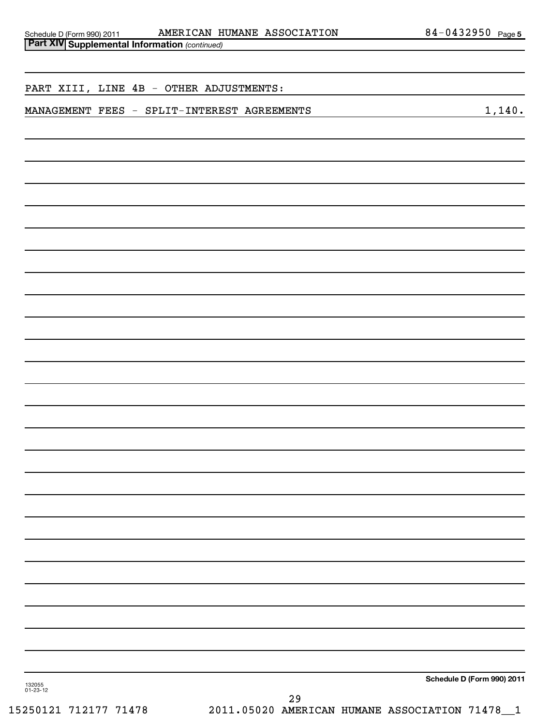| PART XIII, LINE 4B - OTHER ADJUSTMENTS:<br>MANAGEMENT FEES - SPLIT-INTEREST AGREEMENTS |    |                            |
|----------------------------------------------------------------------------------------|----|----------------------------|
|                                                                                        |    |                            |
|                                                                                        |    | 1,140.                     |
|                                                                                        |    |                            |
|                                                                                        |    |                            |
|                                                                                        |    |                            |
|                                                                                        |    |                            |
|                                                                                        |    |                            |
|                                                                                        |    |                            |
|                                                                                        |    |                            |
|                                                                                        |    |                            |
|                                                                                        |    |                            |
|                                                                                        |    |                            |
|                                                                                        |    |                            |
|                                                                                        |    |                            |
|                                                                                        |    |                            |
|                                                                                        |    |                            |
|                                                                                        |    |                            |
|                                                                                        |    |                            |
|                                                                                        |    |                            |
|                                                                                        |    |                            |
| 132055<br>01-23-12                                                                     | 29 | Schedule D (Form 990) 2011 |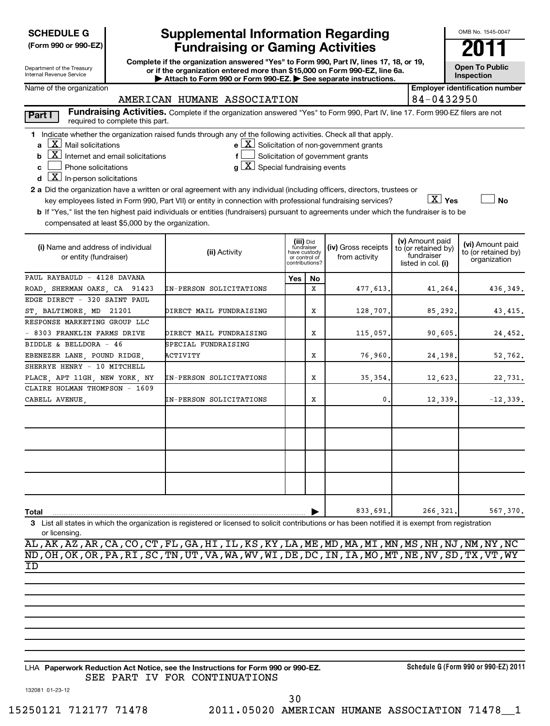| <b>SCHEDULE G</b> |
|-------------------|
|-------------------|

**(Form 990 or 990-EZ)**

## **Supplemental Information Regarding Fundraising or Gaming Activities**

**Complete if the organization answered "Yes" to Form 990, Part IV, lines 17, 18, or 19, or if the organization entered more than \$15,000 on Form 990-EZ, line 6a.**

**Open To Public**

OMB No. 1545-0047

| Complete if the organization answered "Yes" to Form 990, Part IV, lines 17, 18, or 19,<br>Department of the Treasury<br>or if the organization entered more than \$15,000 on Form 990-EZ, line 6a.<br>Internal Revenue Service<br>Attach to Form 990 or Form 990-EZ. See separate instructions.                                                                                                                                                                                                                                                                                                                                                                                                                                                                                                                                                                                                                                                                       |                                                                                                                                                                  |                         |     |                                                                                                                    |                |  |                                                                            | <b>Open To Public</b><br>Inspection                     |  |  |
|-----------------------------------------------------------------------------------------------------------------------------------------------------------------------------------------------------------------------------------------------------------------------------------------------------------------------------------------------------------------------------------------------------------------------------------------------------------------------------------------------------------------------------------------------------------------------------------------------------------------------------------------------------------------------------------------------------------------------------------------------------------------------------------------------------------------------------------------------------------------------------------------------------------------------------------------------------------------------|------------------------------------------------------------------------------------------------------------------------------------------------------------------|-------------------------|-----|--------------------------------------------------------------------------------------------------------------------|----------------|--|----------------------------------------------------------------------------|---------------------------------------------------------|--|--|
| <b>Employer identification number</b><br>Name of the organization                                                                                                                                                                                                                                                                                                                                                                                                                                                                                                                                                                                                                                                                                                                                                                                                                                                                                                     |                                                                                                                                                                  |                         |     |                                                                                                                    |                |  |                                                                            |                                                         |  |  |
| 84-0432950<br>AMERICAN HUMANE ASSOCIATION                                                                                                                                                                                                                                                                                                                                                                                                                                                                                                                                                                                                                                                                                                                                                                                                                                                                                                                             |                                                                                                                                                                  |                         |     |                                                                                                                    |                |  |                                                                            |                                                         |  |  |
| Part I                                                                                                                                                                                                                                                                                                                                                                                                                                                                                                                                                                                                                                                                                                                                                                                                                                                                                                                                                                | Fundraising Activities. Complete if the organization answered "Yes" to Form 990, Part IV, line 17. Form 990-EZ filers are not<br>required to complete this part. |                         |     |                                                                                                                    |                |  |                                                                            |                                                         |  |  |
| 1 Indicate whether the organization raised funds through any of the following activities. Check all that apply.<br>$\underline{\mathbf{X}}$ Mail solicitations<br>e $\lfloor \underline{X} \rfloor$ Solicitation of non-government grants<br>$\underline{\mathbf{X}}$ Internet and email solicitations<br>Solicitation of government grants<br>b<br>$g\lfloor X\rfloor$ Special fundraising events<br>Phone solicitations<br>C<br>$\boxed{\textbf{X}}$ In-person solicitations<br>d<br>2 a Did the organization have a written or oral agreement with any individual (including officers, directors, trustees or<br>$\boxed{\text{X}}$ Yes<br><b>No</b><br>key employees listed in Form 990, Part VII) or entity in connection with professional fundraising services?<br>b If "Yes," list the ten highest paid individuals or entities (fundraisers) pursuant to agreements under which the fundraiser is to be<br>compensated at least \$5,000 by the organization. |                                                                                                                                                                  |                         |     |                                                                                                                    |                |  |                                                                            |                                                         |  |  |
| (i) Name and address of individual<br>or entity (fundraiser)                                                                                                                                                                                                                                                                                                                                                                                                                                                                                                                                                                                                                                                                                                                                                                                                                                                                                                          |                                                                                                                                                                  | (ii) Activity           |     | (iii) Did<br>fundraiser<br>(iv) Gross receipts<br>have custody<br>or control of<br>from activity<br>contributions? |                |  | (v) Amount paid<br>to (or retained by)<br>fundraiser<br>listed in col. (i) | (vi) Amount paid<br>to (or retained by)<br>organization |  |  |
| PAUL RAYBAULD - 4128 DAVANA                                                                                                                                                                                                                                                                                                                                                                                                                                                                                                                                                                                                                                                                                                                                                                                                                                                                                                                                           |                                                                                                                                                                  |                         | Yes | No                                                                                                                 |                |  |                                                                            |                                                         |  |  |
| ROAD, SHERMAN OAKS, CA 91423                                                                                                                                                                                                                                                                                                                                                                                                                                                                                                                                                                                                                                                                                                                                                                                                                                                                                                                                          |                                                                                                                                                                  | IN-PERSON SOLICITATIONS |     | $\mathbf{x}$                                                                                                       | 477,613.       |  | 41,264.                                                                    | 436,349.                                                |  |  |
| EDGE DIRECT - 320 SAINT PAUL                                                                                                                                                                                                                                                                                                                                                                                                                                                                                                                                                                                                                                                                                                                                                                                                                                                                                                                                          |                                                                                                                                                                  |                         |     |                                                                                                                    |                |  |                                                                            |                                                         |  |  |
| ST. BALTIMORE, MD 21201                                                                                                                                                                                                                                                                                                                                                                                                                                                                                                                                                                                                                                                                                                                                                                                                                                                                                                                                               |                                                                                                                                                                  | DIRECT MAIL FUNDRAISING |     | x                                                                                                                  | 128,707.       |  | 85,292.                                                                    | 43, 415.                                                |  |  |
| RESPONSE MARKETING GROUP LLC                                                                                                                                                                                                                                                                                                                                                                                                                                                                                                                                                                                                                                                                                                                                                                                                                                                                                                                                          |                                                                                                                                                                  |                         |     |                                                                                                                    |                |  |                                                                            |                                                         |  |  |
| - 8303 FRANKLIN FARMS DRIVE                                                                                                                                                                                                                                                                                                                                                                                                                                                                                                                                                                                                                                                                                                                                                                                                                                                                                                                                           |                                                                                                                                                                  | DIRECT MAIL FUNDRAISING |     | x                                                                                                                  | 115,057.       |  | 90,605                                                                     | 24,452.                                                 |  |  |
| BIDDLE & BELLDORA - 46                                                                                                                                                                                                                                                                                                                                                                                                                                                                                                                                                                                                                                                                                                                                                                                                                                                                                                                                                |                                                                                                                                                                  | SPECIAL FUNDRAISING     |     |                                                                                                                    |                |  |                                                                            |                                                         |  |  |
| EBENEZER LANE, POUND RIDGE,                                                                                                                                                                                                                                                                                                                                                                                                                                                                                                                                                                                                                                                                                                                                                                                                                                                                                                                                           |                                                                                                                                                                  | ACTIVITY                |     | x                                                                                                                  | 76,960.        |  | 24,198.                                                                    | 52,762.                                                 |  |  |
| SHERRYE HENRY - 10 MITCHELL                                                                                                                                                                                                                                                                                                                                                                                                                                                                                                                                                                                                                                                                                                                                                                                                                                                                                                                                           |                                                                                                                                                                  |                         |     |                                                                                                                    |                |  |                                                                            |                                                         |  |  |
| PLACE, APT 11GH, NEW YORK, NY                                                                                                                                                                                                                                                                                                                                                                                                                                                                                                                                                                                                                                                                                                                                                                                                                                                                                                                                         |                                                                                                                                                                  | IN-PERSON SOLICITATIONS |     | x                                                                                                                  | 35, 354.       |  | 12,623.                                                                    | 22,731.                                                 |  |  |
| CLAIRE HOLMAN THOMPSON - 1609                                                                                                                                                                                                                                                                                                                                                                                                                                                                                                                                                                                                                                                                                                                                                                                                                                                                                                                                         |                                                                                                                                                                  |                         |     |                                                                                                                    |                |  |                                                                            |                                                         |  |  |
| CABELL AVENUE,                                                                                                                                                                                                                                                                                                                                                                                                                                                                                                                                                                                                                                                                                                                                                                                                                                                                                                                                                        |                                                                                                                                                                  | IN-PERSON SOLICITATIONS |     | X                                                                                                                  | $\mathbf{0}$ . |  | 12,339.                                                                    | $-12,339.$                                              |  |  |
|                                                                                                                                                                                                                                                                                                                                                                                                                                                                                                                                                                                                                                                                                                                                                                                                                                                                                                                                                                       |                                                                                                                                                                  |                         |     |                                                                                                                    |                |  |                                                                            |                                                         |  |  |

**Total 3** List all states in which the organization is registered or licensed to solicit contributions or has been notified it is exempt from registration | or licensing. 833,691. 266,321. 567,370.

AL,AK,AZ,AR,CA,CO,CT,FL,GA,HI,IL,KS,KY,LA,ME,MD,MA,MI,MN,MS,NH,NJ,NM,NY,NC ND,OH,OK,OR,PA,RI,SC,TN,UT,VA,WA,WV,WI,DE,DC,IN,IA,MO,MT,NE,NV,SD,TX,VT,WY ID

**Paperwork Reduction Act Notice, see the Instructions for Form 990 or 990-EZ.** LHA SEE PART IV FOR CONTINUATIONS

**Schedule G (Form 990 or 990-EZ) 2011**

30

132081 01-23-12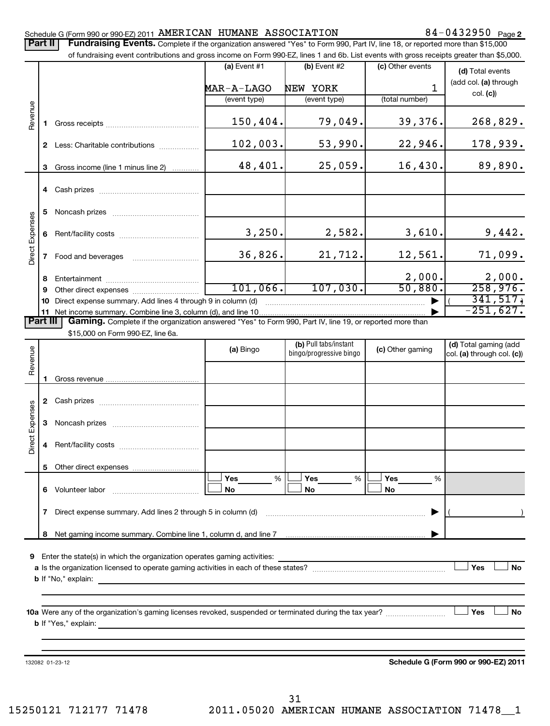### Schedule G (Form 990 or 990-EZ) 2011 Page AMERICAN HUMANE ASSOCIATION 84-0432950

**(d)**  Total events (add col. (a) through col. **(c)**)  $(a)$  Event #1  $(b)$  Event #2 **1** Part II | Fundraising Events. Complete if the organization answered "Yes" to Form 990, Part IV, line 18, or reported more than \$15,000 of fundraising event contributions and gross income on Form 990-EZ, lines 1 and 6b. List events with gross receipts greater than \$5,000. Revenue (c) Other events (event type) (event type) (total number) Gross receipts ~~~~~~~~~~~~~~ MAR-A-LAGO NEW YORK 1 150,404. 79,049. 39,376. 268,829.

| $\alpha$        |                                                                                                                          |                                                                                                                                                                                                                                |          |          |          |             |  |  |  |  |  |
|-----------------|--------------------------------------------------------------------------------------------------------------------------|--------------------------------------------------------------------------------------------------------------------------------------------------------------------------------------------------------------------------------|----------|----------|----------|-------------|--|--|--|--|--|
|                 |                                                                                                                          | Less: Charitable contributions                                                                                                                                                                                                 | 102,003. | 53,990.  | 22,946.  | 178,939.    |  |  |  |  |  |
|                 | 3                                                                                                                        | Gross income (line 1 minus line 2)                                                                                                                                                                                             | 48,401.  | 25,059.  | 16,430.  | 89,890.     |  |  |  |  |  |
|                 |                                                                                                                          | 4 Cash prizes                                                                                                                                                                                                                  |          |          |          |             |  |  |  |  |  |
|                 |                                                                                                                          | Noncash prizes                                                                                                                                                                                                                 |          |          |          |             |  |  |  |  |  |
| Direct Expenses |                                                                                                                          | Rent/facility costs                                                                                                                                                                                                            | 3,250.   | 2,582.   | 3,610.   | 9,442.      |  |  |  |  |  |
|                 |                                                                                                                          | Food and beverages                                                                                                                                                                                                             | 36,826.  | 21,712.  | 12,561.  | 71,099.     |  |  |  |  |  |
|                 | 8                                                                                                                        | Entertainment                                                                                                                                                                                                                  |          |          | 2,000.   | 2,000.      |  |  |  |  |  |
|                 |                                                                                                                          | Other direct expenses of the state of the state of the state of the state of the state of the state of the state of the state of the state of the state of the state of the state of the state of the state of the state of th | 101,066. | 107,030. | 50,880.  | 258,976.    |  |  |  |  |  |
|                 | 10                                                                                                                       | Direct expense summary. Add lines 4 through 9 in column (d)                                                                                                                                                                    |          |          | 341,517, |             |  |  |  |  |  |
|                 |                                                                                                                          |                                                                                                                                                                                                                                |          |          |          | $-251,627.$ |  |  |  |  |  |
|                 | <b>Dort III. Coming</b> Complete if the experimetion opening IV sell to Ferma 000 Best IV line 10, as spending move than |                                                                                                                                                                                                                                |          |          |          |             |  |  |  |  |  |

Part III | Gaming. Complete if the organization answered "Yes" to Form 990, Part IV, line 19, or reported more than \$15,000 on Form 990-EZ, line 6a.

| Revenue         |                                                                                                                                                                         |                                                                                                          | (a) Bingo             | (b) Pull tabs/instant<br>bingo/progressive bingo | (c) Other gaming | (d) Total gaming (add<br>col. (a) through col. (c)) |  |  |  |
|-----------------|-------------------------------------------------------------------------------------------------------------------------------------------------------------------------|----------------------------------------------------------------------------------------------------------|-----------------------|--------------------------------------------------|------------------|-----------------------------------------------------|--|--|--|
|                 |                                                                                                                                                                         |                                                                                                          |                       |                                                  |                  |                                                     |  |  |  |
|                 | $\mathbf{2}$                                                                                                                                                            |                                                                                                          |                       |                                                  |                  |                                                     |  |  |  |
| Direct Expenses | 3                                                                                                                                                                       |                                                                                                          |                       |                                                  |                  |                                                     |  |  |  |
|                 | 4                                                                                                                                                                       |                                                                                                          |                       |                                                  |                  |                                                     |  |  |  |
|                 |                                                                                                                                                                         |                                                                                                          |                       |                                                  |                  |                                                     |  |  |  |
|                 | 6.                                                                                                                                                                      |                                                                                                          | Yes<br>%<br><b>No</b> | %<br><b>No</b>                                   | %<br>No          |                                                     |  |  |  |
|                 | ▶<br>7                                                                                                                                                                  |                                                                                                          |                       |                                                  |                  |                                                     |  |  |  |
|                 | 8                                                                                                                                                                       |                                                                                                          |                       |                                                  |                  |                                                     |  |  |  |
| 9               |                                                                                                                                                                         |                                                                                                          |                       |                                                  |                  |                                                     |  |  |  |
|                 | Yes<br><b>No</b><br><b>b</b> If "No," explain:<br><u> 1989 - Johann Harry Harry Harry Harry Harry Harry Harry Harry Harry Harry Harry Harry Harry Harry Harry Harry</u> |                                                                                                          |                       |                                                  |                  |                                                     |  |  |  |
|                 |                                                                                                                                                                         |                                                                                                          |                       |                                                  |                  |                                                     |  |  |  |
|                 |                                                                                                                                                                         | 10a Were any of the organization's gaming licenses revoked, suspended or terminated during the tax year? |                       |                                                  |                  | Yes<br><b>No</b>                                    |  |  |  |
|                 |                                                                                                                                                                         |                                                                                                          |                       |                                                  |                  |                                                     |  |  |  |

132082 01-23-12

**Schedule G (Form 990 or 990-EZ) 2011**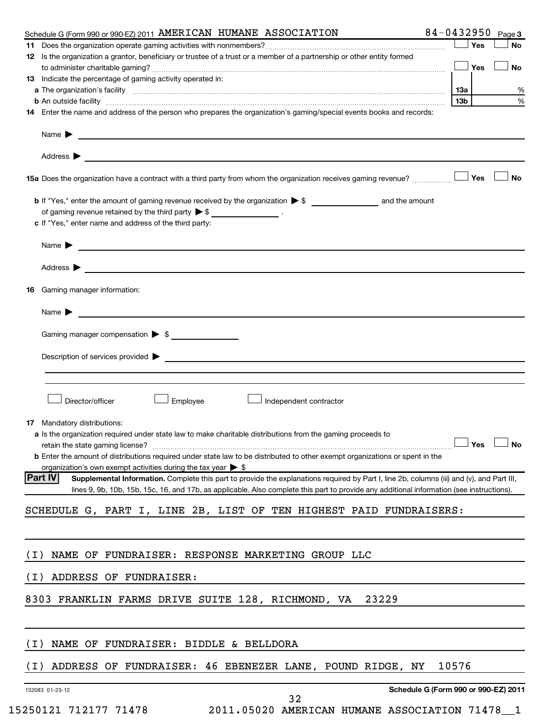| Schedule G (Form 990 or 990-EZ) 2011 AMERICAN HUMANE ASSOCIATION                                                                                                                                                                      | 84-0432950                           |            | Page 3    |
|---------------------------------------------------------------------------------------------------------------------------------------------------------------------------------------------------------------------------------------|--------------------------------------|------------|-----------|
|                                                                                                                                                                                                                                       |                                      | $\Box$ Yes | No        |
| 12 Is the organization a grantor, beneficiary or trustee of a trust or a member of a partnership or other entity formed                                                                                                               |                                      |            |           |
|                                                                                                                                                                                                                                       |                                      | $\Box$ Yes | <b>No</b> |
| 13 Indicate the percentage of gaming activity operated in:                                                                                                                                                                            |                                      |            |           |
|                                                                                                                                                                                                                                       |                                      | 13а        | %         |
| 14 Enter the name and address of the person who prepares the organization's gaming/special events books and records:                                                                                                                  |                                      | 13b        | %         |
|                                                                                                                                                                                                                                       |                                      |            |           |
| Name <b>Decision and Contract Contract Contract Contract Contract Contract Contract Contract Contract Contract Contract Contract Contract Contract Contract Contract Contract Contract Contract Contract Contract Contract Contr</b>  |                                      |            |           |
|                                                                                                                                                                                                                                       |                                      |            |           |
|                                                                                                                                                                                                                                       |                                      |            |           |
|                                                                                                                                                                                                                                       |                                      |            |           |
| 15a Does the organization have a contract with a third party from whom the organization receives gaming revenue?                                                                                                                      |                                      | Yes        | <b>No</b> |
|                                                                                                                                                                                                                                       |                                      |            |           |
| of gaming revenue retained by the third party $\triangleright$ \$ _________________.                                                                                                                                                  |                                      |            |           |
| c If "Yes," enter name and address of the third party:                                                                                                                                                                                |                                      |            |           |
|                                                                                                                                                                                                                                       |                                      |            |           |
| Name <b>Decision and Contract Contract Contract Contract Contract Contract Contract Contract Contract Contract Contract Contract Contract Contract Contract Contract Contract Contract Contract Contract Contract Contract Contr</b>  |                                      |            |           |
|                                                                                                                                                                                                                                       |                                      |            |           |
| Address $\blacktriangleright$                                                                                                                                                                                                         |                                      |            |           |
| <b>16</b> Gaming manager information:                                                                                                                                                                                                 |                                      |            |           |
|                                                                                                                                                                                                                                       |                                      |            |           |
|                                                                                                                                                                                                                                       |                                      |            |           |
|                                                                                                                                                                                                                                       |                                      |            |           |
| Gaming manager compensation > \$                                                                                                                                                                                                      |                                      |            |           |
| Description of services provided <b>by the contract of the contract of services</b> provided <b>by the contract of the contract of the contract of services provided by contract of the contract of the contract of the contract </b> |                                      |            |           |
|                                                                                                                                                                                                                                       |                                      |            |           |
|                                                                                                                                                                                                                                       |                                      |            |           |
|                                                                                                                                                                                                                                       |                                      |            |           |
| Director/officer<br>Employee<br>Independent contractor                                                                                                                                                                                |                                      |            |           |
|                                                                                                                                                                                                                                       |                                      |            |           |
| 17 Mandatory distributions:<br>a Is the organization required under state law to make charitable distributions from the gaming proceeds to                                                                                            |                                      |            |           |
| retain the state gaming license? $\Box$ No                                                                                                                                                                                            |                                      |            |           |
| <b>b</b> Enter the amount of distributions required under state law to be distributed to other exempt organizations or spent in the                                                                                                   |                                      |            |           |
| organization's own exempt activities during the tax year $\triangleright$ \$                                                                                                                                                          |                                      |            |           |
| Part IV<br>Supplemental Information. Complete this part to provide the explanations required by Part I, line 2b, columns (iii) and (v), and Part III,                                                                                 |                                      |            |           |
| lines 9, 9b, 10b, 15b, 15c, 16, and 17b, as applicable. Also complete this part to provide any additional information (see instructions).                                                                                             |                                      |            |           |
| SCHEDULE G, PART I, LINE 2B, LIST OF TEN HIGHEST PAID FUNDRAISERS:                                                                                                                                                                    |                                      |            |           |
|                                                                                                                                                                                                                                       |                                      |            |           |
|                                                                                                                                                                                                                                       |                                      |            |           |
|                                                                                                                                                                                                                                       |                                      |            |           |
| NAME OF FUNDRAISER: RESPONSE MARKETING GROUP LLC<br>( I )                                                                                                                                                                             |                                      |            |           |
| ADDRESS OF FUNDRAISER:<br>( I )                                                                                                                                                                                                       |                                      |            |           |
|                                                                                                                                                                                                                                       |                                      |            |           |
| 8303 FRANKLIN FARMS DRIVE SUITE 128, RICHMOND, VA<br>23229                                                                                                                                                                            |                                      |            |           |
|                                                                                                                                                                                                                                       |                                      |            |           |
|                                                                                                                                                                                                                                       |                                      |            |           |
|                                                                                                                                                                                                                                       |                                      |            |           |
| NAME OF FUNDRAISER: BIDDLE & BELLDORA<br>( I )                                                                                                                                                                                        |                                      |            |           |
| ADDRESS OF FUNDRAISER: 46 EBENEZER LANE, POUND RIDGE, NY<br>( I )                                                                                                                                                                     | 10576                                |            |           |
|                                                                                                                                                                                                                                       |                                      |            |           |
| 132083 01-23-12                                                                                                                                                                                                                       | Schedule G (Form 990 or 990-EZ) 2011 |            |           |
| 32                                                                                                                                                                                                                                    |                                      |            |           |
| 15250121 712177 71478<br>2011.05020 AMERICAN HUMANE ASSOCIATION 71478 1                                                                                                                                                               |                                      |            |           |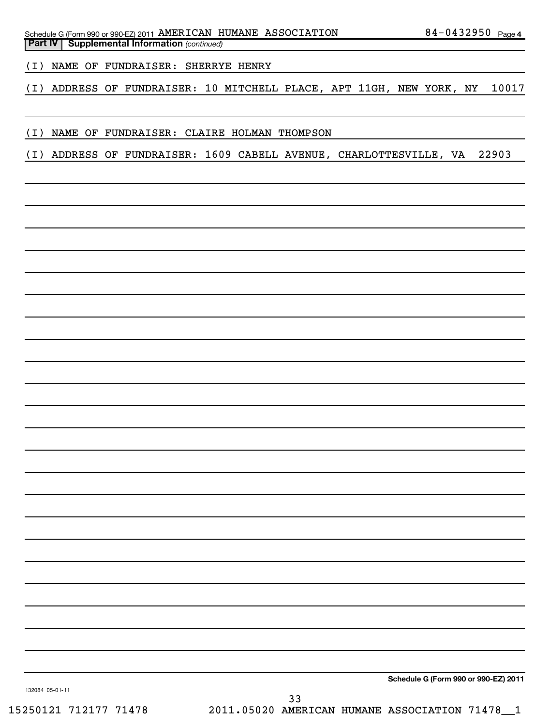| Schedule G (Form 990 or 990-EZ) 2011 AMERICAN HUMANE ASSOCIATION |  | 84-0432950 $_{Page 4}$ |  |
|------------------------------------------------------------------|--|------------------------|--|
| <b>Part IV   Supplemental Information (continued)</b>            |  |                        |  |

(I) NAME OF FUNDRAISER: SHERRYE HENRY

(I) ADDRESS OF FUNDRAISER: 10 MITCHELL PLACE, APT 11GH, NEW YORK, NY 10017

(I) NAME OF FUNDRAISER: CLAIRE HOLMAN THOMPSON

(I) ADDRESS OF FUNDRAISER: 1609 CABELL AVENUE, CHARLOTTESVILLE, VA 22903

**Schedule G (Form 990 or 990-EZ) 2011**

132084 05-01-11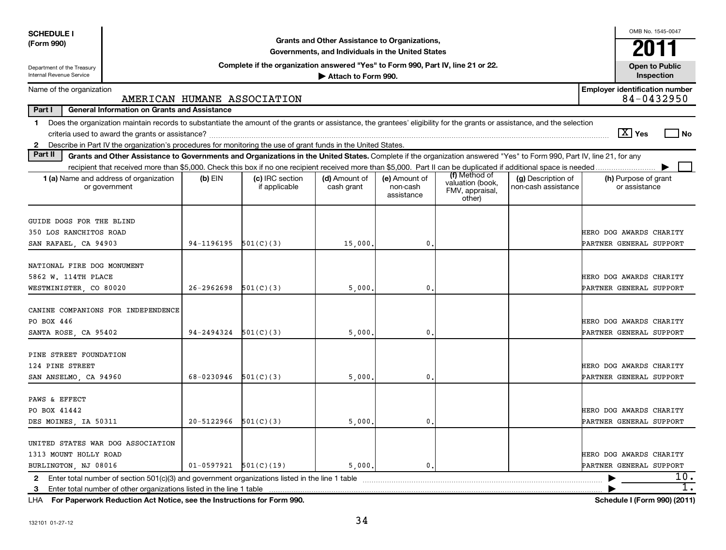| <b>SCHEDULE I</b>                                             |                                                                                                                                                                          |                |                                                                                  |                                                                                                    |                                         |                                                                |                                           |  |                                                    | OMB No. 1545-0047                                   |  |
|---------------------------------------------------------------|--------------------------------------------------------------------------------------------------------------------------------------------------------------------------|----------------|----------------------------------------------------------------------------------|----------------------------------------------------------------------------------------------------|-----------------------------------------|----------------------------------------------------------------|-------------------------------------------|--|----------------------------------------------------|-----------------------------------------------------|--|
| (Form 990)                                                    |                                                                                                                                                                          |                |                                                                                  | Grants and Other Assistance to Organizations,<br>Governments, and Individuals in the United States |                                         |                                                                |                                           |  |                                                    | 2011                                                |  |
| Department of the Treasury                                    |                                                                                                                                                                          |                | Complete if the organization answered "Yes" to Form 990, Part IV, line 21 or 22. |                                                                                                    |                                         |                                                                |                                           |  |                                                    | <b>Open to Public</b>                               |  |
| Internal Revenue Service                                      | Attach to Form 990.                                                                                                                                                      |                |                                                                                  |                                                                                                    |                                         |                                                                |                                           |  |                                                    |                                                     |  |
| Name of the organization                                      |                                                                                                                                                                          |                | AMERICAN HUMANE ASSOCIATION                                                      |                                                                                                    |                                         |                                                                |                                           |  |                                                    | <b>Employer identification number</b><br>84-0432950 |  |
| Part I<br><b>General Information on Grants and Assistance</b> |                                                                                                                                                                          |                |                                                                                  |                                                                                                    |                                         |                                                                |                                           |  |                                                    |                                                     |  |
| 1                                                             | Does the organization maintain records to substantiate the amount of the grants or assistance, the grantees' eligibility for the grants or assistance, and the selection |                |                                                                                  |                                                                                                    |                                         |                                                                |                                           |  |                                                    |                                                     |  |
|                                                               |                                                                                                                                                                          |                |                                                                                  |                                                                                                    |                                         |                                                                |                                           |  | $ \overline{X} $ Yes                               | No                                                  |  |
| $\mathbf{2}$                                                  | Describe in Part IV the organization's procedures for monitoring the use of grant funds in the United States.                                                            |                |                                                                                  |                                                                                                    |                                         |                                                                |                                           |  |                                                    |                                                     |  |
| Part II                                                       | Grants and Other Assistance to Governments and Organizations in the United States. Complete if the organization answered "Yes" to Form 990, Part IV, line 21, for any    |                |                                                                                  |                                                                                                    |                                         |                                                                |                                           |  |                                                    |                                                     |  |
|                                                               |                                                                                                                                                                          |                |                                                                                  |                                                                                                    |                                         |                                                                |                                           |  |                                                    |                                                     |  |
|                                                               | 1 (a) Name and address of organization<br>or government                                                                                                                  | (b) EIN        | (c) IRC section<br>if applicable                                                 | (d) Amount of<br>cash grant                                                                        | (e) Amount of<br>non-cash<br>assistance | (f) Method of<br>valuation (book,<br>FMV, appraisal,<br>other) | (g) Description of<br>non-cash assistance |  | (h) Purpose of grant<br>or assistance              |                                                     |  |
|                                                               |                                                                                                                                                                          |                |                                                                                  |                                                                                                    |                                         |                                                                |                                           |  |                                                    |                                                     |  |
| GUIDE DOGS FOR THE BLIND                                      |                                                                                                                                                                          |                |                                                                                  |                                                                                                    |                                         |                                                                |                                           |  |                                                    |                                                     |  |
| 350 LOS RANCHITOS ROAD                                        |                                                                                                                                                                          |                |                                                                                  |                                                                                                    |                                         |                                                                |                                           |  | HERO DOG AWARDS CHARITY                            |                                                     |  |
| SAN RAFAEL, CA 94903                                          |                                                                                                                                                                          | 94-1196195     | 501(C)(3)                                                                        | 15,000                                                                                             | $\mathbf 0$ .                           |                                                                |                                           |  | PARTNER GENERAL SUPPORT                            |                                                     |  |
|                                                               |                                                                                                                                                                          |                |                                                                                  |                                                                                                    |                                         |                                                                |                                           |  |                                                    |                                                     |  |
| NATIONAL FIRE DOG MONUMENT                                    |                                                                                                                                                                          |                |                                                                                  |                                                                                                    |                                         |                                                                |                                           |  |                                                    |                                                     |  |
| 5862 W. 114TH PLACE<br>WESTMINISTER, CO 80020                 |                                                                                                                                                                          | 26-2962698     | 501(C)(3)                                                                        | 5,000                                                                                              | $\mathfrak{o}$ .                        |                                                                |                                           |  | HERO DOG AWARDS CHARITY<br>PARTNER GENERAL SUPPORT |                                                     |  |
|                                                               |                                                                                                                                                                          |                |                                                                                  |                                                                                                    |                                         |                                                                |                                           |  |                                                    |                                                     |  |
| CANINE COMPANIONS FOR INDEPENDENCE                            |                                                                                                                                                                          |                |                                                                                  |                                                                                                    |                                         |                                                                |                                           |  |                                                    |                                                     |  |
| PO BOX 446                                                    |                                                                                                                                                                          |                |                                                                                  |                                                                                                    |                                         |                                                                |                                           |  | HERO DOG AWARDS CHARITY                            |                                                     |  |
| SANTA ROSE, CA 95402                                          |                                                                                                                                                                          | 94-2494324     | 501(C)(3)                                                                        | 5,000                                                                                              | $\mathbf 0$ .                           |                                                                |                                           |  | PARTNER GENERAL SUPPORT                            |                                                     |  |
|                                                               |                                                                                                                                                                          |                |                                                                                  |                                                                                                    |                                         |                                                                |                                           |  |                                                    |                                                     |  |
| PINE STREET FOUNDATION                                        |                                                                                                                                                                          |                |                                                                                  |                                                                                                    |                                         |                                                                |                                           |  |                                                    |                                                     |  |
| 124 PINE STREET                                               |                                                                                                                                                                          |                |                                                                                  |                                                                                                    |                                         |                                                                |                                           |  | HERO DOG AWARDS CHARITY                            |                                                     |  |
| SAN ANSELMO, CA 94960                                         |                                                                                                                                                                          | 68-0230946     | 501(C)(3)                                                                        | 5,000                                                                                              | $\mathbf{0}$ .                          |                                                                |                                           |  | PARTNER GENERAL SUPPORT                            |                                                     |  |
|                                                               |                                                                                                                                                                          |                |                                                                                  |                                                                                                    |                                         |                                                                |                                           |  |                                                    |                                                     |  |
| PAWS & EFFECT                                                 |                                                                                                                                                                          |                |                                                                                  |                                                                                                    |                                         |                                                                |                                           |  |                                                    |                                                     |  |
| PO BOX 41442                                                  |                                                                                                                                                                          |                |                                                                                  |                                                                                                    |                                         |                                                                |                                           |  | HERO DOG AWARDS CHARITY                            |                                                     |  |
| DES MOINES, IA 50311                                          |                                                                                                                                                                          | $20 - 5122966$ | 501(C)(3)                                                                        | 5,000                                                                                              | $\mathbf{0}$ .                          |                                                                |                                           |  | PARTNER GENERAL SUPPORT                            |                                                     |  |
|                                                               |                                                                                                                                                                          |                |                                                                                  |                                                                                                    |                                         |                                                                |                                           |  |                                                    |                                                     |  |
| UNITED STATES WAR DOG ASSOCIATION                             |                                                                                                                                                                          |                |                                                                                  |                                                                                                    |                                         |                                                                |                                           |  | HERO DOG AWARDS CHARITY                            |                                                     |  |
| 1313 MOUNT HOLLY ROAD<br>BURLINGTON, NJ 08016                 |                                                                                                                                                                          | 01-0597921     | 501(C)(19)                                                                       | 5,000.                                                                                             | $\mathbf{0}$ .                          |                                                                |                                           |  | PARTNER GENERAL SUPPORT                            |                                                     |  |
| $\mathbf{2}$                                                  |                                                                                                                                                                          |                |                                                                                  |                                                                                                    |                                         |                                                                |                                           |  |                                                    | 10.                                                 |  |
| 3                                                             |                                                                                                                                                                          |                |                                                                                  |                                                                                                    |                                         |                                                                |                                           |  |                                                    | 1.                                                  |  |
|                                                               | $\mathbf{r}$ , $\mathbf{r}$ , $\mathbf{r}$ , $\mathbf{r}$ , $\mathbf{r}$ , $\mathbf{r}$ , $\mathbf{r}$ , $\mathbf{r}$ , $\mathbf{r}$ , $\mathbf{r}$ , $\mathbf{r}$       |                | $\sim$ $\sim$ $\sim$                                                             |                                                                                                    |                                         |                                                                |                                           |  |                                                    | AA                                                  |  |

**For Paperwork Reduction Act Notice, see the Instructions for Form 990. Schedule I (Form 990) (2011)** LHA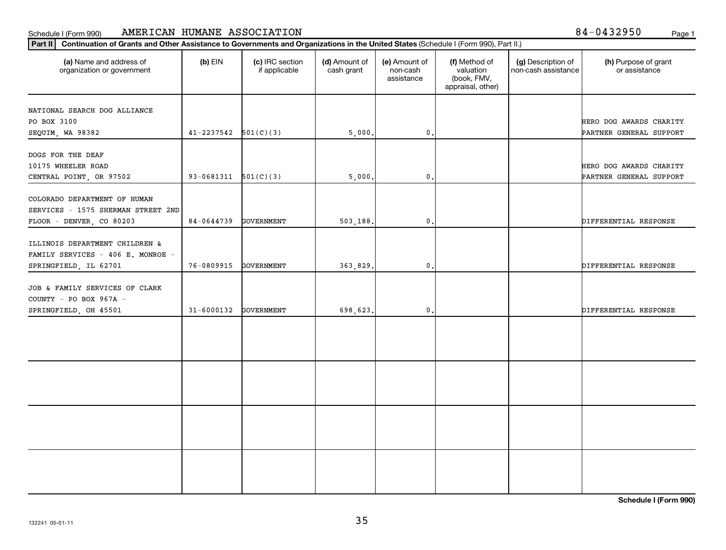### Schedule I (Form 990) AMERICAN HUMANE ASSOCIATION 84-0432950 <sub>Page 1</sub>

### **Part II Continuation of Grants and Other Assistance to Governments and Organizations in the United States**  (Schedule I (Form 990), Part II.)

| .                                                                                            |                            |                                  |                             |                                         |                                                                |                                           |                                                    |
|----------------------------------------------------------------------------------------------|----------------------------|----------------------------------|-----------------------------|-----------------------------------------|----------------------------------------------------------------|-------------------------------------------|----------------------------------------------------|
| (a) Name and address of<br>organization or government                                        | $(b)$ EIN                  | (c) IRC section<br>if applicable | (d) Amount of<br>cash grant | (e) Amount of<br>non-cash<br>assistance | (f) Method of<br>valuation<br>(book, FMV,<br>appraisal, other) | (g) Description of<br>non-cash assistance | (h) Purpose of grant<br>or assistance              |
|                                                                                              |                            |                                  |                             |                                         |                                                                |                                           |                                                    |
| NATIONAL SEARCH DOG ALLIANCE<br>PO BOX 3100                                                  |                            |                                  |                             |                                         |                                                                |                                           |                                                    |
| SEQUIM, WA 98382                                                                             | $41 - 2237542$ $501(C)(3)$ |                                  | 5,000.                      | $\mathbf{0}$                            |                                                                |                                           | HERO DOG AWARDS CHARITY<br>PARTNER GENERAL SUPPORT |
|                                                                                              |                            |                                  |                             |                                         |                                                                |                                           |                                                    |
| DOGS FOR THE DEAF                                                                            |                            |                                  |                             |                                         |                                                                |                                           |                                                    |
| 10175 WHEELER ROAD                                                                           |                            |                                  |                             |                                         |                                                                |                                           | HERO DOG AWARDS CHARITY                            |
| CENTRAL POINT, OR 97502                                                                      | $93-0681311$ $501(C)(3)$   |                                  | 5,000.                      | $\mathbf{0}$ .                          |                                                                |                                           | PARTNER GENERAL SUPPORT                            |
| COLORADO DEPARTMENT OF HUMAN                                                                 |                            |                                  |                             |                                         |                                                                |                                           |                                                    |
| SERVICES - 1575 SHERMAN STREET 2ND                                                           |                            |                                  |                             |                                         |                                                                |                                           |                                                    |
| FLOOR - DENVER, CO 80203                                                                     | 84-0644739                 | <b>GOVERNMENT</b>                | 503,188.                    | $\mathbf{0}$ .                          |                                                                |                                           | DIFFERENTIAL RESPONSE                              |
| ILLINOIS DEPARTMENT CHILDREN &<br>FAMILY SERVICES - 406 E. MONROE -<br>SPRINGFIELD, IL 62701 | 76-0809915                 | GOVERNMENT                       | 363,829.                    | $\mathbf{0}$                            |                                                                |                                           | DIFFERENTIAL RESPONSE                              |
|                                                                                              |                            |                                  |                             |                                         |                                                                |                                           |                                                    |
| JOB & FAMILY SERVICES OF CLARK<br>COUNTY - PO BOX 967A -                                     |                            |                                  |                             |                                         |                                                                |                                           |                                                    |
| SPRINGFIELD, OH 45501                                                                        | $31 - 6000132$             | <b>GOVERNMENT</b>                | 698,623.                    | $\mathfrak o$ .                         |                                                                |                                           | DIFFERENTIAL RESPONSE                              |
|                                                                                              |                            |                                  |                             |                                         |                                                                |                                           |                                                    |
|                                                                                              |                            |                                  |                             |                                         |                                                                |                                           |                                                    |
|                                                                                              |                            |                                  |                             |                                         |                                                                |                                           |                                                    |
|                                                                                              |                            |                                  |                             |                                         |                                                                |                                           |                                                    |

**Schedule I (Form 990)**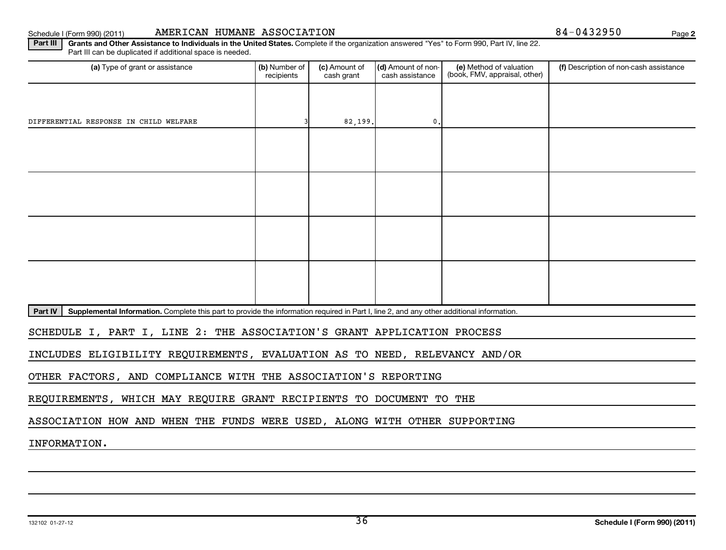Schedule I (Form 990) (2011) AMERICAN HUMANE ASSOCIATION 84-0432950 Page

**2**

Part III | Grants and Other Assistance to Individuals in the United States. Complete if the organization answered "Yes" to Form 990, Part IV, line 22. Part III can be duplicated if additional space is needed.

| (a) Type of grant or assistance                                                                                                                      | (b) Number of<br>recipients | (c) Amount of<br>cash grant | (d) Amount of non-<br>cash assistance | (e) Method of valuation<br>(book, FMV, appraisal, other) | (f) Description of non-cash assistance |
|------------------------------------------------------------------------------------------------------------------------------------------------------|-----------------------------|-----------------------------|---------------------------------------|----------------------------------------------------------|----------------------------------------|
|                                                                                                                                                      |                             |                             |                                       |                                                          |                                        |
| DIFFERENTIAL RESPONSE IN CHILD WELFARE                                                                                                               |                             | 82, 199.                    | $\mathbf{0}$ .                        |                                                          |                                        |
|                                                                                                                                                      |                             |                             |                                       |                                                          |                                        |
|                                                                                                                                                      |                             |                             |                                       |                                                          |                                        |
|                                                                                                                                                      |                             |                             |                                       |                                                          |                                        |
|                                                                                                                                                      |                             |                             |                                       |                                                          |                                        |
|                                                                                                                                                      |                             |                             |                                       |                                                          |                                        |
|                                                                                                                                                      |                             |                             |                                       |                                                          |                                        |
|                                                                                                                                                      |                             |                             |                                       |                                                          |                                        |
|                                                                                                                                                      |                             |                             |                                       |                                                          |                                        |
| Supplemental Information. Complete this part to provide the information required in Part I, line 2, and any other additional information.<br>Part IV |                             |                             |                                       |                                                          |                                        |
| SCHEDULE I, PART I, LINE 2: THE ASSOCIATION'S GRANT APPLICATION PROCESS                                                                              |                             |                             |                                       |                                                          |                                        |

INCLUDES ELIGIBILITY REQUIREMENTS, EVALUATION AS TO NEED, RELEVANCY AND/OR

OTHER FACTORS, AND COMPLIANCE WITH THE ASSOCIATION'S REPORTING

REQUIREMENTS, WHICH MAY REQUIRE GRANT RECIPIENTS TO DOCUMENT TO THE

ASSOCIATION HOW AND WHEN THE FUNDS WERE USED, ALONG WITH OTHER SUPPORTING

INFORMATION.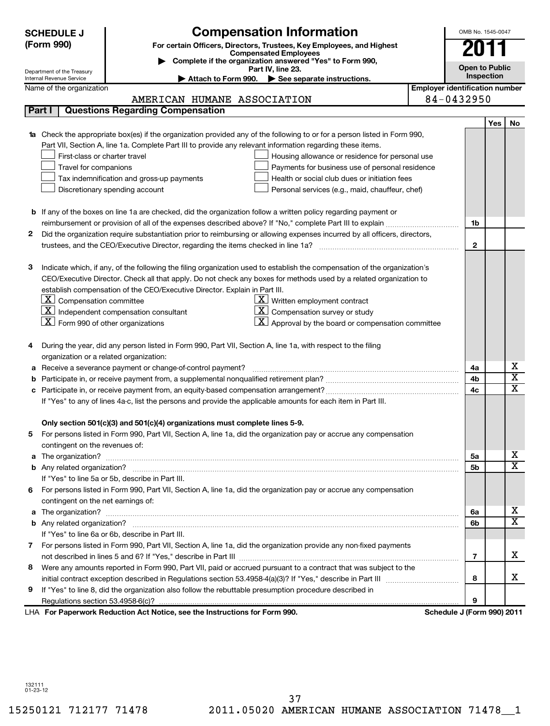| <b>SCHEDULE J</b>          | <b>Compensation Information</b>                                                                                                 |                            |                                       |                         |  |  |  |
|----------------------------|---------------------------------------------------------------------------------------------------------------------------------|----------------------------|---------------------------------------|-------------------------|--|--|--|
| (Form 990)                 | For certain Officers, Directors, Trustees, Key Employees, and Highest                                                           |                            | 2011                                  |                         |  |  |  |
|                            | <b>Compensated Employees</b><br>Complete if the organization answered "Yes" to Form 990,                                        |                            |                                       |                         |  |  |  |
| Department of the Treasury | Part IV, line 23.                                                                                                               |                            | <b>Open to Public</b><br>Inspection   |                         |  |  |  |
| Internal Revenue Service   | Attach to Form 990. See separate instructions.                                                                                  |                            | <b>Employer identification number</b> |                         |  |  |  |
| Name of the organization   | AMERICAN HUMANE ASSOCIATION                                                                                                     | 84-0432950                 |                                       |                         |  |  |  |
| Part I                     | <b>Questions Regarding Compensation</b>                                                                                         |                            |                                       |                         |  |  |  |
|                            |                                                                                                                                 |                            | Yes                                   |                         |  |  |  |
|                            | 1a Check the appropriate box(es) if the organization provided any of the following to or for a person listed in Form 990,       |                            |                                       | No                      |  |  |  |
|                            | Part VII, Section A, line 1a. Complete Part III to provide any relevant information regarding these items.                      |                            |                                       |                         |  |  |  |
|                            | First-class or charter travel<br>Housing allowance or residence for personal use                                                |                            |                                       |                         |  |  |  |
|                            | Travel for companions<br>Payments for business use of personal residence                                                        |                            |                                       |                         |  |  |  |
|                            | Tax indemnification and gross-up payments<br>Health or social club dues or initiation fees                                      |                            |                                       |                         |  |  |  |
|                            | Discretionary spending account<br>Personal services (e.g., maid, chauffeur, chef)                                               |                            |                                       |                         |  |  |  |
|                            |                                                                                                                                 |                            |                                       |                         |  |  |  |
|                            | <b>b</b> If any of the boxes on line 1a are checked, did the organization follow a written policy regarding payment or          |                            |                                       |                         |  |  |  |
|                            | reimbursement or provision of all of the expenses described above? If "No," complete Part III to explain                        |                            | 1b                                    |                         |  |  |  |
| 2                          | Did the organization require substantiation prior to reimbursing or allowing expenses incurred by all officers, directors,      |                            |                                       |                         |  |  |  |
|                            |                                                                                                                                 |                            | $\mathbf{2}$                          |                         |  |  |  |
|                            |                                                                                                                                 |                            |                                       |                         |  |  |  |
| з                          | Indicate which, if any, of the following the filing organization used to establish the compensation of the organization's       |                            |                                       |                         |  |  |  |
|                            | CEO/Executive Director. Check all that apply. Do not check any boxes for methods used by a related organization to              |                            |                                       |                         |  |  |  |
|                            | establish compensation of the CEO/Executive Director. Explain in Part III.                                                      |                            |                                       |                         |  |  |  |
|                            | $\underline{\mathbf{X}}$ Written employment contract<br>$\lfloor \underline{x} \rfloor$ Compensation committee                  |                            |                                       |                         |  |  |  |
|                            | $\lfloor \underline{x} \rfloor$ Independent compensation consultant<br>$\mathbf{X}$ Compensation survey or study                |                            |                                       |                         |  |  |  |
|                            | $\lfloor \underline{x} \rfloor$ Form 990 of other organizations<br>$\mathbf{X}$ Approval by the board or compensation committee |                            |                                       |                         |  |  |  |
|                            |                                                                                                                                 |                            |                                       |                         |  |  |  |
| 4                          | During the year, did any person listed in Form 990, Part VII, Section A, line 1a, with respect to the filing                    |                            |                                       |                         |  |  |  |
|                            | organization or a related organization:                                                                                         |                            |                                       |                         |  |  |  |
|                            | a Receive a severance payment or change-of-control payment?                                                                     |                            | 4a                                    | х                       |  |  |  |
| b                          |                                                                                                                                 |                            | 4b                                    | $\overline{\textbf{x}}$ |  |  |  |
| c                          |                                                                                                                                 |                            | 4 <sub>c</sub>                        | $\overline{\mathtt{x}}$ |  |  |  |
|                            | If "Yes" to any of lines 4a-c, list the persons and provide the applicable amounts for each item in Part III.                   |                            |                                       |                         |  |  |  |
|                            |                                                                                                                                 |                            |                                       |                         |  |  |  |
|                            | Only section 501(c)(3) and 501(c)(4) organizations must complete lines 5-9.                                                     |                            |                                       |                         |  |  |  |
|                            | For persons listed in Form 990, Part VII, Section A, line 1a, did the organization pay or accrue any compensation               |                            |                                       |                         |  |  |  |
|                            | contingent on the revenues of:                                                                                                  |                            |                                       |                         |  |  |  |
|                            |                                                                                                                                 |                            | 5a                                    | х                       |  |  |  |
|                            |                                                                                                                                 |                            | 5b                                    | $\overline{\mathbf{x}}$ |  |  |  |
|                            | If "Yes" to line 5a or 5b, describe in Part III.                                                                                |                            |                                       |                         |  |  |  |
| 6.                         | For persons listed in Form 990, Part VII, Section A, line 1a, did the organization pay or accrue any compensation               |                            |                                       |                         |  |  |  |
|                            | contingent on the net earnings of:                                                                                              |                            |                                       | х                       |  |  |  |
|                            |                                                                                                                                 |                            |                                       |                         |  |  |  |
|                            |                                                                                                                                 |                            | 6b                                    | $\overline{\mathbf{x}}$ |  |  |  |
|                            | If "Yes" to line 6a or 6b, describe in Part III.                                                                                |                            |                                       |                         |  |  |  |
| 7                          | For persons listed in Form 990, Part VII, Section A, line 1a, did the organization provide any non-fixed payments               |                            |                                       |                         |  |  |  |
|                            |                                                                                                                                 |                            | $\overline{7}$                        | x                       |  |  |  |
| 8                          | Were any amounts reported in Form 990, Part VII, paid or accrued pursuant to a contract that was subject to the                 |                            |                                       |                         |  |  |  |
|                            |                                                                                                                                 |                            | 8                                     | x                       |  |  |  |
| 9                          | If "Yes" to line 8, did the organization also follow the rebuttable presumption procedure described in                          |                            |                                       |                         |  |  |  |
|                            |                                                                                                                                 |                            | 9                                     |                         |  |  |  |
|                            | LHA For Paperwork Reduction Act Notice, see the Instructions for Form 990.                                                      | Schedule J (Form 990) 2011 |                                       |                         |  |  |  |

132111 01-23-12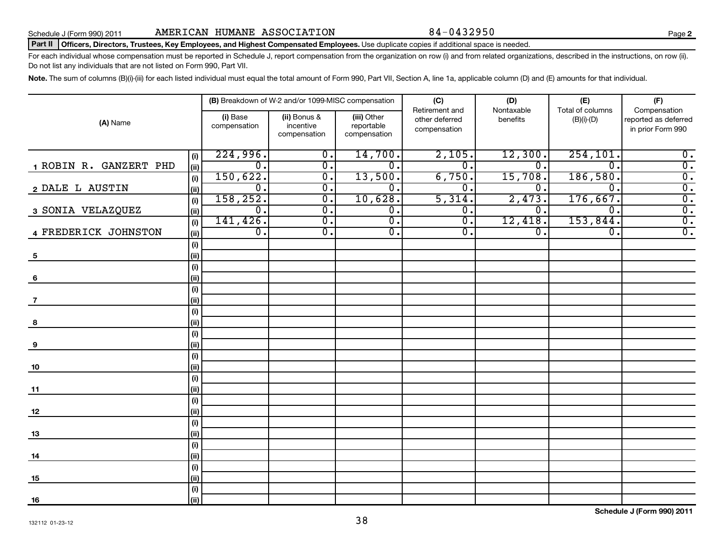### Part II | Officers, Directors, Trustees, Key Employees, and Highest Compensated Employees. Use duplicate copies if additional space is needed.

For each individual whose compensation must be reported in Schedule J, report compensation from the organization on row (i) and from related organizations, described in the instructions, on row (ii). Do not list any individuals that are not listed on Form 990, Part VII.

Note. The sum of columns (B)(i)-(iii) for each listed individual must equal the total amount of Form 990, Part VII, Section A, line 1a, applicable column (D) and (E) amounts for that individual.

|                        |             |                               | (B) Breakdown of W-2 and/or 1099-MISC compensation         |                                      | (C)<br>Retirement and                                      | (D)<br>Nontaxable           | (E)<br>Total of columns      | (F)<br>Compensation                  |
|------------------------|-------------|-------------------------------|------------------------------------------------------------|--------------------------------------|------------------------------------------------------------|-----------------------------|------------------------------|--------------------------------------|
| (A) Name               |             | (i) Base<br>compensation      | (ii) Bonus &<br>incentive                                  | (iii) Other<br>reportable            | other deferred                                             | benefits                    | $(B)(i)-(D)$                 | reported as deferred                 |
|                        |             |                               | compensation                                               | compensation                         | compensation                                               |                             |                              | in prior Form 990                    |
|                        | (i)         | 224,996.                      | $\overline{0}$ .                                           | 14,700.                              | 2,105.                                                     | 12,300.                     | 254, 101.                    | $\overline{0}$ .                     |
| 1 ROBIN R. GANZERT PHD | (ii)        | $\overline{0}$ .              | $\overline{0}$ .                                           | $\overline{0}$ .                     | σ.                                                         | $\overline{\mathfrak{o}}$ . | $\overline{0}$ .             | $\overline{0}$ .                     |
|                        | (i)         | 150,622.                      | $\overline{\mathfrak{o}}$ .                                | 13,500.                              | 6,750.                                                     | 15,708.                     | 186,580.                     | $\overline{\mathfrak{o}}$ .          |
| 2 DALE L AUSTIN        | (ii)        | $\overline{0}$ .              | $\overline{\mathfrak{o}}$ .                                | $\overline{0}$ .                     | σ.                                                         | $\overline{\mathfrak{o}}$ . | $\overline{0}$ .             | $\overline{\mathfrak{o}}$ .          |
|                        | (i)         | 158, 252.                     | σ.                                                         | 10,628.                              | 5,314.                                                     | 2,473.                      | 176,667.                     | $\overline{0}$ .                     |
| 3 SONIA VELAZQUEZ      | (ii)        | $\overline{\mathfrak{o}}$ .   | σ.                                                         | $\overline{0}$ .                     | $\overline{0}$ .                                           | $\overline{\mathfrak{o}}$ . | $\overline{\mathfrak{o}}$ .  | $\overline{0}$ .                     |
| 4 FREDERICK JOHNSTON   | (i)<br>(ii) | 141, 426.<br>$\overline{0}$ . | $\overline{\mathfrak{o}}$ .<br>$\overline{\mathfrak{o}}$ . | $\overline{0}$ .<br>$\overline{0}$ . | $\overline{\mathfrak{o}}$ .<br>$\overline{\mathfrak{o}}$ . | 12,418.<br>$\overline{0}$ . | 153,844.<br>$\overline{0}$ . | $\overline{0}$ .<br>$\overline{0}$ . |
|                        | (i)         |                               |                                                            |                                      |                                                            |                             |                              |                                      |
| $\sqrt{5}$             | (ii)        |                               |                                                            |                                      |                                                            |                             |                              |                                      |
|                        | (i)         |                               |                                                            |                                      |                                                            |                             |                              |                                      |
| 6                      | (ii)        |                               |                                                            |                                      |                                                            |                             |                              |                                      |
|                        | (i)         |                               |                                                            |                                      |                                                            |                             |                              |                                      |
| 7                      | (ii)        |                               |                                                            |                                      |                                                            |                             |                              |                                      |
|                        | (i)         |                               |                                                            |                                      |                                                            |                             |                              |                                      |
| 8                      | (ii)        |                               |                                                            |                                      |                                                            |                             |                              |                                      |
|                        | (i)         |                               |                                                            |                                      |                                                            |                             |                              |                                      |
| 9                      | (ii)        |                               |                                                            |                                      |                                                            |                             |                              |                                      |
|                        | (i)         |                               |                                                            |                                      |                                                            |                             |                              |                                      |
| 10                     | (ii)        |                               |                                                            |                                      |                                                            |                             |                              |                                      |
|                        | (i)         |                               |                                                            |                                      |                                                            |                             |                              |                                      |
| <u>11</u>              | (ii)<br>(i) |                               |                                                            |                                      |                                                            |                             |                              |                                      |
| 12                     | (ii)        |                               |                                                            |                                      |                                                            |                             |                              |                                      |
|                        | (i)         |                               |                                                            |                                      |                                                            |                             |                              |                                      |
| 13                     | (ii)        |                               |                                                            |                                      |                                                            |                             |                              |                                      |
|                        | (i)         |                               |                                                            |                                      |                                                            |                             |                              |                                      |
| 14                     | (ii)        |                               |                                                            |                                      |                                                            |                             |                              |                                      |
|                        | (i)         |                               |                                                            |                                      |                                                            |                             |                              |                                      |
| 15                     | (ii)        |                               |                                                            |                                      |                                                            |                             |                              |                                      |
|                        | $(\sf{i})$  |                               |                                                            |                                      |                                                            |                             |                              |                                      |
| <u>16</u>              | (ii)        |                               |                                                            |                                      |                                                            |                             |                              |                                      |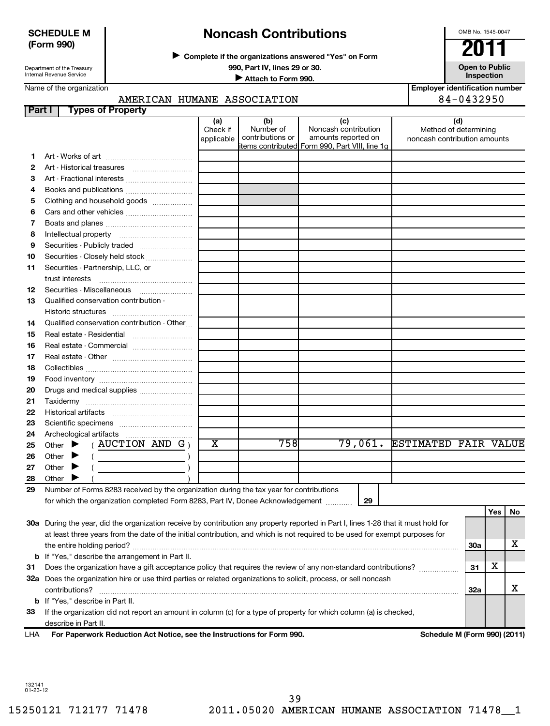### **SCHEDULE M (Form 990)**

## **Noncash Contributions**

**Complete if the organizations answered "Yes" on Form** <sup>J</sup>**2011**

**990, Part IV, lines 29 or 30. Open to Public Unspection**<br> **■** Attach to Form 990

**Inspection Inspection Inspection Inspection Inspection** 

**Employer identification number**

### Internal Revenue Service Name of the organization

Department of the Treasury

### AMERICAN HUMANE ASSOCIATION 84-0432950

| Part I | <b>Types of Property</b>                                                                                                            |                               |                                      |                                                    |                                                       |     |     |    |
|--------|-------------------------------------------------------------------------------------------------------------------------------------|-------------------------------|--------------------------------------|----------------------------------------------------|-------------------------------------------------------|-----|-----|----|
|        |                                                                                                                                     | (a)<br>Check if<br>applicable | (b)<br>Number of<br>contributions or | (c)<br>Noncash contribution<br>amounts reported on | Method of determining<br>noncash contribution amounts | (d) |     |    |
|        |                                                                                                                                     |                               |                                      | items contributed Form 990, Part VIII, line 1g     |                                                       |     |     |    |
| 1.     |                                                                                                                                     |                               |                                      |                                                    |                                                       |     |     |    |
| 2      |                                                                                                                                     |                               |                                      |                                                    |                                                       |     |     |    |
| З      | Art - Fractional interests                                                                                                          |                               |                                      |                                                    |                                                       |     |     |    |
| 4      | Books and publications                                                                                                              |                               |                                      |                                                    |                                                       |     |     |    |
| 5      | Clothing and household goods                                                                                                        |                               |                                      |                                                    |                                                       |     |     |    |
| 6      |                                                                                                                                     |                               |                                      |                                                    |                                                       |     |     |    |
| 7      |                                                                                                                                     |                               |                                      |                                                    |                                                       |     |     |    |
| 8      |                                                                                                                                     |                               |                                      |                                                    |                                                       |     |     |    |
| 9      | Securities - Publicly traded                                                                                                        |                               |                                      |                                                    |                                                       |     |     |    |
| 10     | Securities - Closely held stock                                                                                                     |                               |                                      |                                                    |                                                       |     |     |    |
| 11     | Securities - Partnership, LLC, or                                                                                                   |                               |                                      |                                                    |                                                       |     |     |    |
|        | trust interests                                                                                                                     |                               |                                      |                                                    |                                                       |     |     |    |
| 12     |                                                                                                                                     |                               |                                      |                                                    |                                                       |     |     |    |
| 13     | Qualified conservation contribution -                                                                                               |                               |                                      |                                                    |                                                       |     |     |    |
|        |                                                                                                                                     |                               |                                      |                                                    |                                                       |     |     |    |
| 14     | Qualified conservation contribution - Other                                                                                         |                               |                                      |                                                    |                                                       |     |     |    |
| 15     |                                                                                                                                     |                               |                                      |                                                    |                                                       |     |     |    |
| 16     | Real estate - Commercial                                                                                                            |                               |                                      |                                                    |                                                       |     |     |    |
| 17     |                                                                                                                                     |                               |                                      |                                                    |                                                       |     |     |    |
| 18     |                                                                                                                                     |                               |                                      |                                                    |                                                       |     |     |    |
| 19     |                                                                                                                                     |                               |                                      |                                                    |                                                       |     |     |    |
| 20     | Drugs and medical supplies                                                                                                          |                               |                                      |                                                    |                                                       |     |     |    |
| 21     |                                                                                                                                     |                               |                                      |                                                    |                                                       |     |     |    |
| 22     |                                                                                                                                     |                               |                                      |                                                    |                                                       |     |     |    |
| 23     |                                                                                                                                     |                               |                                      |                                                    |                                                       |     |     |    |
| 24     |                                                                                                                                     |                               |                                      |                                                    |                                                       |     |     |    |
| 25     | $($ AUCTION AND G $)$<br>Other $\blacktriangleright$                                                                                | х                             | 758                                  |                                                    | 79,061. ESTIMATED FAIR VALUE                          |     |     |    |
| 26     | Other                                                                                                                               |                               |                                      |                                                    |                                                       |     |     |    |
| 27     | Other<br>▸                                                                                                                          |                               |                                      |                                                    |                                                       |     |     |    |
| 28     | Other $\blacktriangleright$                                                                                                         |                               |                                      |                                                    |                                                       |     |     |    |
| 29     | Number of Forms 8283 received by the organization during the tax year for contributions                                             |                               |                                      |                                                    |                                                       |     |     |    |
|        | for which the organization completed Form 8283, Part IV, Donee Acknowledgement                                                      |                               |                                      | 29                                                 |                                                       |     |     |    |
|        |                                                                                                                                     |                               |                                      |                                                    |                                                       |     | Yes | No |
|        | 30a During the year, did the organization receive by contribution any property reported in Part I, lines 1-28 that it must hold for |                               |                                      |                                                    |                                                       |     |     |    |
|        | at least three years from the date of the initial contribution, and which is not required to be used for exempt purposes for        |                               |                                      |                                                    |                                                       |     |     |    |
|        |                                                                                                                                     |                               |                                      |                                                    |                                                       |     |     | x  |
|        |                                                                                                                                     |                               |                                      |                                                    |                                                       | 30a |     |    |
|        | <b>b</b> If "Yes," describe the arrangement in Part II.                                                                             |                               |                                      |                                                    |                                                       |     | х   |    |
| 31     | Does the organization have a gift acceptance policy that requires the review of any non-standard contributions?                     |                               |                                      |                                                    |                                                       | 31  |     |    |
|        | 32a Does the organization hire or use third parties or related organizations to solicit, process, or sell noncash                   |                               |                                      |                                                    |                                                       |     |     |    |
|        | contributions?                                                                                                                      |                               |                                      |                                                    |                                                       | 32a |     | х  |
|        | <b>b</b> If "Yes," describe in Part II.                                                                                             |                               |                                      |                                                    |                                                       |     |     |    |
| 33     | If the organization did not report an amount in column (c) for a type of property for which column (a) is checked,                  |                               |                                      |                                                    |                                                       |     |     |    |
|        | describe in Part II.                                                                                                                |                               |                                      |                                                    |                                                       |     |     |    |

**For Paperwork Reduction Act Notice, see the Instructions for Form 990. Schedule M (Form 990) (2011)** LHA

132141 01-23-12

OMB No. 1545-0047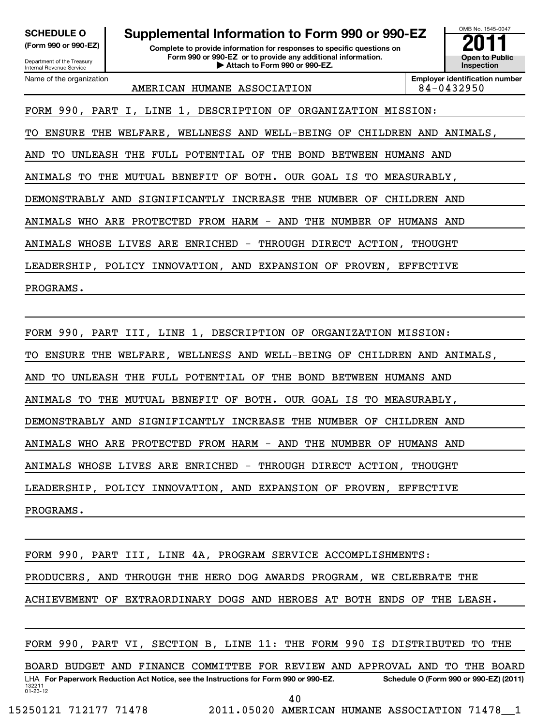| <b>SCHEDULE O</b><br>(Form 990 or 990-EZ)<br>Department of the Treasury<br><b>Internal Revenue Service</b> | Supplemental Information to Form 990 or 990-EZ<br>Complete to provide information for responses to specific questions on<br>Form 990 or 990-EZ or to provide any additional information.<br>Attach to Form 990 or 990-EZ. |              |                                                     |  |  |  |  |  |
|------------------------------------------------------------------------------------------------------------|---------------------------------------------------------------------------------------------------------------------------------------------------------------------------------------------------------------------------|--------------|-----------------------------------------------------|--|--|--|--|--|
| Name of the organization                                                                                   | AMERICAN HUMANE ASSOCIATION                                                                                                                                                                                               |              | <b>Employer identification number</b><br>84-0432950 |  |  |  |  |  |
|                                                                                                            | FORM 990, PART I, LINE 1, DESCRIPTION OF ORGANIZATION MISSION:                                                                                                                                                            |              |                                                     |  |  |  |  |  |
| ENSURE<br>TО                                                                                               | THE WELFARE, WELLNESS AND WELL-BEING OF CHILDREN AND ANIMALS,                                                                                                                                                             |              |                                                     |  |  |  |  |  |
| AND<br>TO.                                                                                                 | FULL POTENTIAL OF THE<br>UNLEASH THE<br>BOND<br><b>BETWEEN</b>                                                                                                                                                            | HUMANS AND   |                                                     |  |  |  |  |  |
| ANIMALS<br>TO.                                                                                             | MUTUAL BENEFIT OF BOTH. OUR GOAL IS TO MEASURABLY,<br>THE                                                                                                                                                                 |              |                                                     |  |  |  |  |  |
|                                                                                                            | DEMONSTRABLY AND SIGNIFICANTLY INCREASE<br>THE<br>NUMBER OF                                                                                                                                                               | CHILDREN AND |                                                     |  |  |  |  |  |
| ANIMALS                                                                                                    | WHO ARE PROTECTED FROM HARM - AND THE NUMBER OF                                                                                                                                                                           | HUMANS AND   |                                                     |  |  |  |  |  |
|                                                                                                            | ANIMALS WHOSE LIVES ARE ENRICHED - THROUGH DIRECT ACTION,                                                                                                                                                                 | THOUGHT      |                                                     |  |  |  |  |  |
|                                                                                                            | LEADERSHIP, POLICY INNOVATION, AND EXPANSION OF PROVEN, EFFECTIVE                                                                                                                                                         |              |                                                     |  |  |  |  |  |
| PROGRAMS.                                                                                                  |                                                                                                                                                                                                                           |              |                                                     |  |  |  |  |  |
|                                                                                                            |                                                                                                                                                                                                                           |              |                                                     |  |  |  |  |  |

FORM 990, PART III, LINE 1, DESCRIPTION OF ORGANIZATION MISSION: TO ENSURE THE WELFARE, WELLNESS AND WELL-BEING OF CHILDREN AND ANIMALS, AND TO UNLEASH THE FULL POTENTIAL OF THE BOND BETWEEN HUMANS AND ANIMALS TO THE MUTUAL BENEFIT OF BOTH. OUR GOAL IS TO MEASURABLY, DEMONSTRABLY AND SIGNIFICANTLY INCREASE THE NUMBER OF CHILDREN AND ANIMALS WHO ARE PROTECTED FROM HARM - AND THE NUMBER OF HUMANS AND ANIMALS WHOSE LIVES ARE ENRICHED - THROUGH DIRECT ACTION, THOUGHT LEADERSHIP, POLICY INNOVATION, AND EXPANSION OF PROVEN, EFFECTIVE PROGRAMS.

FORM 990, PART III, LINE 4A, PROGRAM SERVICE ACCOMPLISHMENTS: PRODUCERS, AND THROUGH THE HERO DOG AWARDS PROGRAM, WE CELEBRATE THE ACHIEVEMENT OF EXTRAORDINARY DOGS AND HEROES AT BOTH ENDS OF THE LEASH.

132211 01-23-12 LHA For Paperwork Reduction Act Notice, see the Instructions for Form 990 or 990-EZ. Schedule O (Form 990 or 990-EZ) (2011) FORM 990, PART VI, SECTION B, LINE 11: THE FORM 990 IS DISTRIBUTED TO THE BOARD BUDGET AND FINANCE COMMITTEE FOR REVIEW AND APPROVAL AND TO THE BOARD 40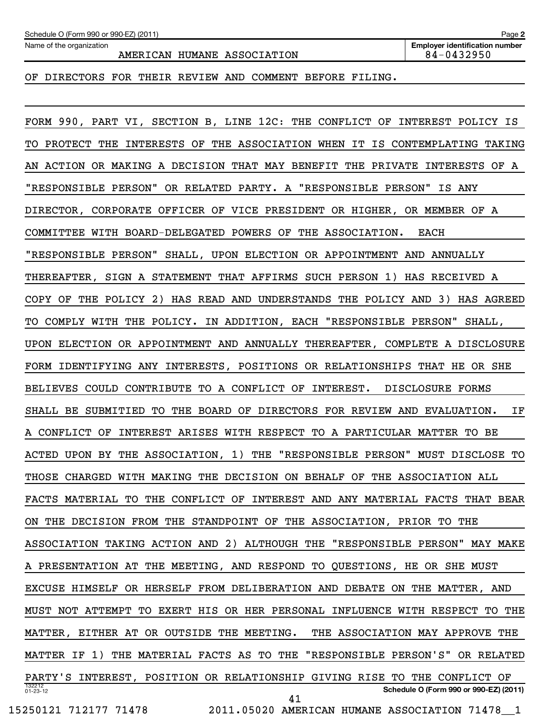Name of the organization

### AMERICAN HUMANE ASSOCIATION 84-0432950

OF DIRECTORS FOR THEIR REVIEW AND COMMENT BEFORE FILING.

132212 01-23-12 **Schedule O (Form 990 or 990-EZ) (2011)** FORM 990, PART VI, SECTION B, LINE 12C: THE CONFLICT OF INTEREST POLICY IS TO PROTECT THE INTERESTS OF THE ASSOCIATION WHEN IT IS CONTEMPLATING TAKING AN ACTION OR MAKING A DECISION THAT MAY BENEFIT THE PRIVATE INTERESTS OF A "RESPONSIBLE PERSON" OR RELATED PARTY. A "RESPONSIBLE PERSON" IS ANY DIRECTOR, CORPORATE OFFICER OF VICE PRESIDENT OR HIGHER, OR MEMBER OF A COMMITTEE WITH BOARD-DELEGATED POWERS OF THE ASSOCIATION. EACH "RESPONSIBLE PERSON" SHALL, UPON ELECTION OR APPOINTMENT AND ANNUALLY THEREAFTER, SIGN A STATEMENT THAT AFFIRMS SUCH PERSON 1) HAS RECEIVED A COPY OF THE POLICY 2) HAS READ AND UNDERSTANDS THE POLICY AND 3) HAS AGREED TO COMPLY WITH THE POLICY. IN ADDITION, EACH "RESPONSIBLE PERSON" SHALL, UPON ELECTION OR APPOINTMENT AND ANNUALLY THEREAFTER, COMPLETE A DISCLOSURE FORM IDENTIFYING ANY INTERESTS, POSITIONS OR RELATIONSHIPS THAT HE OR SHE BELIEVES COULD CONTRIBUTE TO A CONFLICT OF INTEREST. DISCLOSURE FORMS SHALL BE SUBMITIED TO THE BOARD OF DIRECTORS FOR REVIEW AND EVALUATION. IF A CONFLICT OF INTEREST ARISES WITH RESPECT TO A PARTICULAR MATTER TO BE ACTED UPON BY THE ASSOCIATION, 1) THE "RESPONSIBLE PERSON" MUST DISCLOSE TO THOSE CHARGED WITH MAKING THE DECISION ON BEHALF OF THE ASSOCIATION ALL FACTS MATERIAL TO THE CONFLICT OF INTEREST AND ANY MATERIAL FACTS THAT BEAR ON THE DECISION FROM THE STANDPOINT OF THE ASSOCIATION, PRIOR TO THE ASSOCIATION TAKING ACTION AND 2) ALTHOUGH THE "RESPONSIBLE PERSON" MAY MAKE A PRESENTATION AT THE MEETING, AND RESPOND TO QUESTIONS, HE OR SHE MUST EXCUSE HIMSELF OR HERSELF FROM DELIBERATION AND DEBATE ON THE MATTER, AND MUST NOT ATTEMPT TO EXERT HIS OR HER PERSONAL INFLUENCE WITH RESPECT TO THE MATTER, EITHER AT OR OUTSIDE THE MEETING. THE ASSOCIATION MAY APPROVE THE MATTER IF 1) THE MATERIAL FACTS AS TO THE "RESPONSIBLE PERSON'S" OR RELATED PARTY'S INTEREST, POSITION OR RELATIONSHIP GIVING RISE TO THE CONFLICT OF 41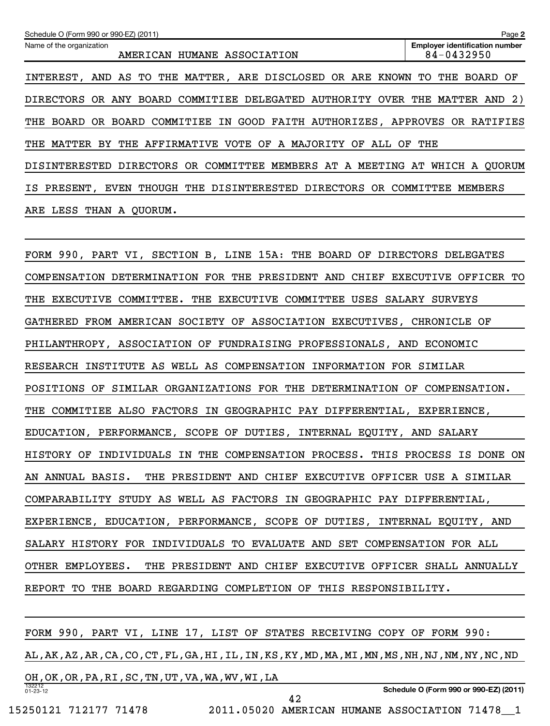| Schedule O (Form 990 or 990-EZ) (2011)                                      | Page 2                                              |
|-----------------------------------------------------------------------------|-----------------------------------------------------|
| Name of the organization<br>AMERICAN HUMANE ASSOCIATION                     | <b>Employer identification number</b><br>84-0432950 |
| INTEREST, AND AS TO THE MATTER, ARE DISCLOSED OR ARE KNOWN TO THE BOARD OF  |                                                     |
| DIRECTORS OR ANY BOARD COMMITIEE DELEGATED AUTHORITY OVER THE MATTER AND 2) |                                                     |
| THE BOARD OR BOARD COMMITIEE IN GOOD FAITH AUTHORIZES, APPROVES OR RATIFIES |                                                     |
| THE MATTER BY THE AFFIRMATIVE VOTE OF A MAJORITY OF<br>ALL OF THE           |                                                     |
| DISINTERESTED DIRECTORS OR COMMITTEE MEMBERS AT A MEETING AT WHICH A QUORUM |                                                     |
| EVEN THOUGH THE DISINTERESTED DIRECTORS OR COMMITTEE MEMBERS<br>IS PRESENT. |                                                     |
| ARE LESS THAN A OUORUM.                                                     |                                                     |

FORM 990, PART VI, SECTION B, LINE 15A: THE BOARD OF DIRECTORS DELEGATES COMPENSATION DETERMINATION FOR THE PRESIDENT AND CHIEF EXECUTIVE OFFICER TO THE EXECUTIVE COMMITTEE. THE EXECUTIVE COMMITTEE USES SALARY SURVEYS GATHERED FROM AMERICAN SOCIETY OF ASSOCIATION EXECUTIVES, CHRONICLE OF PHILANTHROPY, ASSOCIATION OF FUNDRAISING PROFESSIONALS, AND ECONOMIC RESEARCH INSTITUTE AS WELL AS COMPENSATION INFORMATION FOR SIMILAR POSITIONS OF SIMILAR ORGANIZATIONS FOR THE DETERMINATION OF COMPENSATION. THE COMMITIEE ALSO FACTORS IN GEOGRAPHIC PAY DIFFERENTIAL, EXPERIENCE, EDUCATION, PERFORMANCE, SCOPE OF DUTIES, INTERNAL EQUITY, AND SALARY HISTORY OF INDIVIDUALS IN THE COMPENSATION PROCESS. THIS PROCESS IS DONE ON AN ANNUAL BASIS. THE PRESIDENT AND CHIEF EXECUTIVE OFFICER USE A SIMILAR COMPARABILITY STUDY AS WELL AS FACTORS IN GEOGRAPHIC PAY DIFFERENTIAL, EXPERIENCE, EDUCATION, PERFORMANCE, SCOPE OF DUTIES, INTERNAL EQUITY, AND SALARY HISTORY FOR INDIVIDUALS TO EVALUATE AND SET COMPENSATION FOR ALL OTHER EMPLOYEES. THE PRESIDENT AND CHIEF EXECUTIVE OFFICER SHALL ANNUALLY REPORT TO THE BOARD REGARDING COMPLETION OF THIS RESPONSIBILITY.

132212 01-23-12 **Schedule O (Form 990 or 990-EZ) (2011)** FORM 990, PART VI, LINE 17, LIST OF STATES RECEIVING COPY OF FORM 990: AL,AK,AZ,AR,CA,CO,CT,FL,GA,HI,IL,IN,KS,KY,MD,MA,MI,MN,MS,NH,NJ,NM,NY,NC,ND OH,OK,OR,PA,RI,SC,TN,UT,VA,WA,WV,WI,LA 42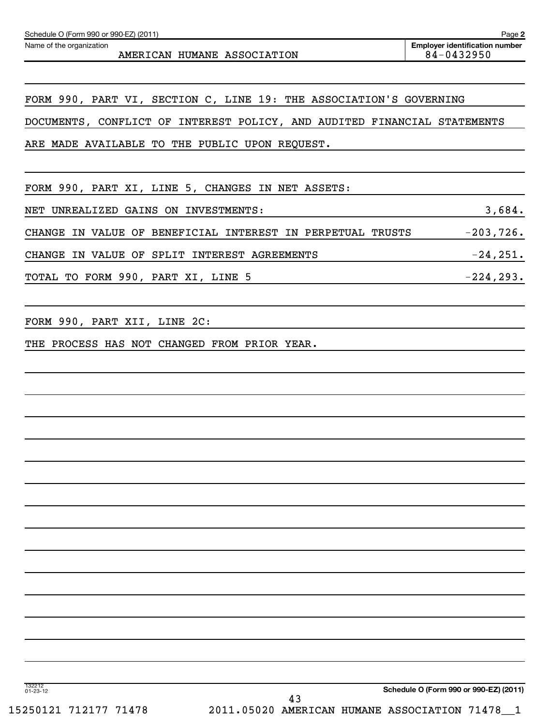Name of the organization

AMERICAN HUMANE ASSOCIATION  $84-0432950$ 

**Employer identification number**

FORM 990, PART VI, SECTION C, LINE 19: THE ASSOCIATION'S GOVERNING DOCUMENTS, CONFLICT OF INTEREST POLICY, AND AUDITED FINANCIAL STATEMENTS

ARE MADE AVAILABLE TO THE PUBLIC UPON REQUEST.

| FORM 990, PART XI, LINE 5, CHANGES IN NET ASSETS:          |              |
|------------------------------------------------------------|--------------|
| NET UNREALIZED GAINS ON INVESTMENTS:                       | 3,684.       |
| CHANGE IN VALUE OF BENEFICIAL INTEREST IN PERPETUAL TRUSTS | $-203,726.$  |
| CHANGE IN VALUE OF SPLIT INTEREST AGREEMENTS               | $-24, 251.$  |
| TOTAL TO FORM 990, PART XI, LINE 5                         | $-224, 293.$ |

FORM 990, PART XII, LINE 2C:

THE PROCESS HAS NOT CHANGED FROM PRIOR YEAR.

**2**

**Schedule O (Form 990 or 990-EZ) (2011)**

132212 01-23-12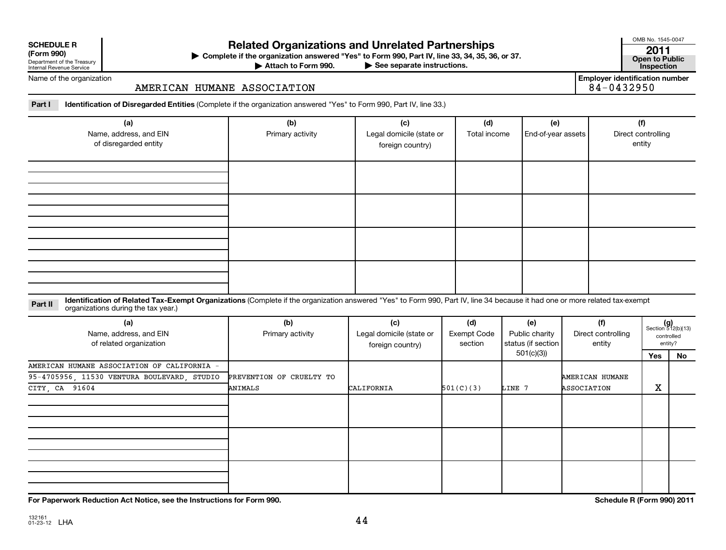| <b>SCHEDULE R</b> |  |  |
|-------------------|--|--|
|                   |  |  |

Department of the Treasury Internal Revenue Service

## **Related Organizations and Unrelated Partnerships 2011**

**(Form 990) Complete if the organization answered "Yes" to Form 990, Part IV, line 33, 34, 35, 36, or 37. Open to Public** | **Attach to Form 990. See separate instructions. Inspection**

Attach to Form 990.

OMB No. 1545-0047

**Employer identification number**

Name of the organization

### AMERICAN HUMANE ASSOCIATION

**Part I Identification of Disregarded Entities**  (Complete if the organization answered "Yes" to Form 990, Part IV, line 33.)

| (a)<br>Name, address, and EIN<br>of disregarded entity | (b)<br>Primary activity | (c)<br>Legal domicile (state or<br>foreign country) | (d)<br>Total income | (e)<br>End-of-year assets | (f)<br>Direct controlling<br>entity |
|--------------------------------------------------------|-------------------------|-----------------------------------------------------|---------------------|---------------------------|-------------------------------------|
|                                                        |                         |                                                     |                     |                           |                                     |
|                                                        |                         |                                                     |                     |                           |                                     |
|                                                        |                         |                                                     |                     |                           |                                     |
|                                                        |                         |                                                     |                     |                           |                                     |

Part II ldentification of Related Tax-Exempt Organizations (Complete if the organization answered "Yes" to Form 990, Part IV, line 34 because it had one or more related tax-exempt<br>example: croanizations during the tax veas organizations during the tax year.)

| (a)<br>Name, address, and EIN<br>of related organization | (b)<br>Primary activity  | (c)<br>Legal domicile (state or<br>foreign country) | (d)<br>Exempt Code<br>section | (e)<br>Public charity<br>status (if section | (f)<br>Direct controlling<br>entity |     | $(g)$<br>Section 512(b)(13)<br>controlled<br>entity? |
|----------------------------------------------------------|--------------------------|-----------------------------------------------------|-------------------------------|---------------------------------------------|-------------------------------------|-----|------------------------------------------------------|
|                                                          |                          |                                                     |                               | 501(c)(3))                                  |                                     | Yes | No                                                   |
| AMERICAN HUMANE ASSOCIATION OF CALIFORNIA -              |                          |                                                     |                               |                                             |                                     |     |                                                      |
| 95-4705956, 11530 VENTURA BOULEVARD, STUDIO              | PREVENTION OF CRUELTY TO |                                                     |                               |                                             | <b>AMERICAN HUMANE</b>              |     |                                                      |
| CITY, CA 91604                                           | ANIMALS                  | CALIFORNIA                                          | 501(C)(3)                     | LINE 7                                      | ASSOCIATION                         | X   |                                                      |
|                                                          |                          |                                                     |                               |                                             |                                     |     |                                                      |
|                                                          |                          |                                                     |                               |                                             |                                     |     |                                                      |
|                                                          |                          |                                                     |                               |                                             |                                     |     |                                                      |
|                                                          |                          |                                                     |                               |                                             |                                     |     |                                                      |
|                                                          |                          |                                                     |                               |                                             |                                     |     |                                                      |
|                                                          |                          |                                                     |                               |                                             |                                     |     |                                                      |
|                                                          |                          |                                                     |                               |                                             |                                     |     |                                                      |
|                                                          |                          |                                                     |                               |                                             |                                     |     |                                                      |
|                                                          |                          |                                                     |                               |                                             |                                     |     |                                                      |

**For Paperwork Reduction Act Notice, see the Instructions for Form 990. Schedule R (Form 990) 2011**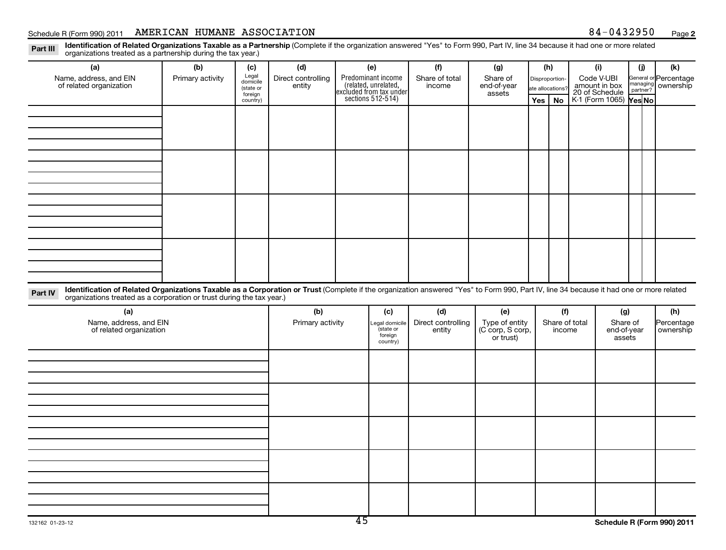### Schedule R (Form 990) 2011 AMERICAN HUMANE ASSOCIATION  $84-0432950$  Page

**2**

Part III Identification of Related Organizations Taxable as a Partnership (Complete if the organization answered "Yes" to Form 990, Part IV, line 34 because it had one or more related<br>Read to reconizations tracted as a par organizations treated as a partnership during the tax year.)

| (a)                                                                                                                                                                                                                                                                         | (b)              | (c)                                                   | (d)                          | (e)                                                                                        | (f)                          | (g)                                             | (h)                                       |                          | (i)                                                                                | (i)                  | (k)                                |
|-----------------------------------------------------------------------------------------------------------------------------------------------------------------------------------------------------------------------------------------------------------------------------|------------------|-------------------------------------------------------|------------------------------|--------------------------------------------------------------------------------------------|------------------------------|-------------------------------------------------|-------------------------------------------|--------------------------|------------------------------------------------------------------------------------|----------------------|------------------------------------|
| Name, address, and EIN<br>of related organization                                                                                                                                                                                                                           | Primary activity | Legal<br>domicile<br>(state or<br>foreign<br>country) | Direct controlling<br>entity | Predominant income<br>(related, unrelated,<br>excluded from tax under<br>sections 512-514) | Share of total<br>income     | Share of<br>end-of-year<br>assets               | Disproportion-<br>ate allocations'<br>Yes | No                       | Code V-UBI<br>amount in box<br>20 of Schedule<br>K-1 (Form 1065) $\textsf{Yes}$ No | nanaging<br>partner? | General or Percentage<br>ownership |
|                                                                                                                                                                                                                                                                             |                  |                                                       |                              |                                                                                            |                              |                                                 |                                           |                          |                                                                                    |                      |                                    |
|                                                                                                                                                                                                                                                                             |                  |                                                       |                              |                                                                                            |                              |                                                 |                                           |                          |                                                                                    |                      |                                    |
|                                                                                                                                                                                                                                                                             |                  |                                                       |                              |                                                                                            |                              |                                                 |                                           |                          |                                                                                    |                      |                                    |
|                                                                                                                                                                                                                                                                             |                  |                                                       |                              |                                                                                            |                              |                                                 |                                           |                          |                                                                                    |                      |                                    |
|                                                                                                                                                                                                                                                                             |                  |                                                       |                              |                                                                                            |                              |                                                 |                                           |                          |                                                                                    |                      |                                    |
|                                                                                                                                                                                                                                                                             |                  |                                                       |                              |                                                                                            |                              |                                                 |                                           |                          |                                                                                    |                      |                                    |
|                                                                                                                                                                                                                                                                             |                  |                                                       |                              |                                                                                            |                              |                                                 |                                           |                          |                                                                                    |                      |                                    |
|                                                                                                                                                                                                                                                                             |                  |                                                       |                              |                                                                                            |                              |                                                 |                                           |                          |                                                                                    |                      |                                    |
|                                                                                                                                                                                                                                                                             |                  |                                                       |                              |                                                                                            |                              |                                                 |                                           |                          |                                                                                    |                      |                                    |
|                                                                                                                                                                                                                                                                             |                  |                                                       |                              |                                                                                            |                              |                                                 |                                           |                          |                                                                                    |                      |                                    |
|                                                                                                                                                                                                                                                                             |                  |                                                       |                              |                                                                                            |                              |                                                 |                                           |                          |                                                                                    |                      |                                    |
|                                                                                                                                                                                                                                                                             |                  |                                                       |                              |                                                                                            |                              |                                                 |                                           |                          |                                                                                    |                      |                                    |
|                                                                                                                                                                                                                                                                             |                  |                                                       |                              |                                                                                            |                              |                                                 |                                           |                          |                                                                                    |                      |                                    |
| Identification of Related Organizations Taxable as a Corporation or Trust (Complete if the organization answered "Yes" to Form 990, Part IV, line 34 because it had one or more related<br>Part IV<br>organizations treated as a corporation or trust during the tax year.) |                  |                                                       |                              |                                                                                            |                              |                                                 |                                           |                          |                                                                                    |                      |                                    |
| (a)                                                                                                                                                                                                                                                                         |                  |                                                       | (b)                          | (c)                                                                                        | (d)                          | (e)                                             |                                           | (f)                      | (g)                                                                                |                      | (h)                                |
| Name, address, and EIN<br>of related organization                                                                                                                                                                                                                           |                  |                                                       | Primary activity             | Legal domicile<br>(state or<br>foreign<br>country)                                         | Direct controlling<br>entity | Type of entity<br>(C corp, S corp,<br>or trust) |                                           | Share of total<br>income | Share of<br>end-of-year<br>assets                                                  |                      | Percentage<br>ownership            |
|                                                                                                                                                                                                                                                                             |                  |                                                       |                              |                                                                                            |                              |                                                 |                                           |                          |                                                                                    |                      |                                    |
|                                                                                                                                                                                                                                                                             |                  |                                                       |                              |                                                                                            |                              |                                                 |                                           |                          |                                                                                    |                      |                                    |
|                                                                                                                                                                                                                                                                             |                  |                                                       |                              |                                                                                            |                              |                                                 |                                           |                          |                                                                                    |                      |                                    |
|                                                                                                                                                                                                                                                                             |                  |                                                       |                              |                                                                                            |                              |                                                 |                                           |                          |                                                                                    |                      |                                    |
|                                                                                                                                                                                                                                                                             |                  |                                                       |                              |                                                                                            |                              |                                                 |                                           |                          |                                                                                    |                      |                                    |
|                                                                                                                                                                                                                                                                             |                  |                                                       |                              |                                                                                            |                              |                                                 |                                           |                          |                                                                                    |                      |                                    |
|                                                                                                                                                                                                                                                                             |                  |                                                       |                              |                                                                                            |                              |                                                 |                                           |                          |                                                                                    |                      |                                    |
|                                                                                                                                                                                                                                                                             |                  |                                                       |                              |                                                                                            |                              |                                                 |                                           |                          |                                                                                    |                      |                                    |
|                                                                                                                                                                                                                                                                             |                  |                                                       |                              |                                                                                            |                              |                                                 |                                           |                          |                                                                                    |                      |                                    |
|                                                                                                                                                                                                                                                                             |                  |                                                       |                              |                                                                                            |                              |                                                 |                                           |                          |                                                                                    |                      |                                    |
|                                                                                                                                                                                                                                                                             |                  |                                                       |                              |                                                                                            |                              |                                                 |                                           |                          |                                                                                    |                      |                                    |
|                                                                                                                                                                                                                                                                             |                  |                                                       |                              |                                                                                            |                              |                                                 |                                           |                          |                                                                                    |                      |                                    |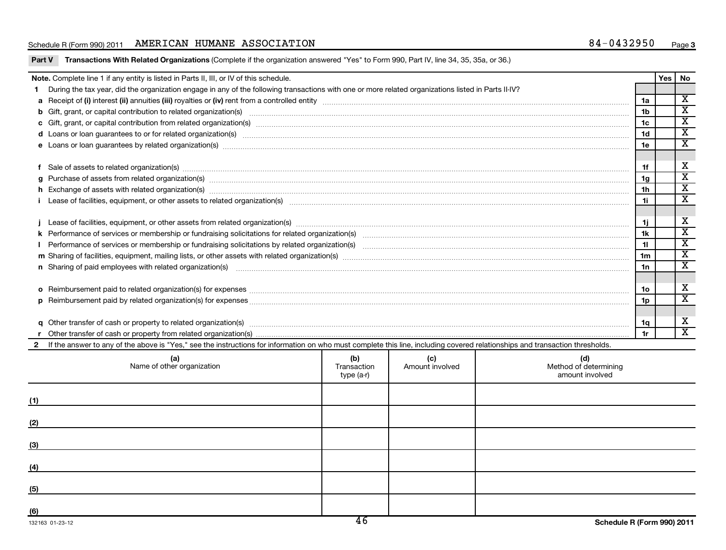### Schedule R (Form 990) 2011 AMERICAN HUMANE ASSOCIATION  $84-0432950$  Page

| Part V       | Transactions With Related Organizations (Complete if the organization answered "Yes" to Form 990, Part IV, line 34, 35, 35a, or 36.)                                                                                                 |                                  |                        |                                                 |                |     |                              |
|--------------|--------------------------------------------------------------------------------------------------------------------------------------------------------------------------------------------------------------------------------------|----------------------------------|------------------------|-------------------------------------------------|----------------|-----|------------------------------|
|              | Note. Complete line 1 if any entity is listed in Parts II, III, or IV of this schedule.                                                                                                                                              |                                  |                        |                                                 |                | Yes | No                           |
| 1.           | During the tax year, did the organization engage in any of the following transactions with one or more related organizations listed in Parts II-IV?                                                                                  |                                  |                        |                                                 |                |     |                              |
|              |                                                                                                                                                                                                                                      |                                  |                        |                                                 | 1a             |     | $\overline{\mathbf{X}}$      |
|              |                                                                                                                                                                                                                                      |                                  |                        |                                                 | 1b             |     | $\overline{\mathbf{x}}$      |
|              |                                                                                                                                                                                                                                      |                                  |                        |                                                 | 1c             |     | $\overline{\mathbf{x}}$      |
|              |                                                                                                                                                                                                                                      |                                  |                        |                                                 | 1d             |     | $\overline{\mathbf{x}}$      |
|              |                                                                                                                                                                                                                                      |                                  |                        |                                                 | 1e             |     | $\overline{\mathbf{x}}$      |
|              | f Sale of assets to related organization(s) www.assets.com/individual/community/individual/community/individual/community/individual/community/individual/community/individual/community/individual/community/individual/commu       |                                  |                        |                                                 | 1f             |     | X                            |
| g            | Purchase of assets from related organization(s) www.assettion.com/www.assettion.com/www.assettion.com/www.assettion.com/www.assettion.com/www.assettion.com/www.assettion.com/www.assettion.com/www.assettion.com/www.assettio       |                                  |                        |                                                 | 1g             |     | $\overline{\mathbf{X}}$      |
|              | h Exchange of assets with related organization(s) machinesis and content to the content of the content of the content of the content of the content of the content of the content of the content of the content of the content       |                                  |                        |                                                 | 1h             |     | $\overline{\mathbf{X}}$      |
|              |                                                                                                                                                                                                                                      |                                  |                        |                                                 | 1i.            |     | $\overline{\mathbf{X}}$      |
|              |                                                                                                                                                                                                                                      |                                  |                        |                                                 | 1j.            |     | X                            |
|              |                                                                                                                                                                                                                                      |                                  |                        |                                                 | 1k             |     | $\overline{\mathbf{x}}$      |
|              |                                                                                                                                                                                                                                      |                                  |                        |                                                 | 11             |     | $\overline{\mathbf{x}}$      |
|              |                                                                                                                                                                                                                                      |                                  |                        |                                                 | 1 <sub>m</sub> |     | $\overline{\mathbf{x}}$      |
|              | n Sharing of paid employees with related organization(s) <b>continuum and continuum continuum continuum continuum continuum continuum continuum continuum continuum continuum continuum continuum continuum continuum continuum </b> |                                  |                        |                                                 | 1n             |     | $\overline{\mathbf{x}}$      |
|              |                                                                                                                                                                                                                                      |                                  |                        |                                                 |                |     |                              |
|              |                                                                                                                                                                                                                                      |                                  |                        |                                                 | 1o             |     | Х<br>$\overline{\textbf{x}}$ |
| <b>D</b>     |                                                                                                                                                                                                                                      |                                  |                        |                                                 | 1 <sub>D</sub> |     |                              |
|              |                                                                                                                                                                                                                                      |                                  |                        |                                                 |                |     | Х                            |
|              |                                                                                                                                                                                                                                      |                                  |                        |                                                 | 1q<br>1r       |     | $\overline{\texttt{x}}$      |
| $\mathbf{2}$ | If the answer to any of the above is "Yes," see the instructions for information on who must complete this line, including covered relationships and transaction thresholds.                                                         |                                  |                        |                                                 |                |     |                              |
|              |                                                                                                                                                                                                                                      |                                  |                        |                                                 |                |     |                              |
|              | (a)<br>Name of other organization                                                                                                                                                                                                    | (b)<br>Transaction<br>type (a-r) | (c)<br>Amount involved | (d)<br>Method of determining<br>amount involved |                |     |                              |
| (1)          |                                                                                                                                                                                                                                      |                                  |                        |                                                 |                |     |                              |
| (2)          |                                                                                                                                                                                                                                      |                                  |                        |                                                 |                |     |                              |
| (3)          |                                                                                                                                                                                                                                      |                                  |                        |                                                 |                |     |                              |
| (4)          |                                                                                                                                                                                                                                      |                                  |                        |                                                 |                |     |                              |
|              |                                                                                                                                                                                                                                      |                                  |                        |                                                 |                |     |                              |
| (5)          |                                                                                                                                                                                                                                      |                                  |                        |                                                 |                |     |                              |
| (6)          |                                                                                                                                                                                                                                      |                                  |                        |                                                 |                |     |                              |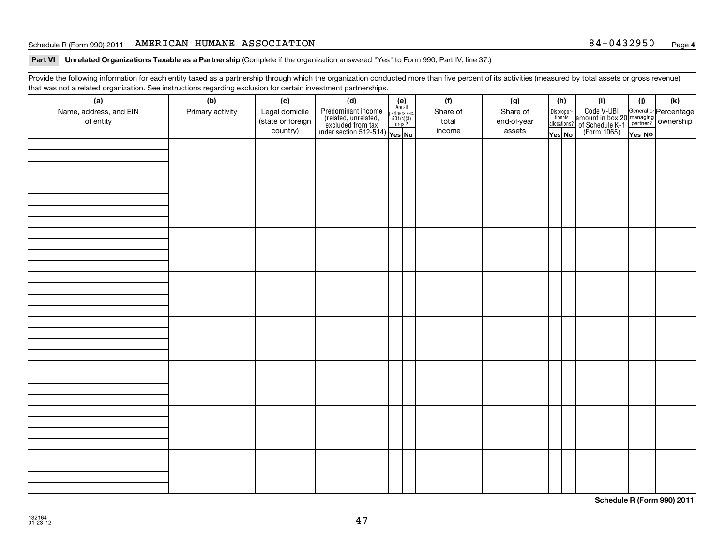### Schedule R (Form 990) 2011 AMERICAN HUMANE ASSOCIATION  $84-0432950$  Page

### Part VI Unrelated Organizations Taxable as a Partnership (Complete if the organization answered "Yes" to Form 990, Part IV, line 37.)

Provide the following information for each entity taxed as a partnership through which the organization conducted more than five percent of its activities (measured by total assets or gross revenue) that was not a related organization. See instructions regarding exclusion for certain investment partnerships.

| (a)<br>Name, address, and EIN<br>of entity | (b)<br>Primary activity | (c)<br>Legal domicile<br>(state or foreign | (d)<br>Predominant income<br>(related, unrelated, $\frac{\text{Area all}}{\text{501(c)(3)}}$<br>excluded from tax<br>under section 512-514)<br>Ves No | $(e)$<br>Are all<br>partners sec.<br>$501(c)(3)$<br>orgs.? | (f)<br>Share of<br>total | (g)<br>Share of<br>end-of-year | (h)<br>Dispropor-<br>tionate<br>allocations? | (i)<br>Code V-UBI<br>amount in box 20 managing<br>of Schedule K-1<br>(Form 1065)<br>$\overline{V}$ ves No | (i)    | (k) |
|--------------------------------------------|-------------------------|--------------------------------------------|-------------------------------------------------------------------------------------------------------------------------------------------------------|------------------------------------------------------------|--------------------------|--------------------------------|----------------------------------------------|-----------------------------------------------------------------------------------------------------------|--------|-----|
|                                            |                         | country)                                   |                                                                                                                                                       |                                                            | income                   | assets                         | Yes No                                       |                                                                                                           | Yes NO |     |
|                                            |                         |                                            |                                                                                                                                                       |                                                            |                          |                                |                                              |                                                                                                           |        |     |
|                                            |                         |                                            |                                                                                                                                                       |                                                            |                          |                                |                                              |                                                                                                           |        |     |
|                                            |                         |                                            |                                                                                                                                                       |                                                            |                          |                                |                                              |                                                                                                           |        |     |
|                                            |                         |                                            |                                                                                                                                                       |                                                            |                          |                                |                                              |                                                                                                           |        |     |
|                                            |                         |                                            |                                                                                                                                                       |                                                            |                          |                                |                                              |                                                                                                           |        |     |
|                                            |                         |                                            |                                                                                                                                                       |                                                            |                          |                                |                                              |                                                                                                           |        |     |
|                                            |                         |                                            |                                                                                                                                                       |                                                            |                          |                                |                                              |                                                                                                           |        |     |
|                                            |                         |                                            |                                                                                                                                                       |                                                            |                          |                                |                                              |                                                                                                           |        |     |
|                                            |                         |                                            |                                                                                                                                                       |                                                            |                          |                                |                                              |                                                                                                           |        |     |
|                                            |                         |                                            |                                                                                                                                                       |                                                            |                          |                                |                                              |                                                                                                           |        |     |
|                                            |                         |                                            |                                                                                                                                                       |                                                            |                          |                                |                                              |                                                                                                           |        |     |
|                                            |                         |                                            |                                                                                                                                                       |                                                            |                          |                                |                                              |                                                                                                           |        |     |
|                                            |                         |                                            |                                                                                                                                                       |                                                            |                          |                                |                                              |                                                                                                           |        |     |
|                                            |                         |                                            |                                                                                                                                                       |                                                            |                          |                                |                                              |                                                                                                           |        |     |
|                                            |                         |                                            |                                                                                                                                                       |                                                            |                          |                                |                                              |                                                                                                           |        |     |
|                                            |                         |                                            |                                                                                                                                                       |                                                            |                          |                                |                                              |                                                                                                           |        |     |
|                                            |                         |                                            |                                                                                                                                                       |                                                            |                          |                                |                                              |                                                                                                           |        |     |
|                                            |                         |                                            |                                                                                                                                                       |                                                            |                          |                                |                                              |                                                                                                           |        |     |
|                                            |                         |                                            |                                                                                                                                                       |                                                            |                          |                                |                                              |                                                                                                           |        |     |
|                                            |                         |                                            |                                                                                                                                                       |                                                            |                          |                                |                                              |                                                                                                           |        |     |
|                                            |                         |                                            |                                                                                                                                                       |                                                            |                          |                                |                                              |                                                                                                           |        |     |
|                                            |                         |                                            |                                                                                                                                                       |                                                            |                          |                                |                                              |                                                                                                           |        |     |
|                                            |                         |                                            |                                                                                                                                                       |                                                            |                          |                                |                                              |                                                                                                           |        |     |
|                                            |                         |                                            |                                                                                                                                                       |                                                            |                          |                                |                                              |                                                                                                           |        |     |
|                                            |                         |                                            |                                                                                                                                                       |                                                            |                          |                                |                                              |                                                                                                           |        |     |
|                                            |                         |                                            |                                                                                                                                                       |                                                            |                          |                                |                                              |                                                                                                           |        |     |
|                                            |                         |                                            |                                                                                                                                                       |                                                            |                          |                                |                                              |                                                                                                           |        |     |
|                                            |                         |                                            |                                                                                                                                                       |                                                            |                          |                                |                                              |                                                                                                           |        |     |

**Schedule R (Form 990) 2011**